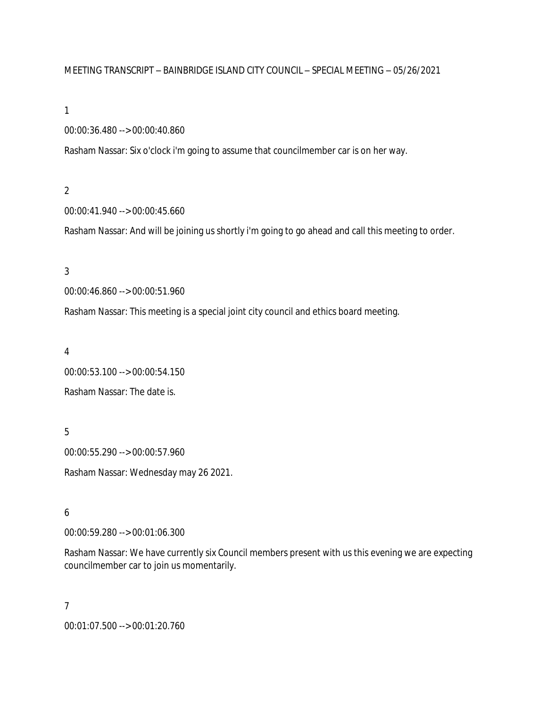## MEETING TRANSCRIPT – BAINBRIDGE ISLAND CITY COUNCIL – SPECIAL MEETING – 05/26/2021

#### 1

00:00:36.480 --> 00:00:40.860

Rasham Nassar: Six o'clock i'm going to assume that councilmember car is on her way.

## 2

00:00:41.940 --> 00:00:45.660

Rasham Nassar: And will be joining us shortly i'm going to go ahead and call this meeting to order.

## 3

00:00:46.860 --> 00:00:51.960

Rasham Nassar: This meeting is a special joint city council and ethics board meeting.

## 4

00:00:53.100 --> 00:00:54.150 Rasham Nassar: The date is.

5

00:00:55.290 --> 00:00:57.960 Rasham Nassar: Wednesday may 26 2021.

# 6

00:00:59.280 --> 00:01:06.300

Rasham Nassar: We have currently six Council members present with us this evening we are expecting councilmember car to join us momentarily.

# 7

00:01:07.500 --> 00:01:20.760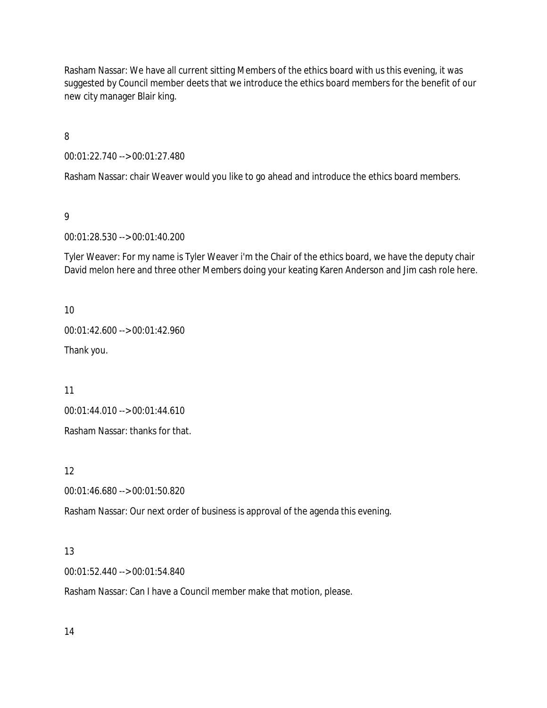Rasham Nassar: We have all current sitting Members of the ethics board with us this evening, it was suggested by Council member deets that we introduce the ethics board members for the benefit of our new city manager Blair king.

8

00:01:22.740 --> 00:01:27.480

Rasham Nassar: chair Weaver would you like to go ahead and introduce the ethics board members.

9

00:01:28.530 --> 00:01:40.200

Tyler Weaver: For my name is Tyler Weaver i'm the Chair of the ethics board, we have the deputy chair David melon here and three other Members doing your keating Karen Anderson and Jim cash role here.

10

00:01:42.600 --> 00:01:42.960

Thank you.

11

00:01:44.010 --> 00:01:44.610

Rasham Nassar: thanks for that.

12

00:01:46.680 --> 00:01:50.820

Rasham Nassar: Our next order of business is approval of the agenda this evening.

# 13

00:01:52.440 --> 00:01:54.840

Rasham Nassar: Can I have a Council member make that motion, please.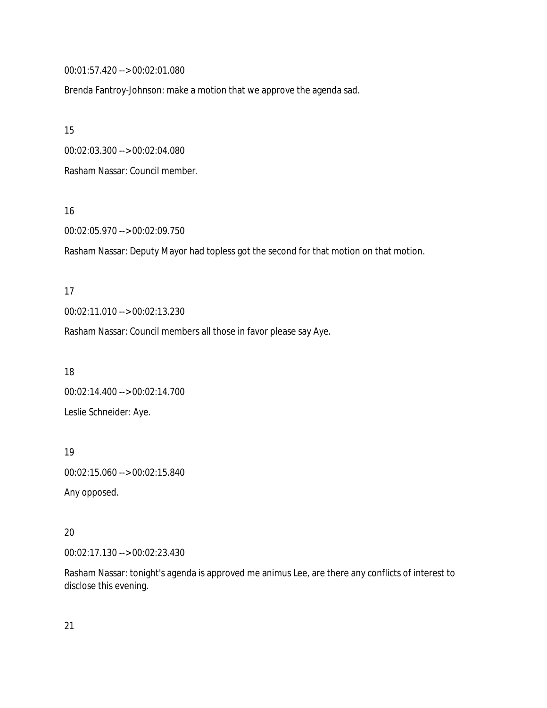00:01:57.420 --> 00:02:01.080

Brenda Fantroy-Johnson: make a motion that we approve the agenda sad.

15

00:02:03.300 --> 00:02:04.080

Rasham Nassar: Council member.

16

00:02:05.970 --> 00:02:09.750

Rasham Nassar: Deputy Mayor had topless got the second for that motion on that motion.

17 00:02:11.010 --> 00:02:13.230

Rasham Nassar: Council members all those in favor please say Aye.

18 00:02:14.400 --> 00:02:14.700 Leslie Schneider: Aye.

19 00:02:15.060 --> 00:02:15.840 Any opposed.

20

00:02:17.130 --> 00:02:23.430

Rasham Nassar: tonight's agenda is approved me animus Lee, are there any conflicts of interest to disclose this evening.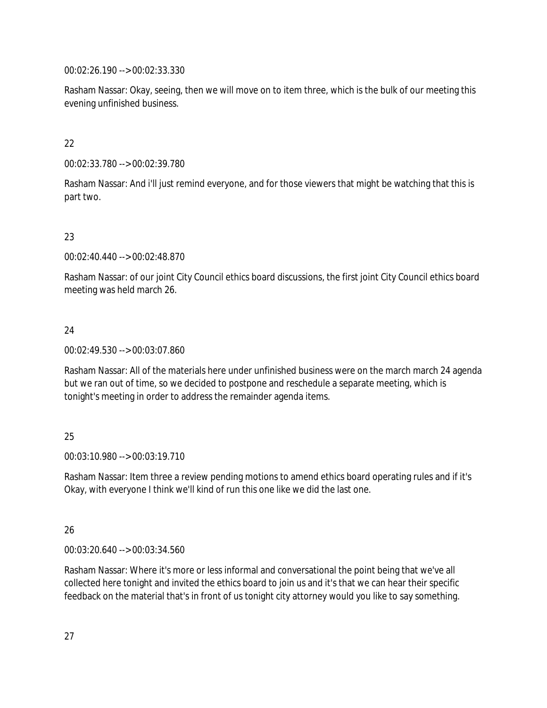00:02:26.190 --> 00:02:33.330

Rasham Nassar: Okay, seeing, then we will move on to item three, which is the bulk of our meeting this evening unfinished business.

# 22

00:02:33.780 --> 00:02:39.780

Rasham Nassar: And i'll just remind everyone, and for those viewers that might be watching that this is part two.

# 23

00:02:40.440 --> 00:02:48.870

Rasham Nassar: of our joint City Council ethics board discussions, the first joint City Council ethics board meeting was held march 26.

# 24

00:02:49.530 --> 00:03:07.860

Rasham Nassar: All of the materials here under unfinished business were on the march march 24 agenda but we ran out of time, so we decided to postpone and reschedule a separate meeting, which is tonight's meeting in order to address the remainder agenda items.

# 25

00:03:10.980 --> 00:03:19.710

Rasham Nassar: Item three a review pending motions to amend ethics board operating rules and if it's Okay, with everyone I think we'll kind of run this one like we did the last one.

# 26

00:03:20.640 --> 00:03:34.560

Rasham Nassar: Where it's more or less informal and conversational the point being that we've all collected here tonight and invited the ethics board to join us and it's that we can hear their specific feedback on the material that's in front of us tonight city attorney would you like to say something.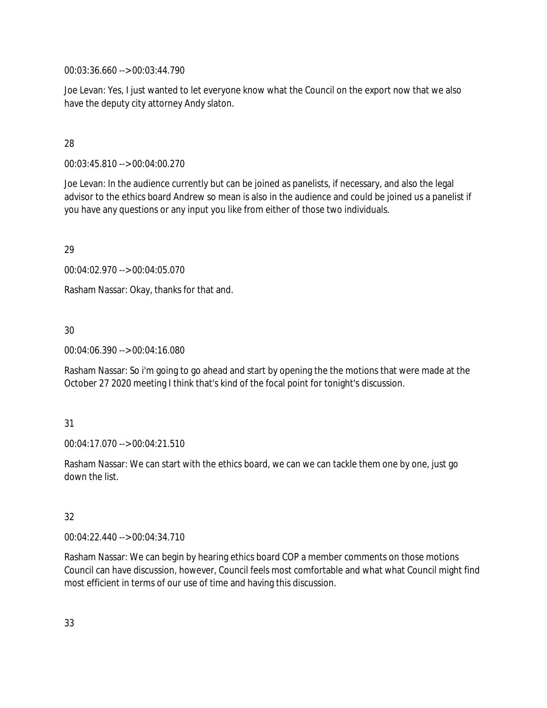00:03:36.660 --> 00:03:44.790

Joe Levan: Yes, I just wanted to let everyone know what the Council on the export now that we also have the deputy city attorney Andy slaton.

## 28

00:03:45.810 --> 00:04:00.270

Joe Levan: In the audience currently but can be joined as panelists, if necessary, and also the legal advisor to the ethics board Andrew so mean is also in the audience and could be joined us a panelist if you have any questions or any input you like from either of those two individuals.

29

00:04:02.970 --> 00:04:05.070

Rasham Nassar: Okay, thanks for that and.

# 30

00:04:06.390 --> 00:04:16.080

Rasham Nassar: So i'm going to go ahead and start by opening the the motions that were made at the October 27 2020 meeting I think that's kind of the focal point for tonight's discussion.

# 31

00:04:17.070 --> 00:04:21.510

Rasham Nassar: We can start with the ethics board, we can we can tackle them one by one, just go down the list.

# 32

00:04:22.440 --> 00:04:34.710

Rasham Nassar: We can begin by hearing ethics board COP a member comments on those motions Council can have discussion, however, Council feels most comfortable and what what Council might find most efficient in terms of our use of time and having this discussion.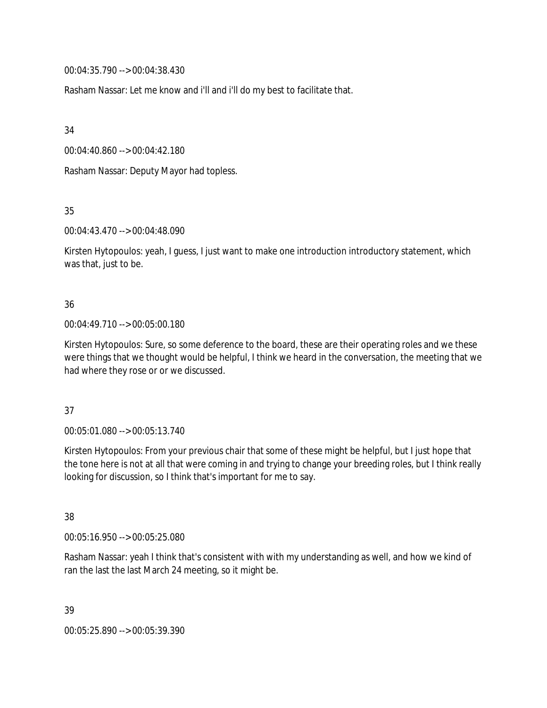00:04:35.790 --> 00:04:38.430

Rasham Nassar: Let me know and i'll and i'll do my best to facilitate that.

34

00:04:40.860 --> 00:04:42.180

Rasham Nassar: Deputy Mayor had topless.

35

00:04:43.470 --> 00:04:48.090

Kirsten Hytopoulos: yeah, I guess, I just want to make one introduction introductory statement, which was that, just to be.

## 36

## 00:04:49.710 --> 00:05:00.180

Kirsten Hytopoulos: Sure, so some deference to the board, these are their operating roles and we these were things that we thought would be helpful, I think we heard in the conversation, the meeting that we had where they rose or or we discussed.

## 37

00:05:01.080 --> 00:05:13.740

Kirsten Hytopoulos: From your previous chair that some of these might be helpful, but I just hope that the tone here is not at all that were coming in and trying to change your breeding roles, but I think really looking for discussion, so I think that's important for me to say.

38

00:05:16.950 --> 00:05:25.080

Rasham Nassar: yeah I think that's consistent with with my understanding as well, and how we kind of ran the last the last March 24 meeting, so it might be.

39

00:05:25.890 --> 00:05:39.390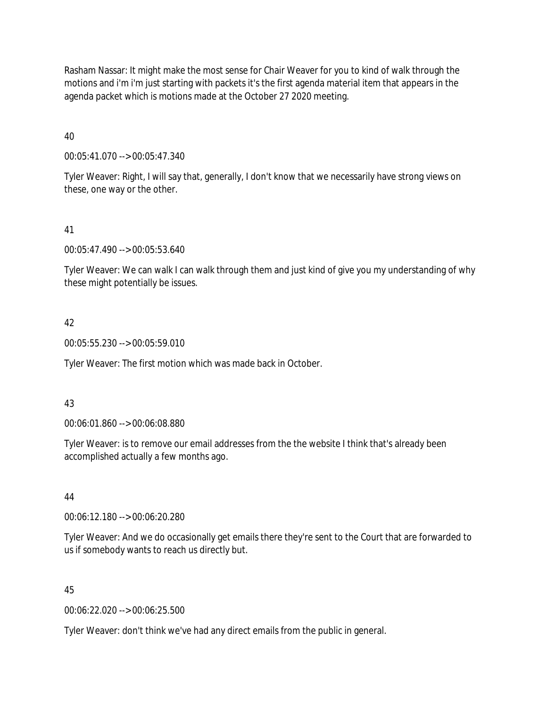Rasham Nassar: It might make the most sense for Chair Weaver for you to kind of walk through the motions and i'm i'm just starting with packets it's the first agenda material item that appears in the agenda packet which is motions made at the October 27 2020 meeting.

40

00:05:41.070 --> 00:05:47.340

Tyler Weaver: Right, I will say that, generally, I don't know that we necessarily have strong views on these, one way or the other.

## 41

00:05:47.490 --> 00:05:53.640

Tyler Weaver: We can walk I can walk through them and just kind of give you my understanding of why these might potentially be issues.

## 42

00:05:55.230 --> 00:05:59.010

Tyler Weaver: The first motion which was made back in October.

## 43

00:06:01.860 --> 00:06:08.880

Tyler Weaver: is to remove our email addresses from the the website I think that's already been accomplished actually a few months ago.

## 44

00:06:12.180 --> 00:06:20.280

Tyler Weaver: And we do occasionally get emails there they're sent to the Court that are forwarded to us if somebody wants to reach us directly but.

## 45

00:06:22.020 --> 00:06:25.500

Tyler Weaver: don't think we've had any direct emails from the public in general.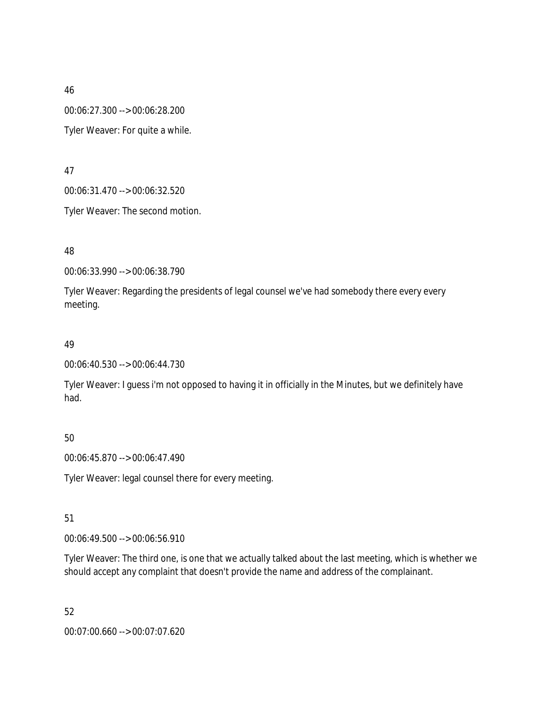46 00:06:27.300 --> 00:06:28.200 Tyler Weaver: For quite a while.

47

00:06:31.470 --> 00:06:32.520

Tyler Weaver: The second motion.

48

00:06:33.990 --> 00:06:38.790

Tyler Weaver: Regarding the presidents of legal counsel we've had somebody there every every meeting.

## 49

00:06:40.530 --> 00:06:44.730

Tyler Weaver: I guess i'm not opposed to having it in officially in the Minutes, but we definitely have had.

## 50

00:06:45.870 --> 00:06:47.490

Tyler Weaver: legal counsel there for every meeting.

51

00:06:49.500 --> 00:06:56.910

Tyler Weaver: The third one, is one that we actually talked about the last meeting, which is whether we should accept any complaint that doesn't provide the name and address of the complainant.

52 00:07:00.660 --> 00:07:07.620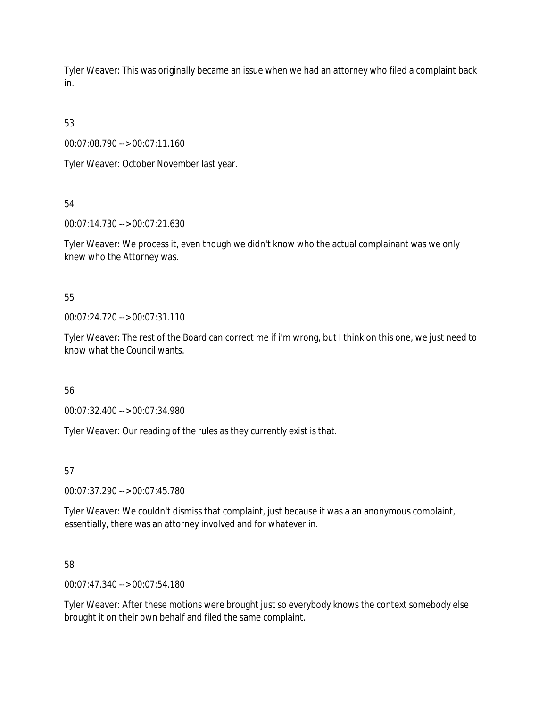Tyler Weaver: This was originally became an issue when we had an attorney who filed a complaint back in.

53

00:07:08.790 --> 00:07:11.160

Tyler Weaver: October November last year.

54

00:07:14.730 --> 00:07:21.630

Tyler Weaver: We process it, even though we didn't know who the actual complainant was we only knew who the Attorney was.

55

00:07:24.720 --> 00:07:31.110

Tyler Weaver: The rest of the Board can correct me if i'm wrong, but I think on this one, we just need to know what the Council wants.

56

00:07:32.400 --> 00:07:34.980

Tyler Weaver: Our reading of the rules as they currently exist is that.

57

00:07:37.290 --> 00:07:45.780

Tyler Weaver: We couldn't dismiss that complaint, just because it was a an anonymous complaint, essentially, there was an attorney involved and for whatever in.

58

00:07:47.340 --> 00:07:54.180

Tyler Weaver: After these motions were brought just so everybody knows the context somebody else brought it on their own behalf and filed the same complaint.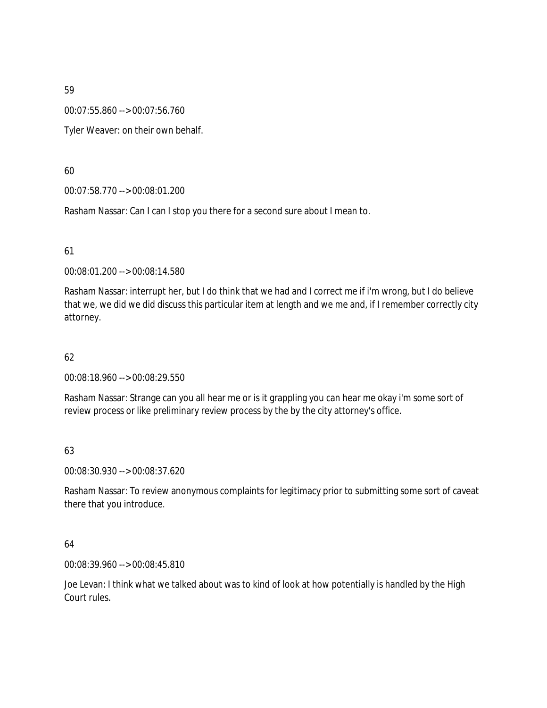00:07:55.860 --> 00:07:56.760

Tyler Weaver: on their own behalf.

60

00:07:58.770 --> 00:08:01.200

Rasham Nassar: Can I can I stop you there for a second sure about I mean to.

61

00:08:01.200 --> 00:08:14.580

Rasham Nassar: interrupt her, but I do think that we had and I correct me if i'm wrong, but I do believe that we, we did we did discuss this particular item at length and we me and, if I remember correctly city attorney.

62

00:08:18.960 --> 00:08:29.550

Rasham Nassar: Strange can you all hear me or is it grappling you can hear me okay i'm some sort of review process or like preliminary review process by the by the city attorney's office.

63

00:08:30.930 --> 00:08:37.620

Rasham Nassar: To review anonymous complaints for legitimacy prior to submitting some sort of caveat there that you introduce.

64

00:08:39.960 --> 00:08:45.810

Joe Levan: I think what we talked about was to kind of look at how potentially is handled by the High Court rules.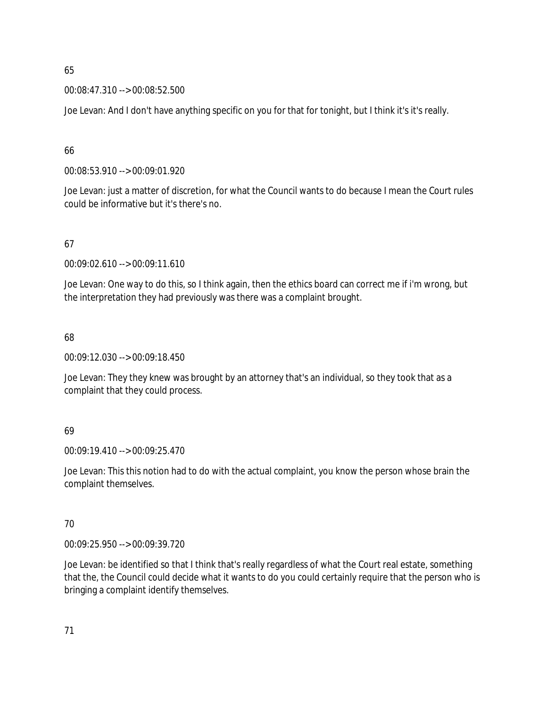00:08:47.310 --> 00:08:52.500

Joe Levan: And I don't have anything specific on you for that for tonight, but I think it's it's really.

# 66

00:08:53.910 --> 00:09:01.920

Joe Levan: just a matter of discretion, for what the Council wants to do because I mean the Court rules could be informative but it's there's no.

# 67

00:09:02.610 --> 00:09:11.610

Joe Levan: One way to do this, so I think again, then the ethics board can correct me if i'm wrong, but the interpretation they had previously was there was a complaint brought.

# 68

00:09:12.030 --> 00:09:18.450

Joe Levan: They they knew was brought by an attorney that's an individual, so they took that as a complaint that they could process.

# 69

00:09:19.410 --> 00:09:25.470

Joe Levan: This this notion had to do with the actual complaint, you know the person whose brain the complaint themselves.

# 70

00:09:25.950 --> 00:09:39.720

Joe Levan: be identified so that I think that's really regardless of what the Court real estate, something that the, the Council could decide what it wants to do you could certainly require that the person who is bringing a complaint identify themselves.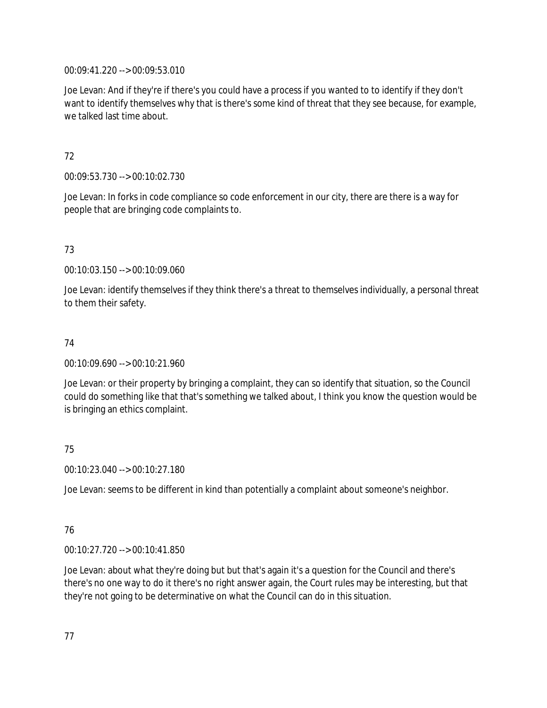00:09:41.220 --> 00:09:53.010

Joe Levan: And if they're if there's you could have a process if you wanted to to identify if they don't want to identify themselves why that is there's some kind of threat that they see because, for example, we talked last time about.

# 72

00:09:53.730 --> 00:10:02.730

Joe Levan: In forks in code compliance so code enforcement in our city, there are there is a way for people that are bringing code complaints to.

# 73

00:10:03.150 --> 00:10:09.060

Joe Levan: identify themselves if they think there's a threat to themselves individually, a personal threat to them their safety.

# 74

00:10:09.690 --> 00:10:21.960

Joe Levan: or their property by bringing a complaint, they can so identify that situation, so the Council could do something like that that's something we talked about, I think you know the question would be is bringing an ethics complaint.

# 75

00:10:23.040 --> 00:10:27.180

Joe Levan: seems to be different in kind than potentially a complaint about someone's neighbor.

# 76

00:10:27.720 --> 00:10:41.850

Joe Levan: about what they're doing but but that's again it's a question for the Council and there's there's no one way to do it there's no right answer again, the Court rules may be interesting, but that they're not going to be determinative on what the Council can do in this situation.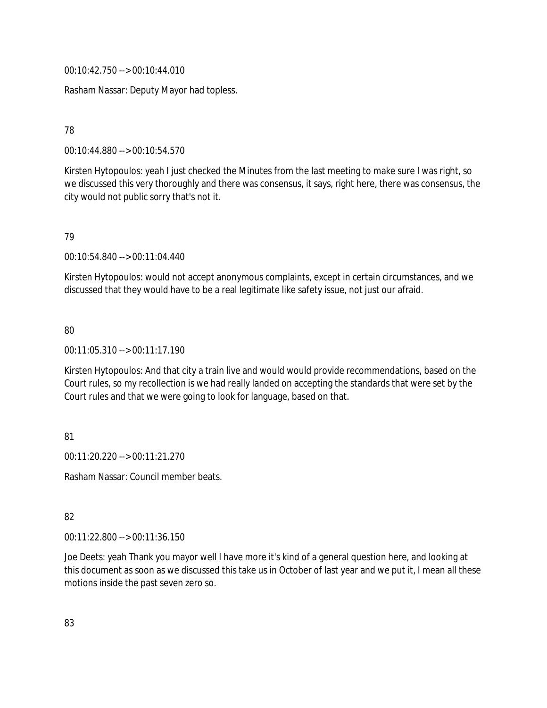00:10:42.750 --> 00:10:44.010

Rasham Nassar: Deputy Mayor had topless.

# 78

00:10:44.880 --> 00:10:54.570

Kirsten Hytopoulos: yeah I just checked the Minutes from the last meeting to make sure I was right, so we discussed this very thoroughly and there was consensus, it says, right here, there was consensus, the city would not public sorry that's not it.

# 79

00:10:54.840 --> 00:11:04.440

Kirsten Hytopoulos: would not accept anonymous complaints, except in certain circumstances, and we discussed that they would have to be a real legitimate like safety issue, not just our afraid.

# 80

00:11:05.310 --> 00:11:17.190

Kirsten Hytopoulos: And that city a train live and would would provide recommendations, based on the Court rules, so my recollection is we had really landed on accepting the standards that were set by the Court rules and that we were going to look for language, based on that.

# 81

00:11:20.220 --> 00:11:21.270

Rasham Nassar: Council member beats.

# 82

00:11:22.800 --> 00:11:36.150

Joe Deets: yeah Thank you mayor well I have more it's kind of a general question here, and looking at this document as soon as we discussed this take us in October of last year and we put it, I mean all these motions inside the past seven zero so.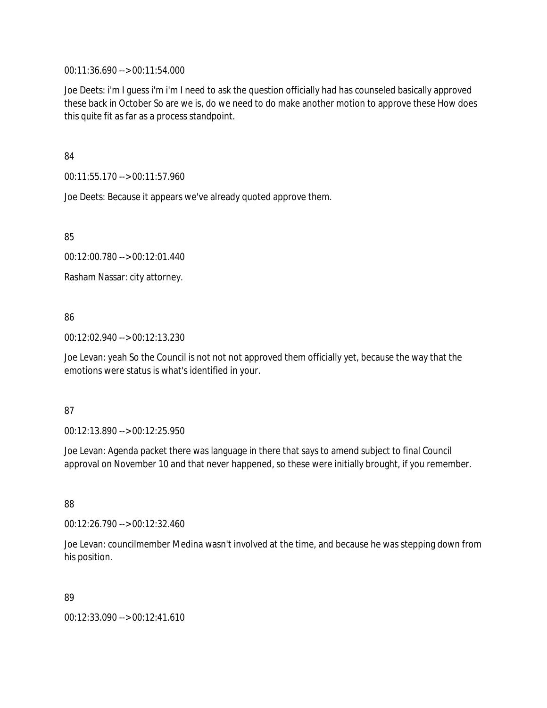00:11:36.690 --> 00:11:54.000

Joe Deets: i'm I guess i'm i'm I need to ask the question officially had has counseled basically approved these back in October So are we is, do we need to do make another motion to approve these How does this quite fit as far as a process standpoint.

84

00:11:55.170 --> 00:11:57.960

Joe Deets: Because it appears we've already quoted approve them.

85

00:12:00.780 --> 00:12:01.440

Rasham Nassar: city attorney.

# 86

00:12:02.940 --> 00:12:13.230

Joe Levan: yeah So the Council is not not not approved them officially yet, because the way that the emotions were status is what's identified in your.

# 87

00:12:13.890 --> 00:12:25.950

Joe Levan: Agenda packet there was language in there that says to amend subject to final Council approval on November 10 and that never happened, so these were initially brought, if you remember.

88

00:12:26.790 --> 00:12:32.460

Joe Levan: councilmember Medina wasn't involved at the time, and because he was stepping down from his position.

# 89

00:12:33.090 --> 00:12:41.610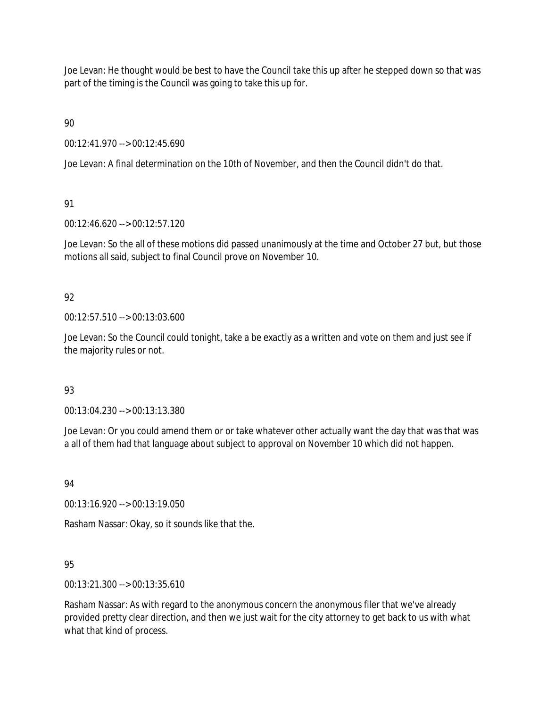Joe Levan: He thought would be best to have the Council take this up after he stepped down so that was part of the timing is the Council was going to take this up for.

90

00:12:41.970 --> 00:12:45.690

Joe Levan: A final determination on the 10th of November, and then the Council didn't do that.

91

00:12:46.620 --> 00:12:57.120

Joe Levan: So the all of these motions did passed unanimously at the time and October 27 but, but those motions all said, subject to final Council prove on November 10.

# 92

00:12:57.510 --> 00:13:03.600

Joe Levan: So the Council could tonight, take a be exactly as a written and vote on them and just see if the majority rules or not.

# 93

00:13:04.230 --> 00:13:13.380

Joe Levan: Or you could amend them or or take whatever other actually want the day that was that was a all of them had that language about subject to approval on November 10 which did not happen.

94

00:13:16.920 --> 00:13:19.050

Rasham Nassar: Okay, so it sounds like that the.

# 95

00:13:21.300 --> 00:13:35.610

Rasham Nassar: As with regard to the anonymous concern the anonymous filer that we've already provided pretty clear direction, and then we just wait for the city attorney to get back to us with what what that kind of process.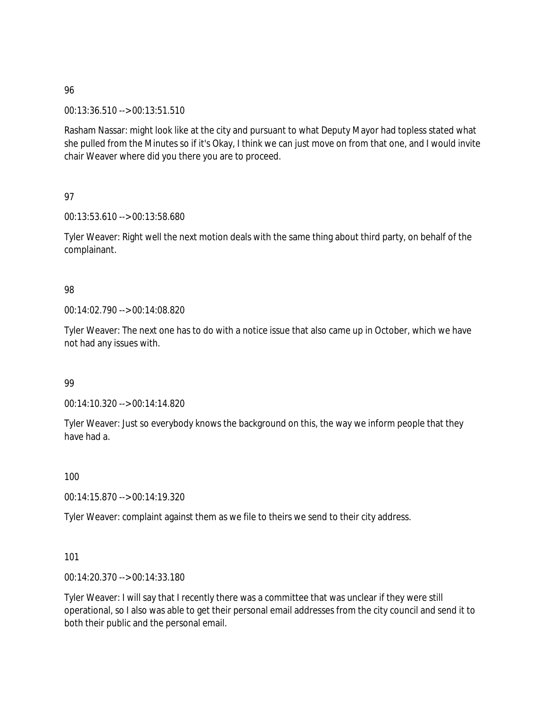00:13:36.510 --> 00:13:51.510

Rasham Nassar: might look like at the city and pursuant to what Deputy Mayor had topless stated what she pulled from the Minutes so if it's Okay, I think we can just move on from that one, and I would invite chair Weaver where did you there you are to proceed.

97

00:13:53.610 --> 00:13:58.680

Tyler Weaver: Right well the next motion deals with the same thing about third party, on behalf of the complainant.

## 98

00:14:02.790 --> 00:14:08.820

Tyler Weaver: The next one has to do with a notice issue that also came up in October, which we have not had any issues with.

## 99

00:14:10.320 --> 00:14:14.820

Tyler Weaver: Just so everybody knows the background on this, the way we inform people that they have had a.

100

00:14:15.870 --> 00:14:19.320

Tyler Weaver: complaint against them as we file to theirs we send to their city address.

101

00:14:20.370 --> 00:14:33.180

Tyler Weaver: I will say that I recently there was a committee that was unclear if they were still operational, so I also was able to get their personal email addresses from the city council and send it to both their public and the personal email.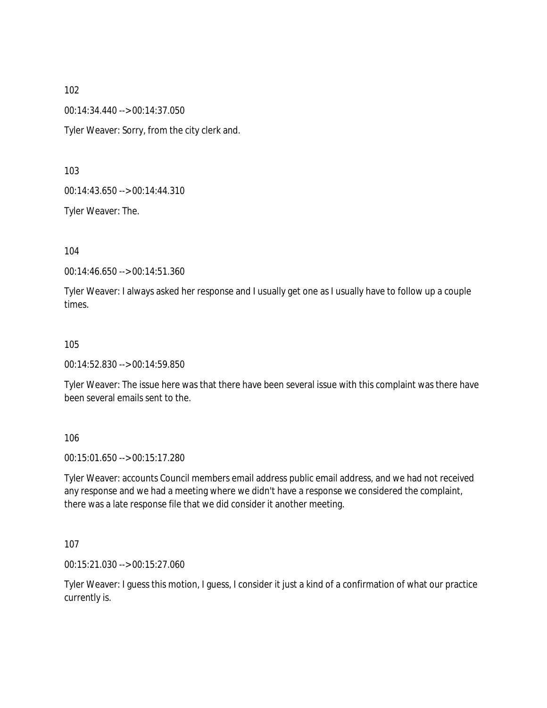00:14:34.440 --> 00:14:37.050

Tyler Weaver: Sorry, from the city clerk and.

103

00:14:43.650 --> 00:14:44.310

Tyler Weaver: The.

104

00:14:46.650 --> 00:14:51.360

Tyler Weaver: I always asked her response and I usually get one as I usually have to follow up a couple times.

## 105

00:14:52.830 --> 00:14:59.850

Tyler Weaver: The issue here was that there have been several issue with this complaint was there have been several emails sent to the.

106

00:15:01.650 --> 00:15:17.280

Tyler Weaver: accounts Council members email address public email address, and we had not received any response and we had a meeting where we didn't have a response we considered the complaint, there was a late response file that we did consider it another meeting.

107

00:15:21.030 --> 00:15:27.060

Tyler Weaver: I guess this motion, I guess, I consider it just a kind of a confirmation of what our practice currently is.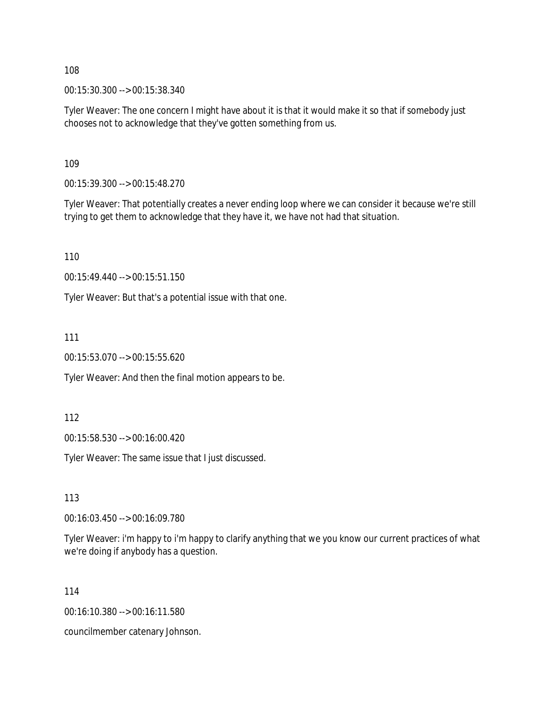00:15:30.300 --> 00:15:38.340

Tyler Weaver: The one concern I might have about it is that it would make it so that if somebody just chooses not to acknowledge that they've gotten something from us.

109

00:15:39.300 --> 00:15:48.270

Tyler Weaver: That potentially creates a never ending loop where we can consider it because we're still trying to get them to acknowledge that they have it, we have not had that situation.

110

00:15:49.440 --> 00:15:51.150

Tyler Weaver: But that's a potential issue with that one.

111

00:15:53.070 --> 00:15:55.620

Tyler Weaver: And then the final motion appears to be.

112

00:15:58.530 --> 00:16:00.420

Tyler Weaver: The same issue that I just discussed.

113

00:16:03.450 --> 00:16:09.780

Tyler Weaver: i'm happy to i'm happy to clarify anything that we you know our current practices of what we're doing if anybody has a question.

114

00:16:10.380 --> 00:16:11.580

councilmember catenary Johnson.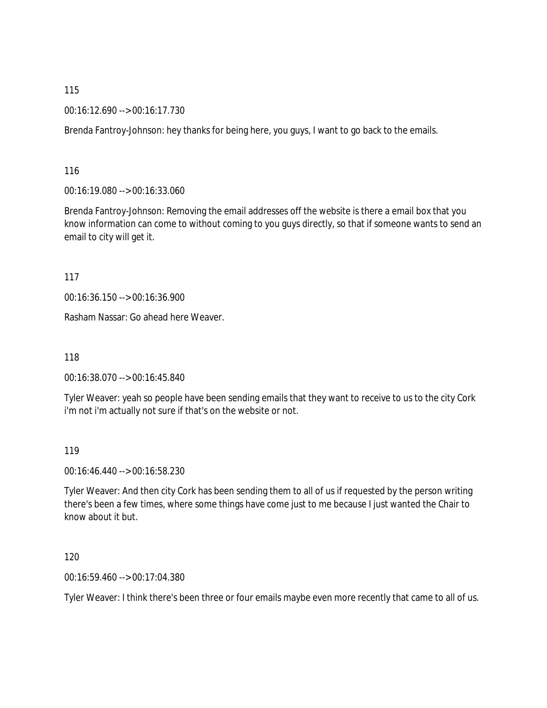00:16:12.690 --> 00:16:17.730

Brenda Fantroy-Johnson: hey thanks for being here, you guys, I want to go back to the emails.

116

00:16:19.080 --> 00:16:33.060

Brenda Fantroy-Johnson: Removing the email addresses off the website is there a email box that you know information can come to without coming to you guys directly, so that if someone wants to send an email to city will get it.

117

00:16:36.150 --> 00:16:36.900

Rasham Nassar: Go ahead here Weaver.

118

00:16:38.070 --> 00:16:45.840

Tyler Weaver: yeah so people have been sending emails that they want to receive to us to the city Cork i'm not i'm actually not sure if that's on the website or not.

119

00:16:46.440 --> 00:16:58.230

Tyler Weaver: And then city Cork has been sending them to all of us if requested by the person writing there's been a few times, where some things have come just to me because I just wanted the Chair to know about it but.

120

00:16:59.460 --> 00:17:04.380

Tyler Weaver: I think there's been three or four emails maybe even more recently that came to all of us.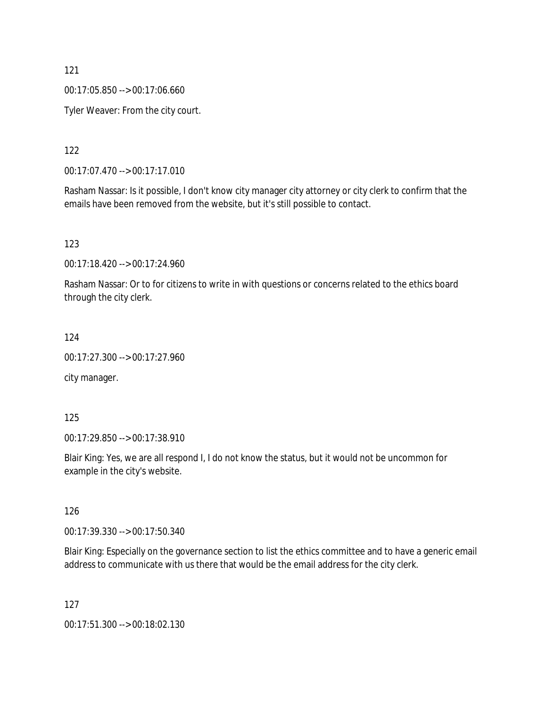00:17:05.850 --> 00:17:06.660

Tyler Weaver: From the city court.

122

00:17:07.470 --> 00:17:17.010

Rasham Nassar: Is it possible, I don't know city manager city attorney or city clerk to confirm that the emails have been removed from the website, but it's still possible to contact.

123

00:17:18.420 --> 00:17:24.960

Rasham Nassar: Or to for citizens to write in with questions or concerns related to the ethics board through the city clerk.

124

00:17:27.300 --> 00:17:27.960

city manager.

125

00:17:29.850 --> 00:17:38.910

Blair King: Yes, we are all respond I, I do not know the status, but it would not be uncommon for example in the city's website.

126

00:17:39.330 --> 00:17:50.340

Blair King: Especially on the governance section to list the ethics committee and to have a generic email address to communicate with us there that would be the email address for the city clerk.

127

00:17:51.300 --> 00:18:02.130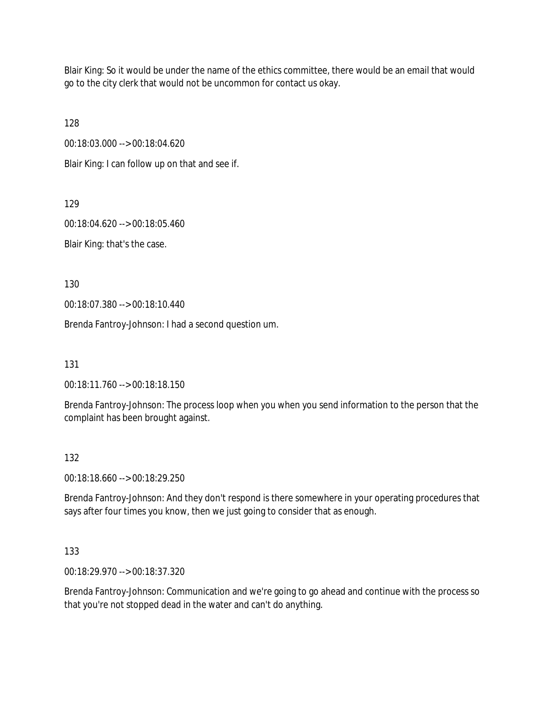Blair King: So it would be under the name of the ethics committee, there would be an email that would go to the city clerk that would not be uncommon for contact us okay.

128

00:18:03.000 --> 00:18:04.620

Blair King: I can follow up on that and see if.

129

00:18:04.620 --> 00:18:05.460

Blair King: that's the case.

130

00:18:07.380 --> 00:18:10.440

Brenda Fantroy-Johnson: I had a second question um.

131

00:18:11.760 --> 00:18:18.150

Brenda Fantroy-Johnson: The process loop when you when you send information to the person that the complaint has been brought against.

# 132

00:18:18.660 --> 00:18:29.250

Brenda Fantroy-Johnson: And they don't respond is there somewhere in your operating procedures that says after four times you know, then we just going to consider that as enough.

# 133

00:18:29.970 --> 00:18:37.320

Brenda Fantroy-Johnson: Communication and we're going to go ahead and continue with the process so that you're not stopped dead in the water and can't do anything.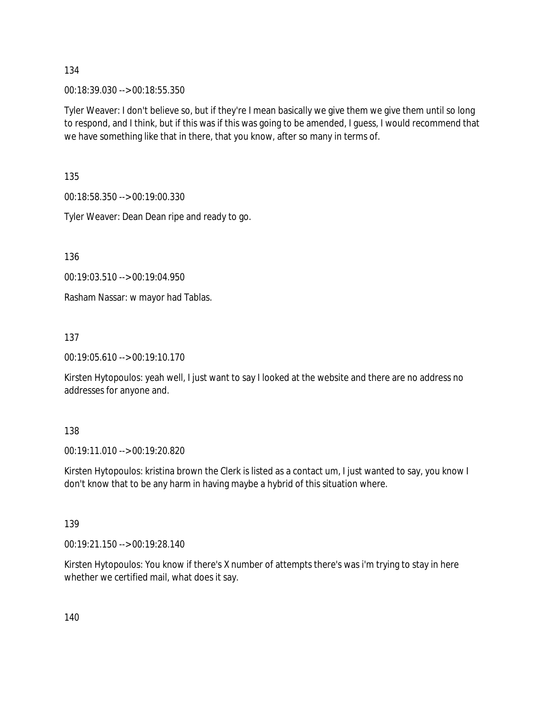00:18:39.030 --> 00:18:55.350

Tyler Weaver: I don't believe so, but if they're I mean basically we give them we give them until so long to respond, and I think, but if this was if this was going to be amended, I guess, I would recommend that we have something like that in there, that you know, after so many in terms of.

135

00:18:58.350 --> 00:19:00.330

Tyler Weaver: Dean Dean ripe and ready to go.

136

00:19:03.510 --> 00:19:04.950

Rasham Nassar: w mayor had Tablas.

137

00:19:05.610 --> 00:19:10.170

Kirsten Hytopoulos: yeah well, I just want to say I looked at the website and there are no address no addresses for anyone and.

#### 138

00:19:11.010 --> 00:19:20.820

Kirsten Hytopoulos: kristina brown the Clerk is listed as a contact um, I just wanted to say, you know I don't know that to be any harm in having maybe a hybrid of this situation where.

#### 139

00:19:21.150 --> 00:19:28.140

Kirsten Hytopoulos: You know if there's X number of attempts there's was i'm trying to stay in here whether we certified mail, what does it say.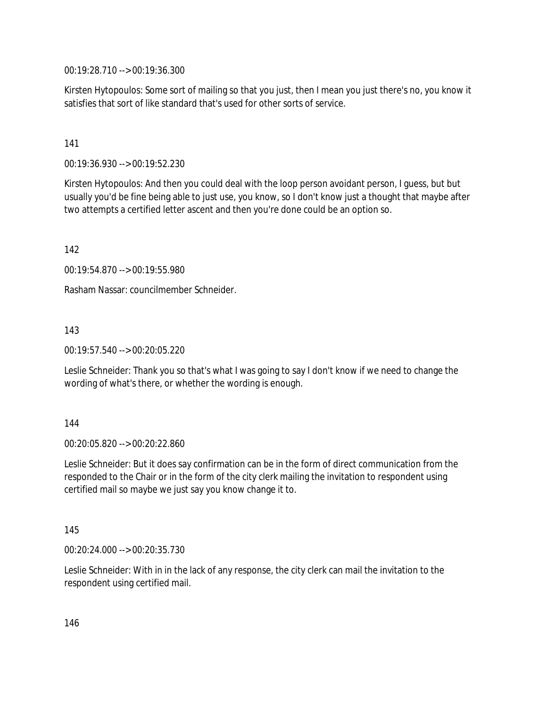00:19:28.710 --> 00:19:36.300

Kirsten Hytopoulos: Some sort of mailing so that you just, then I mean you just there's no, you know it satisfies that sort of like standard that's used for other sorts of service.

## 141

00:19:36.930 --> 00:19:52.230

Kirsten Hytopoulos: And then you could deal with the loop person avoidant person, I guess, but but usually you'd be fine being able to just use, you know, so I don't know just a thought that maybe after two attempts a certified letter ascent and then you're done could be an option so.

142

00:19:54.870 --> 00:19:55.980

Rasham Nassar: councilmember Schneider.

143

00:19:57.540 --> 00:20:05.220

Leslie Schneider: Thank you so that's what I was going to say I don't know if we need to change the wording of what's there, or whether the wording is enough.

#### 144

00:20:05.820 --> 00:20:22.860

Leslie Schneider: But it does say confirmation can be in the form of direct communication from the responded to the Chair or in the form of the city clerk mailing the invitation to respondent using certified mail so maybe we just say you know change it to.

145

00:20:24.000 --> 00:20:35.730

Leslie Schneider: With in in the lack of any response, the city clerk can mail the invitation to the respondent using certified mail.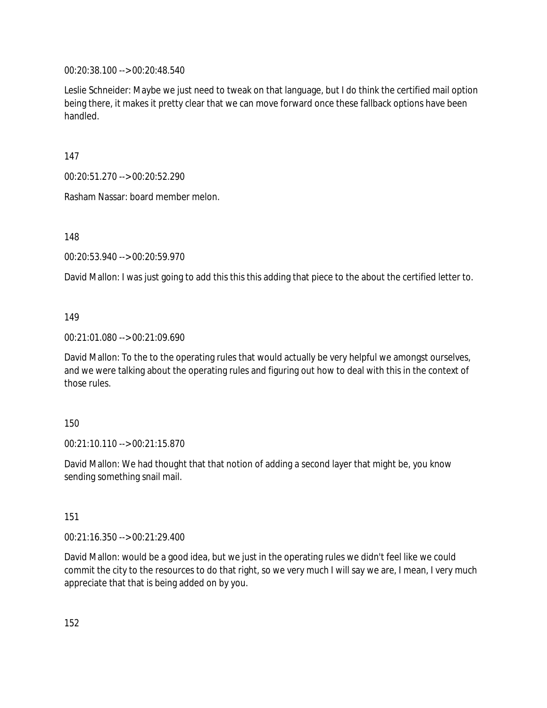00:20:38.100 --> 00:20:48.540

Leslie Schneider: Maybe we just need to tweak on that language, but I do think the certified mail option being there, it makes it pretty clear that we can move forward once these fallback options have been handled.

147

00:20:51.270 --> 00:20:52.290

Rasham Nassar: board member melon.

148

00:20:53.940 --> 00:20:59.970

David Mallon: I was just going to add this this this adding that piece to the about the certified letter to.

## 149

00:21:01.080 --> 00:21:09.690

David Mallon: To the to the operating rules that would actually be very helpful we amongst ourselves, and we were talking about the operating rules and figuring out how to deal with this in the context of those rules.

## 150

00:21:10.110 --> 00:21:15.870

David Mallon: We had thought that that notion of adding a second layer that might be, you know sending something snail mail.

151

00:21:16.350 --> 00:21:29.400

David Mallon: would be a good idea, but we just in the operating rules we didn't feel like we could commit the city to the resources to do that right, so we very much I will say we are, I mean, I very much appreciate that that is being added on by you.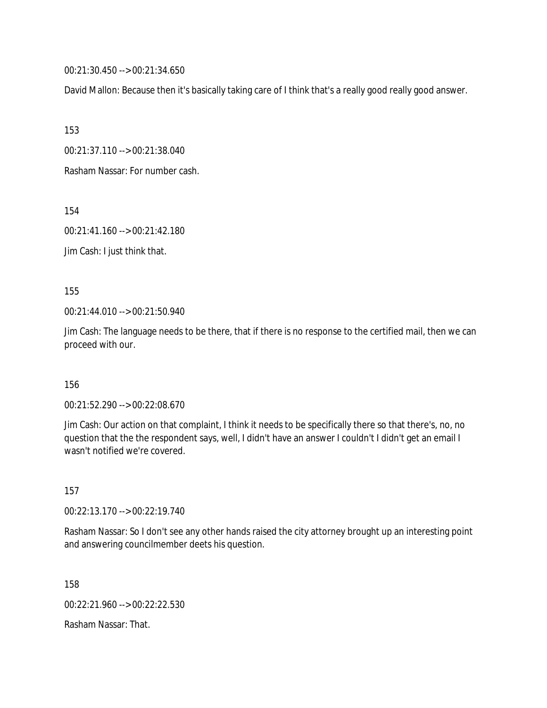00:21:30.450 --> 00:21:34.650

David Mallon: Because then it's basically taking care of I think that's a really good really good answer.

153

00:21:37.110 --> 00:21:38.040

Rasham Nassar: For number cash.

154

00:21:41.160 --> 00:21:42.180

Jim Cash: I just think that.

155

00:21:44.010 --> 00:21:50.940

Jim Cash: The language needs to be there, that if there is no response to the certified mail, then we can proceed with our.

156

00:21:52.290 --> 00:22:08.670

Jim Cash: Our action on that complaint, I think it needs to be specifically there so that there's, no, no question that the the respondent says, well, I didn't have an answer I couldn't I didn't get an email I wasn't notified we're covered.

157

00:22:13.170 --> 00:22:19.740

Rasham Nassar: So I don't see any other hands raised the city attorney brought up an interesting point and answering councilmember deets his question.

158

00:22:21.960 --> 00:22:22.530

Rasham Nassar: That.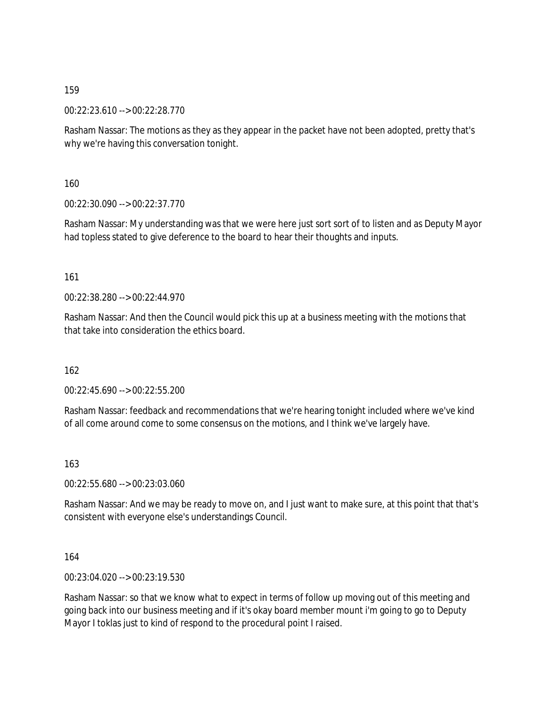00:22:23.610 --> 00:22:28.770

Rasham Nassar: The motions as they as they appear in the packet have not been adopted, pretty that's why we're having this conversation tonight.

160

00:22:30.090 --> 00:22:37.770

Rasham Nassar: My understanding was that we were here just sort sort of to listen and as Deputy Mayor had topless stated to give deference to the board to hear their thoughts and inputs.

161

00:22:38.280 --> 00:22:44.970

Rasham Nassar: And then the Council would pick this up at a business meeting with the motions that that take into consideration the ethics board.

162

00:22:45.690 --> 00:22:55.200

Rasham Nassar: feedback and recommendations that we're hearing tonight included where we've kind of all come around come to some consensus on the motions, and I think we've largely have.

163

00:22:55.680 --> 00:23:03.060

Rasham Nassar: And we may be ready to move on, and I just want to make sure, at this point that that's consistent with everyone else's understandings Council.

164

00:23:04.020 --> 00:23:19.530

Rasham Nassar: so that we know what to expect in terms of follow up moving out of this meeting and going back into our business meeting and if it's okay board member mount i'm going to go to Deputy Mayor I toklas just to kind of respond to the procedural point I raised.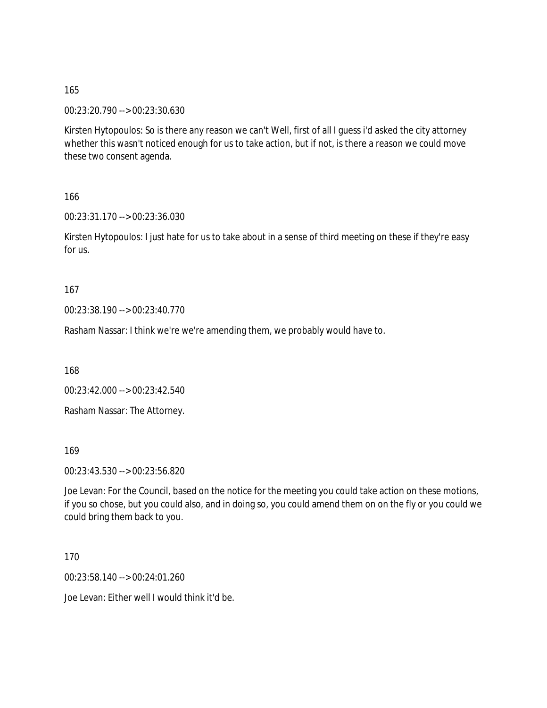00:23:20.790 --> 00:23:30.630

Kirsten Hytopoulos: So is there any reason we can't Well, first of all I guess i'd asked the city attorney whether this wasn't noticed enough for us to take action, but if not, is there a reason we could move these two consent agenda.

166

00:23:31.170 --> 00:23:36.030

Kirsten Hytopoulos: I just hate for us to take about in a sense of third meeting on these if they're easy for us.

167

00:23:38.190 --> 00:23:40.770

Rasham Nassar: I think we're we're amending them, we probably would have to.

168

00:23:42.000 --> 00:23:42.540

Rasham Nassar: The Attorney.

169

00:23:43.530 --> 00:23:56.820

Joe Levan: For the Council, based on the notice for the meeting you could take action on these motions, if you so chose, but you could also, and in doing so, you could amend them on on the fly or you could we could bring them back to you.

170

00:23:58.140 --> 00:24:01.260

Joe Levan: Either well I would think it'd be.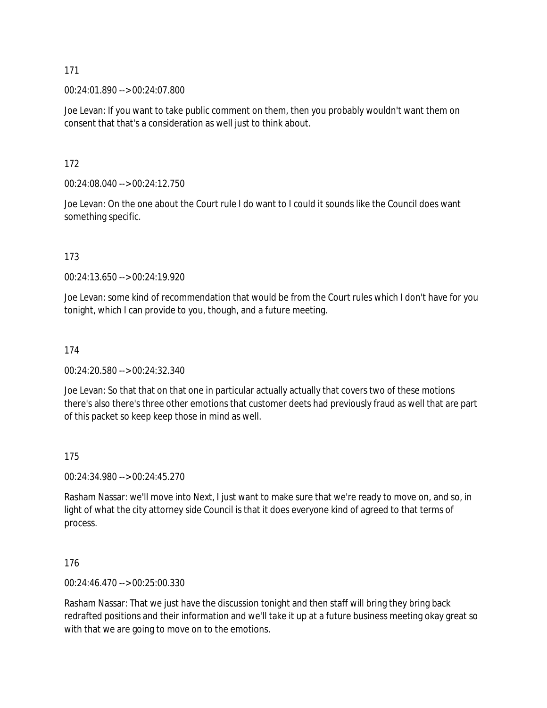00:24:01.890 --> 00:24:07.800

Joe Levan: If you want to take public comment on them, then you probably wouldn't want them on consent that that's a consideration as well just to think about.

172

00:24:08.040 --> 00:24:12.750

Joe Levan: On the one about the Court rule I do want to I could it sounds like the Council does want something specific.

173

 $00.24.13.650 -> 00.24.19.920$ 

Joe Levan: some kind of recommendation that would be from the Court rules which I don't have for you tonight, which I can provide to you, though, and a future meeting.

174

00:24:20.580 --> 00:24:32.340

Joe Levan: So that that on that one in particular actually actually that covers two of these motions there's also there's three other emotions that customer deets had previously fraud as well that are part of this packet so keep keep those in mind as well.

175

00:24:34.980 --> 00:24:45.270

Rasham Nassar: we'll move into Next, I just want to make sure that we're ready to move on, and so, in light of what the city attorney side Council is that it does everyone kind of agreed to that terms of process.

176

00:24:46.470 --> 00:25:00.330

Rasham Nassar: That we just have the discussion tonight and then staff will bring they bring back redrafted positions and their information and we'll take it up at a future business meeting okay great so with that we are going to move on to the emotions.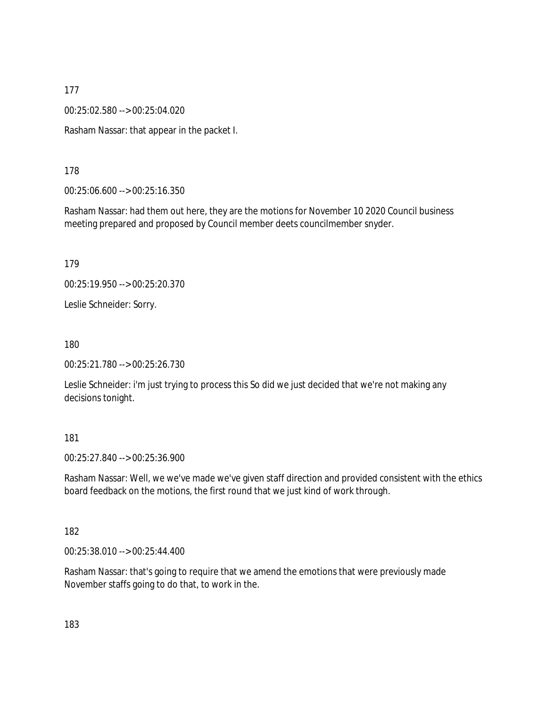00:25:02.580 --> 00:25:04.020

Rasham Nassar: that appear in the packet I.

178

00:25:06.600 --> 00:25:16.350

Rasham Nassar: had them out here, they are the motions for November 10 2020 Council business meeting prepared and proposed by Council member deets councilmember snyder.

179

00:25:19.950 --> 00:25:20.370

Leslie Schneider: Sorry.

180

00:25:21.780 --> 00:25:26.730

Leslie Schneider: i'm just trying to process this So did we just decided that we're not making any decisions tonight.

181

00:25:27.840 --> 00:25:36.900

Rasham Nassar: Well, we we've made we've given staff direction and provided consistent with the ethics board feedback on the motions, the first round that we just kind of work through.

182

00:25:38.010 --> 00:25:44.400

Rasham Nassar: that's going to require that we amend the emotions that were previously made November staffs going to do that, to work in the.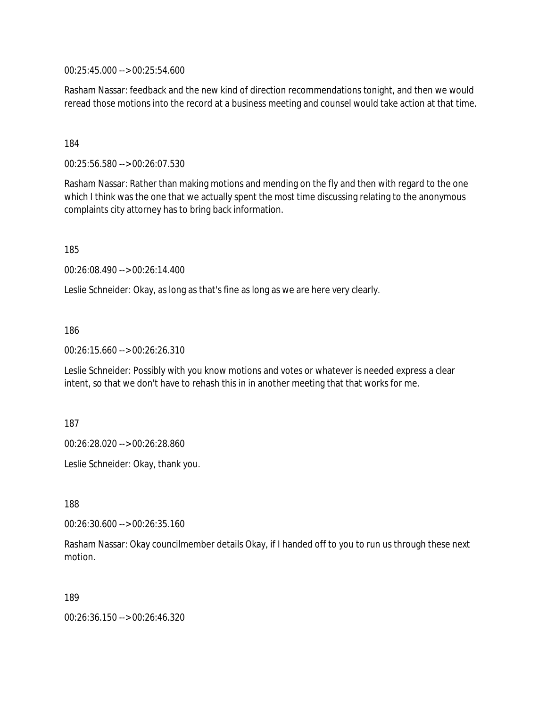00:25:45.000 --> 00:25:54.600

Rasham Nassar: feedback and the new kind of direction recommendations tonight, and then we would reread those motions into the record at a business meeting and counsel would take action at that time.

184

00:25:56.580 --> 00:26:07.530

Rasham Nassar: Rather than making motions and mending on the fly and then with regard to the one which I think was the one that we actually spent the most time discussing relating to the anonymous complaints city attorney has to bring back information.

185

00:26:08.490 --> 00:26:14.400

Leslie Schneider: Okay, as long as that's fine as long as we are here very clearly.

186

00:26:15.660 --> 00:26:26.310

Leslie Schneider: Possibly with you know motions and votes or whatever is needed express a clear intent, so that we don't have to rehash this in in another meeting that that works for me.

187

00:26:28.020 --> 00:26:28.860

Leslie Schneider: Okay, thank you.

188

00:26:30.600 --> 00:26:35.160

Rasham Nassar: Okay councilmember details Okay, if I handed off to you to run us through these next motion.

189

00:26:36.150 --> 00:26:46.320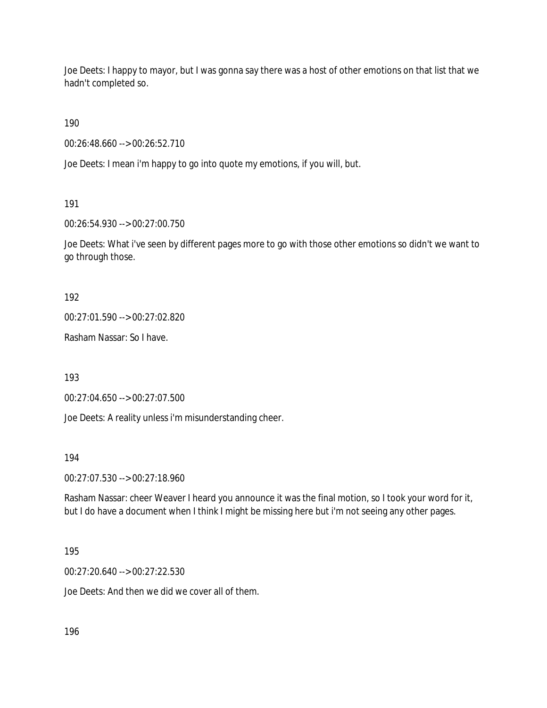Joe Deets: I happy to mayor, but I was gonna say there was a host of other emotions on that list that we hadn't completed so.

190

00:26:48.660 --> 00:26:52.710

Joe Deets: I mean i'm happy to go into quote my emotions, if you will, but.

191

00:26:54.930 --> 00:27:00.750

Joe Deets: What i've seen by different pages more to go with those other emotions so didn't we want to go through those.

192

00:27:01.590 --> 00:27:02.820

Rasham Nassar: So I have.

193

00:27:04.650 --> 00:27:07.500

Joe Deets: A reality unless i'm misunderstanding cheer.

194

00:27:07.530 --> 00:27:18.960

Rasham Nassar: cheer Weaver I heard you announce it was the final motion, so I took your word for it, but I do have a document when I think I might be missing here but i'm not seeing any other pages.

195

00:27:20.640 --> 00:27:22.530

Joe Deets: And then we did we cover all of them.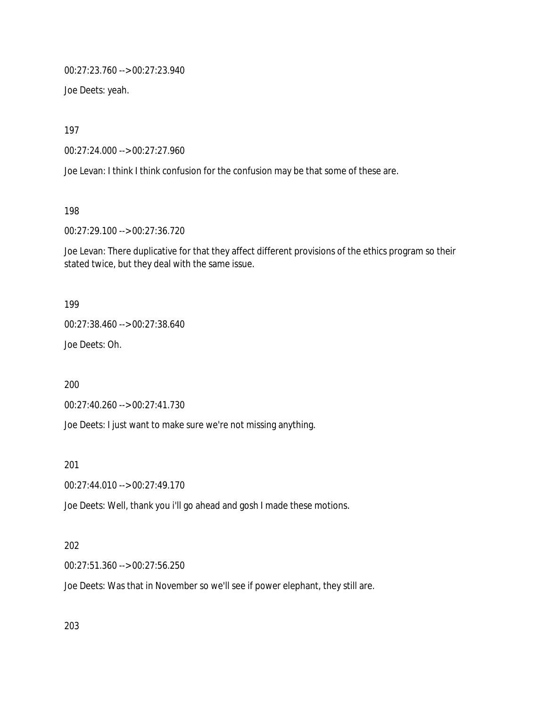00:27:23.760 --> 00:27:23.940

Joe Deets: yeah.

197

00:27:24.000 --> 00:27:27.960

Joe Levan: I think I think confusion for the confusion may be that some of these are.

198

00:27:29.100 --> 00:27:36.720

Joe Levan: There duplicative for that they affect different provisions of the ethics program so their stated twice, but they deal with the same issue.

199

00:27:38.460 --> 00:27:38.640

Joe Deets: Oh.

200

00:27:40.260 --> 00:27:41.730

Joe Deets: I just want to make sure we're not missing anything.

201

00:27:44.010 --> 00:27:49.170

Joe Deets: Well, thank you i'll go ahead and gosh I made these motions.

202

00:27:51.360 --> 00:27:56.250

Joe Deets: Was that in November so we'll see if power elephant, they still are.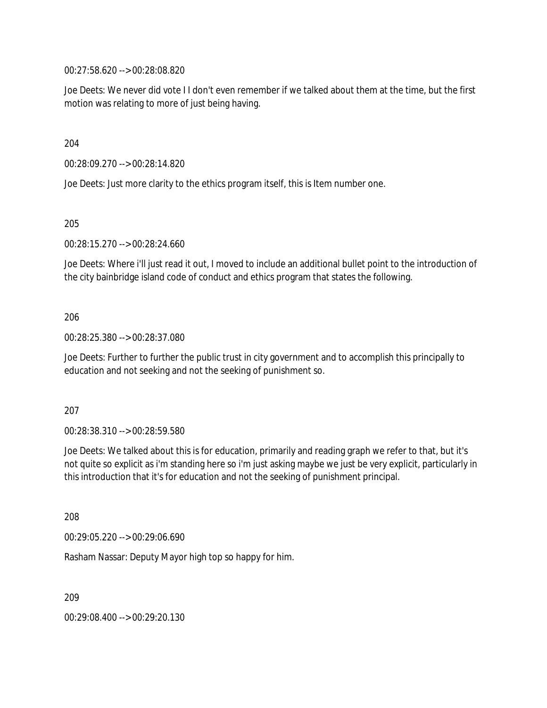00:27:58.620 --> 00:28:08.820

Joe Deets: We never did vote I I don't even remember if we talked about them at the time, but the first motion was relating to more of just being having.

204

00:28:09.270 --> 00:28:14.820

Joe Deets: Just more clarity to the ethics program itself, this is Item number one.

205

00:28:15.270 --> 00:28:24.660

Joe Deets: Where i'll just read it out, I moved to include an additional bullet point to the introduction of the city bainbridge island code of conduct and ethics program that states the following.

206

00:28:25.380 --> 00:28:37.080

Joe Deets: Further to further the public trust in city government and to accomplish this principally to education and not seeking and not the seeking of punishment so.

207

00:28:38.310 --> 00:28:59.580

Joe Deets: We talked about this is for education, primarily and reading graph we refer to that, but it's not quite so explicit as i'm standing here so i'm just asking maybe we just be very explicit, particularly in this introduction that it's for education and not the seeking of punishment principal.

208

00:29:05.220 --> 00:29:06.690

Rasham Nassar: Deputy Mayor high top so happy for him.

209

00:29:08.400 --> 00:29:20.130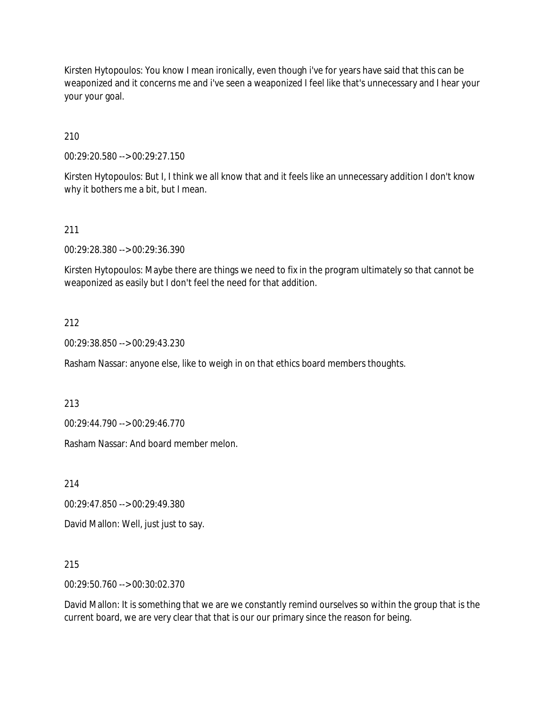Kirsten Hytopoulos: You know I mean ironically, even though i've for years have said that this can be weaponized and it concerns me and i've seen a weaponized I feel like that's unnecessary and I hear your your your goal.

210

00:29:20.580 --> 00:29:27.150

Kirsten Hytopoulos: But I, I think we all know that and it feels like an unnecessary addition I don't know why it bothers me a bit, but I mean.

#### 211

00:29:28.380 --> 00:29:36.390

Kirsten Hytopoulos: Maybe there are things we need to fix in the program ultimately so that cannot be weaponized as easily but I don't feel the need for that addition.

#### 212

00:29:38.850 --> 00:29:43.230

Rasham Nassar: anyone else, like to weigh in on that ethics board members thoughts.

213

00:29:44.790 --> 00:29:46.770

Rasham Nassar: And board member melon.

214

00:29:47.850 --> 00:29:49.380

David Mallon: Well, just just to say.

215

00:29:50.760 --> 00:30:02.370

David Mallon: It is something that we are we constantly remind ourselves so within the group that is the current board, we are very clear that that is our our primary since the reason for being.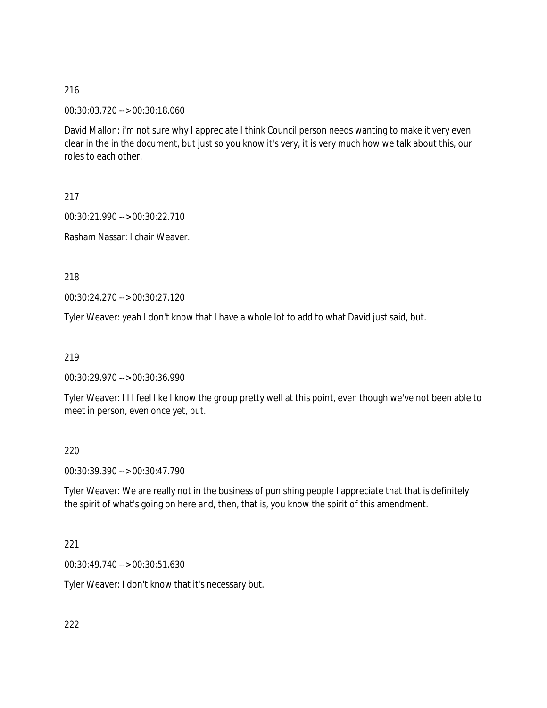00:30:03.720 --> 00:30:18.060

David Mallon: i'm not sure why I appreciate I think Council person needs wanting to make it very even clear in the in the document, but just so you know it's very, it is very much how we talk about this, our roles to each other.

217

00:30:21.990 --> 00:30:22.710

Rasham Nassar: I chair Weaver.

218

00:30:24.270 --> 00:30:27.120

Tyler Weaver: yeah I don't know that I have a whole lot to add to what David just said, but.

219

00:30:29.970 --> 00:30:36.990

Tyler Weaver: I I I feel like I know the group pretty well at this point, even though we've not been able to meet in person, even once yet, but.

220

00:30:39.390 --> 00:30:47.790

Tyler Weaver: We are really not in the business of punishing people I appreciate that that is definitely the spirit of what's going on here and, then, that is, you know the spirit of this amendment.

221

00:30:49.740 --> 00:30:51.630

Tyler Weaver: I don't know that it's necessary but.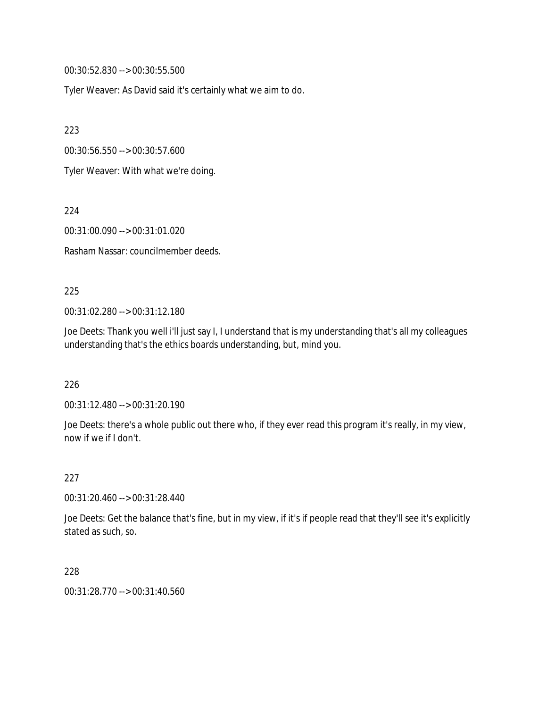00:30:52.830 --> 00:30:55.500

Tyler Weaver: As David said it's certainly what we aim to do.

223

00:30:56.550 --> 00:30:57.600

Tyler Weaver: With what we're doing.

224

00:31:00.090 --> 00:31:01.020

Rasham Nassar: councilmember deeds.

#### 225

00:31:02.280 --> 00:31:12.180

Joe Deets: Thank you well i'll just say I, I understand that is my understanding that's all my colleagues understanding that's the ethics boards understanding, but, mind you.

226

00:31:12.480 --> 00:31:20.190

Joe Deets: there's a whole public out there who, if they ever read this program it's really, in my view, now if we if I don't.

227

00:31:20.460 --> 00:31:28.440

Joe Deets: Get the balance that's fine, but in my view, if it's if people read that they'll see it's explicitly stated as such, so.

228

00:31:28.770 --> 00:31:40.560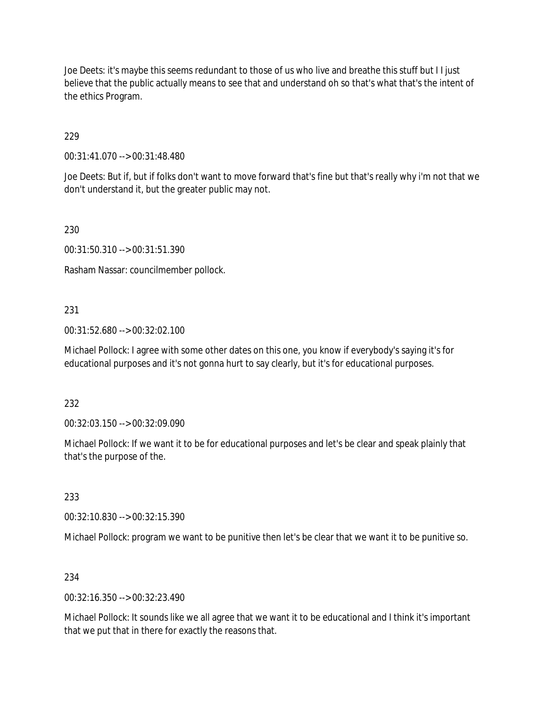Joe Deets: it's maybe this seems redundant to those of us who live and breathe this stuff but I I just believe that the public actually means to see that and understand oh so that's what that's the intent of the ethics Program.

229

00:31:41.070 --> 00:31:48.480

Joe Deets: But if, but if folks don't want to move forward that's fine but that's really why i'm not that we don't understand it, but the greater public may not.

230

00:31:50.310 --> 00:31:51.390

Rasham Nassar: councilmember pollock.

### 231

00:31:52.680 --> 00:32:02.100

Michael Pollock: I agree with some other dates on this one, you know if everybody's saying it's for educational purposes and it's not gonna hurt to say clearly, but it's for educational purposes.

232

00:32:03.150 --> 00:32:09.090

Michael Pollock: If we want it to be for educational purposes and let's be clear and speak plainly that that's the purpose of the.

233

00:32:10.830 --> 00:32:15.390

Michael Pollock: program we want to be punitive then let's be clear that we want it to be punitive so.

### 234

00:32:16.350 --> 00:32:23.490

Michael Pollock: It sounds like we all agree that we want it to be educational and I think it's important that we put that in there for exactly the reasons that.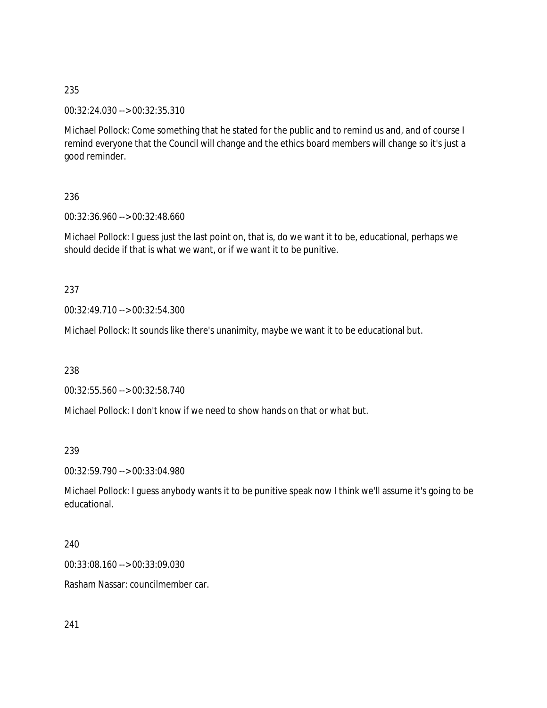00:32:24.030 --> 00:32:35.310

Michael Pollock: Come something that he stated for the public and to remind us and, and of course I remind everyone that the Council will change and the ethics board members will change so it's just a good reminder.

236

00:32:36.960 --> 00:32:48.660

Michael Pollock: I guess just the last point on, that is, do we want it to be, educational, perhaps we should decide if that is what we want, or if we want it to be punitive.

237

00:32:49.710 --> 00:32:54.300

Michael Pollock: It sounds like there's unanimity, maybe we want it to be educational but.

238

00:32:55.560 --> 00:32:58.740

Michael Pollock: I don't know if we need to show hands on that or what but.

239

00:32:59.790 --> 00:33:04.980

Michael Pollock: I guess anybody wants it to be punitive speak now I think we'll assume it's going to be educational.

240

00:33:08.160 --> 00:33:09.030

Rasham Nassar: councilmember car.

241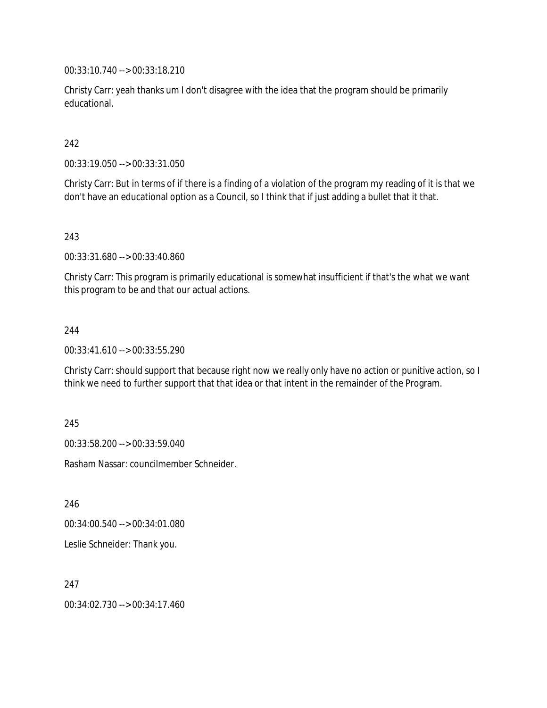00:33:10.740 --> 00:33:18.210

Christy Carr: yeah thanks um I don't disagree with the idea that the program should be primarily educational.

242

00:33:19.050 --> 00:33:31.050

Christy Carr: But in terms of if there is a finding of a violation of the program my reading of it is that we don't have an educational option as a Council, so I think that if just adding a bullet that it that.

243

00:33:31.680 --> 00:33:40.860

Christy Carr: This program is primarily educational is somewhat insufficient if that's the what we want this program to be and that our actual actions.

244

00:33:41.610 --> 00:33:55.290

Christy Carr: should support that because right now we really only have no action or punitive action, so I think we need to further support that that idea or that intent in the remainder of the Program.

245

00:33:58.200 --> 00:33:59.040

Rasham Nassar: councilmember Schneider.

246

00:34:00.540 --> 00:34:01.080

Leslie Schneider: Thank you.

247

00:34:02.730 --> 00:34:17.460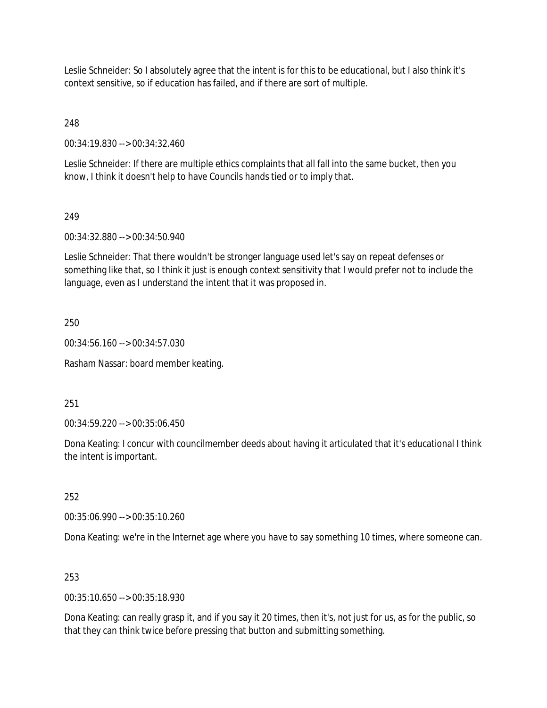Leslie Schneider: So I absolutely agree that the intent is for this to be educational, but I also think it's context sensitive, so if education has failed, and if there are sort of multiple.

248

00:34:19.830 --> 00:34:32.460

Leslie Schneider: If there are multiple ethics complaints that all fall into the same bucket, then you know, I think it doesn't help to have Councils hands tied or to imply that.

# 249

00:34:32.880 --> 00:34:50.940

Leslie Schneider: That there wouldn't be stronger language used let's say on repeat defenses or something like that, so I think it just is enough context sensitivity that I would prefer not to include the language, even as I understand the intent that it was proposed in.

### 250

00:34:56.160 --> 00:34:57.030

Rasham Nassar: board member keating.

### 251

00:34:59.220 --> 00:35:06.450

Dona Keating: I concur with councilmember deeds about having it articulated that it's educational I think the intent is important.

### 252

00:35:06.990 --> 00:35:10.260

Dona Keating: we're in the Internet age where you have to say something 10 times, where someone can.

### 253

00:35:10.650 --> 00:35:18.930

Dona Keating: can really grasp it, and if you say it 20 times, then it's, not just for us, as for the public, so that they can think twice before pressing that button and submitting something.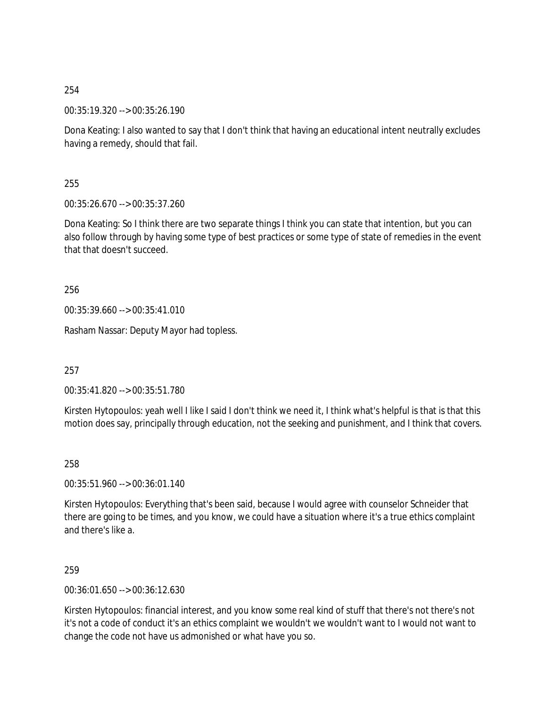00:35:19.320 --> 00:35:26.190

Dona Keating: I also wanted to say that I don't think that having an educational intent neutrally excludes having a remedy, should that fail.

255

00:35:26.670 --> 00:35:37.260

Dona Keating: So I think there are two separate things I think you can state that intention, but you can also follow through by having some type of best practices or some type of state of remedies in the event that that doesn't succeed.

256

00:35:39.660 --> 00:35:41.010

Rasham Nassar: Deputy Mayor had topless.

257

00:35:41.820 --> 00:35:51.780

Kirsten Hytopoulos: yeah well I like I said I don't think we need it, I think what's helpful is that is that this motion does say, principally through education, not the seeking and punishment, and I think that covers.

258

00:35:51.960 --> 00:36:01.140

Kirsten Hytopoulos: Everything that's been said, because I would agree with counselor Schneider that there are going to be times, and you know, we could have a situation where it's a true ethics complaint and there's like a.

259

00:36:01.650 --> 00:36:12.630

Kirsten Hytopoulos: financial interest, and you know some real kind of stuff that there's not there's not it's not a code of conduct it's an ethics complaint we wouldn't we wouldn't want to I would not want to change the code not have us admonished or what have you so.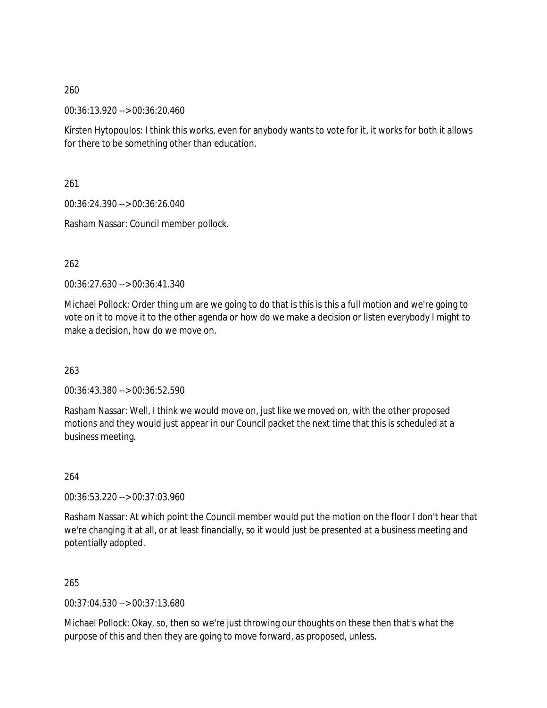00:36:13.920 --> 00:36:20.460

Kirsten Hytopoulos: I think this works, even for anybody wants to vote for it, it works for both it allows for there to be something other than education.

261

00:36:24.390 --> 00:36:26.040

Rasham Nassar: Council member pollock.

262

00:36:27.630 --> 00:36:41.340

Michael Pollock: Order thing um are we going to do that is this is this a full motion and we're going to vote on it to move it to the other agenda or how do we make a decision or listen everybody I might to make a decision, how do we move on.

263

00:36:43.380 --> 00:36:52.590

Rasham Nassar: Well, I think we would move on, just like we moved on, with the other proposed motions and they would just appear in our Council packet the next time that this is scheduled at a business meeting.

264

00:36:53.220 --> 00:37:03.960

Rasham Nassar: At which point the Council member would put the motion on the floor I don't hear that we're changing it at all, or at least financially, so it would just be presented at a business meeting and potentially adopted.

265

00:37:04.530 --> 00:37:13.680

Michael Pollock: Okay, so, then so we're just throwing our thoughts on these then that's what the purpose of this and then they are going to move forward, as proposed, unless.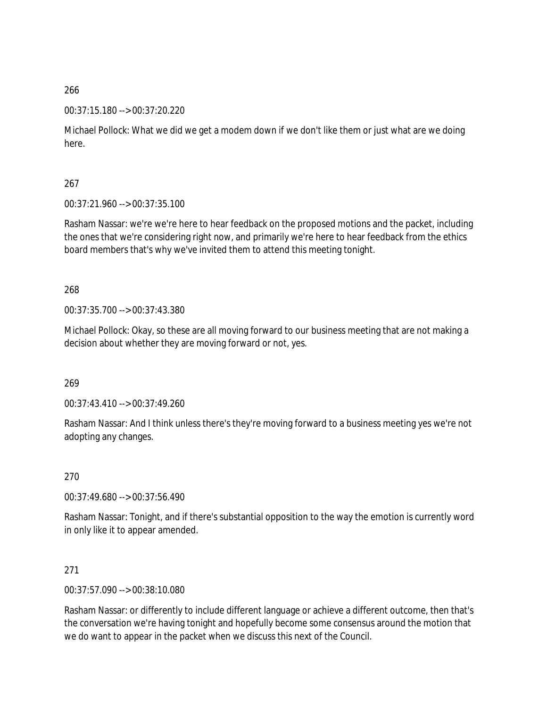### 00:37:15.180 --> 00:37:20.220

Michael Pollock: What we did we get a modem down if we don't like them or just what are we doing here.

267

00:37:21.960 --> 00:37:35.100

Rasham Nassar: we're we're here to hear feedback on the proposed motions and the packet, including the ones that we're considering right now, and primarily we're here to hear feedback from the ethics board members that's why we've invited them to attend this meeting tonight.

268

00:37:35.700 --> 00:37:43.380

Michael Pollock: Okay, so these are all moving forward to our business meeting that are not making a decision about whether they are moving forward or not, yes.

269

00:37:43.410 --> 00:37:49.260

Rasham Nassar: And I think unless there's they're moving forward to a business meeting yes we're not adopting any changes.

270

00:37:49.680 --> 00:37:56.490

Rasham Nassar: Tonight, and if there's substantial opposition to the way the emotion is currently word in only like it to appear amended.

271

00:37:57.090 --> 00:38:10.080

Rasham Nassar: or differently to include different language or achieve a different outcome, then that's the conversation we're having tonight and hopefully become some consensus around the motion that we do want to appear in the packet when we discuss this next of the Council.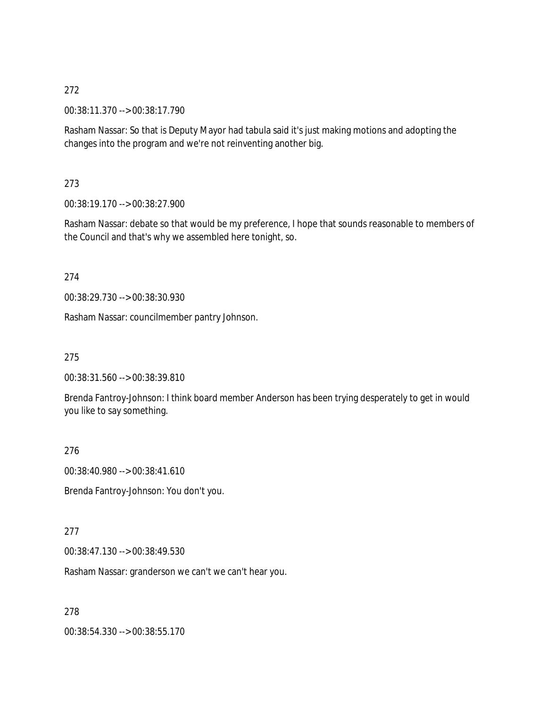00:38:11.370 --> 00:38:17.790

Rasham Nassar: So that is Deputy Mayor had tabula said it's just making motions and adopting the changes into the program and we're not reinventing another big.

273

00:38:19.170 --> 00:38:27.900

Rasham Nassar: debate so that would be my preference, I hope that sounds reasonable to members of the Council and that's why we assembled here tonight, so.

274

00:38:29.730 --> 00:38:30.930

Rasham Nassar: councilmember pantry Johnson.

275

00:38:31.560 --> 00:38:39.810

Brenda Fantroy-Johnson: I think board member Anderson has been trying desperately to get in would you like to say something.

276

00:38:40.980 --> 00:38:41.610

Brenda Fantroy-Johnson: You don't you.

277

00:38:47.130 --> 00:38:49.530

Rasham Nassar: granderson we can't we can't hear you.

278

00:38:54.330 --> 00:38:55.170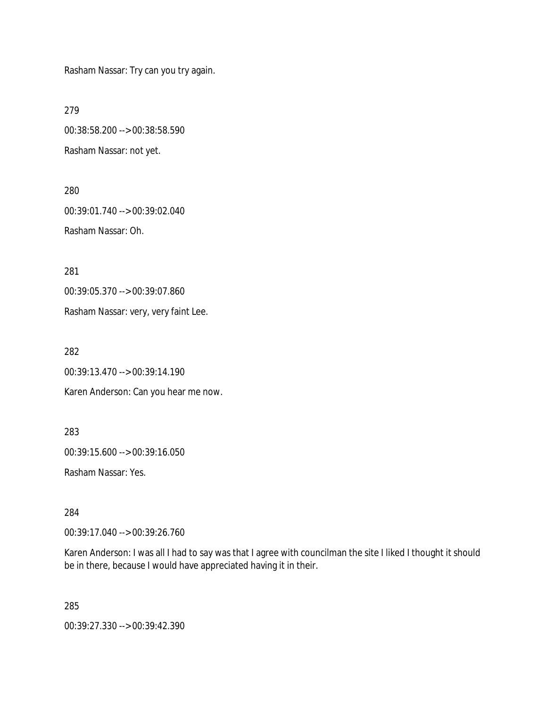Rasham Nassar: Try can you try again.

279

00:38:58.200 --> 00:38:58.590 Rasham Nassar: not yet.

280 00:39:01.740 --> 00:39:02.040 Rasham Nassar: Oh.

281

00:39:05.370 --> 00:39:07.860

Rasham Nassar: very, very faint Lee.

282

00:39:13.470 --> 00:39:14.190

Karen Anderson: Can you hear me now.

283

00:39:15.600 --> 00:39:16.050

Rasham Nassar: Yes.

284

00:39:17.040 --> 00:39:26.760

Karen Anderson: I was all I had to say was that I agree with councilman the site I liked I thought it should be in there, because I would have appreciated having it in their.

285

00:39:27.330 --> 00:39:42.390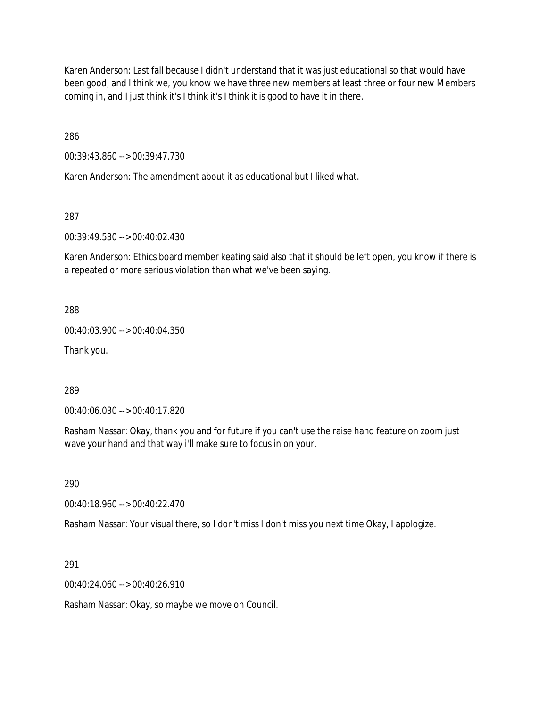Karen Anderson: Last fall because I didn't understand that it was just educational so that would have been good, and I think we, you know we have three new members at least three or four new Members coming in, and I just think it's I think it's I think it is good to have it in there.

286

00:39:43.860 --> 00:39:47.730

Karen Anderson: The amendment about it as educational but I liked what.

287

00:39:49.530 --> 00:40:02.430

Karen Anderson: Ethics board member keating said also that it should be left open, you know if there is a repeated or more serious violation than what we've been saying.

288

00:40:03.900 --> 00:40:04.350

Thank you.

289

00:40:06.030 --> 00:40:17.820

Rasham Nassar: Okay, thank you and for future if you can't use the raise hand feature on zoom just wave your hand and that way i'll make sure to focus in on your.

290

00:40:18.960 --> 00:40:22.470

Rasham Nassar: Your visual there, so I don't miss I don't miss you next time Okay, I apologize.

291

00:40:24.060 --> 00:40:26.910

Rasham Nassar: Okay, so maybe we move on Council.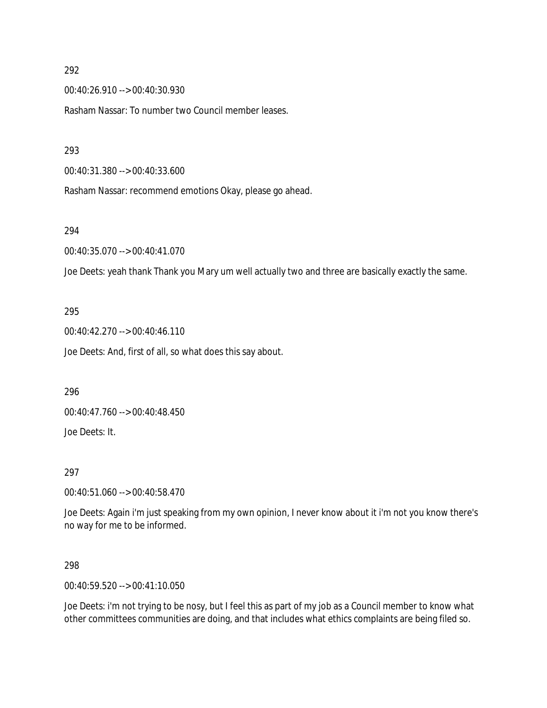00:40:26.910 --> 00:40:30.930

Rasham Nassar: To number two Council member leases.

293

00:40:31.380 --> 00:40:33.600

Rasham Nassar: recommend emotions Okay, please go ahead.

#### 294

00:40:35.070 --> 00:40:41.070

Joe Deets: yeah thank Thank you Mary um well actually two and three are basically exactly the same.

#### 295

00:40:42.270 --> 00:40:46.110 Joe Deets: And, first of all, so what does this say about.

296

00:40:47.760 --> 00:40:48.450

Joe Deets: It.

#### 297

00:40:51.060 --> 00:40:58.470

Joe Deets: Again i'm just speaking from my own opinion, I never know about it i'm not you know there's no way for me to be informed.

298

00:40:59.520 --> 00:41:10.050

Joe Deets: i'm not trying to be nosy, but I feel this as part of my job as a Council member to know what other committees communities are doing, and that includes what ethics complaints are being filed so.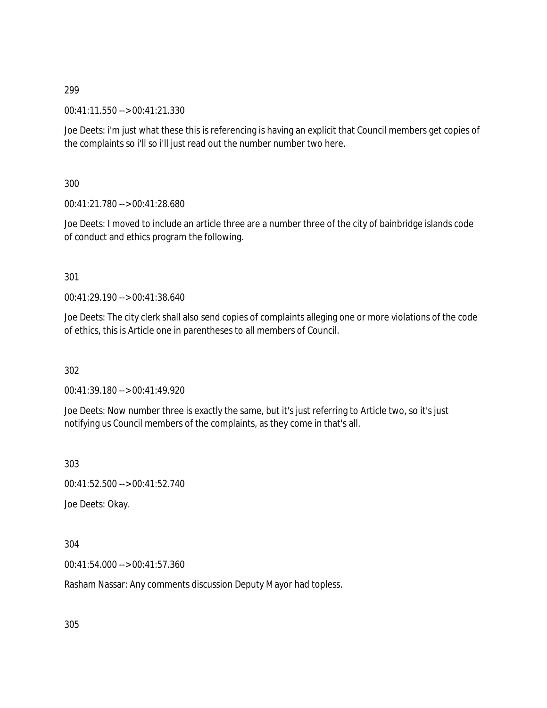00:41:11.550 --> 00:41:21.330

Joe Deets: i'm just what these this is referencing is having an explicit that Council members get copies of the complaints so i'll so i'll just read out the number number two here.

300

00:41:21.780 --> 00:41:28.680

Joe Deets: I moved to include an article three are a number three of the city of bainbridge islands code of conduct and ethics program the following.

### 301

00:41:29.190 --> 00:41:38.640

Joe Deets: The city clerk shall also send copies of complaints alleging one or more violations of the code of ethics, this is Article one in parentheses to all members of Council.

302

00:41:39.180 --> 00:41:49.920

Joe Deets: Now number three is exactly the same, but it's just referring to Article two, so it's just notifying us Council members of the complaints, as they come in that's all.

303

00:41:52.500 --> 00:41:52.740

Joe Deets: Okay.

304

00:41:54.000 --> 00:41:57.360

Rasham Nassar: Any comments discussion Deputy Mayor had topless.

305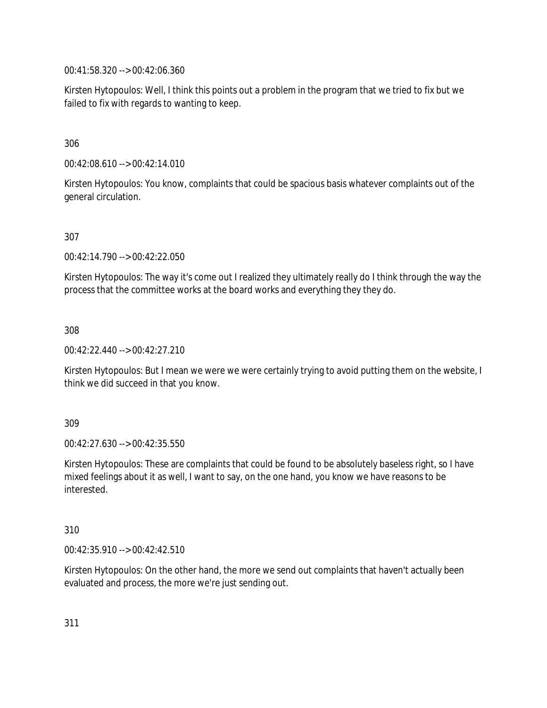00:41:58.320 --> 00:42:06.360

Kirsten Hytopoulos: Well, I think this points out a problem in the program that we tried to fix but we failed to fix with regards to wanting to keep.

## 306

00:42:08.610 --> 00:42:14.010

Kirsten Hytopoulos: You know, complaints that could be spacious basis whatever complaints out of the general circulation.

### 307

00:42:14.790 --> 00:42:22.050

Kirsten Hytopoulos: The way it's come out I realized they ultimately really do I think through the way the process that the committee works at the board works and everything they they do.

308

00:42:22.440 --> 00:42:27.210

Kirsten Hytopoulos: But I mean we were we were certainly trying to avoid putting them on the website, I think we did succeed in that you know.

309

00:42:27.630 --> 00:42:35.550

Kirsten Hytopoulos: These are complaints that could be found to be absolutely baseless right, so I have mixed feelings about it as well, I want to say, on the one hand, you know we have reasons to be interested.

### 310

00:42:35.910 --> 00:42:42.510

Kirsten Hytopoulos: On the other hand, the more we send out complaints that haven't actually been evaluated and process, the more we're just sending out.

311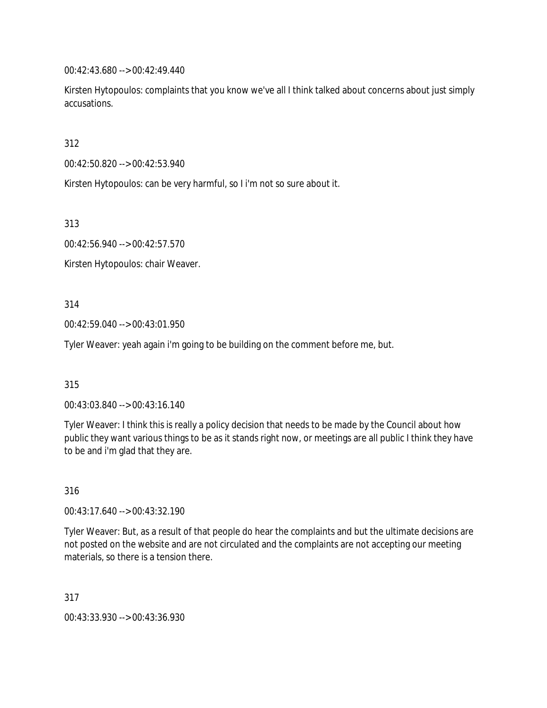00:42:43.680 --> 00:42:49.440

Kirsten Hytopoulos: complaints that you know we've all I think talked about concerns about just simply accusations.

312

00:42:50.820 --> 00:42:53.940

Kirsten Hytopoulos: can be very harmful, so I i'm not so sure about it.

313

00:42:56.940 --> 00:42:57.570

Kirsten Hytopoulos: chair Weaver.

314

00:42:59.040 --> 00:43:01.950

Tyler Weaver: yeah again i'm going to be building on the comment before me, but.

315

00:43:03.840 --> 00:43:16.140

Tyler Weaver: I think this is really a policy decision that needs to be made by the Council about how public they want various things to be as it stands right now, or meetings are all public I think they have to be and i'm glad that they are.

316

00:43:17.640 --> 00:43:32.190

Tyler Weaver: But, as a result of that people do hear the complaints and but the ultimate decisions are not posted on the website and are not circulated and the complaints are not accepting our meeting materials, so there is a tension there.

317

00:43:33.930 --> 00:43:36.930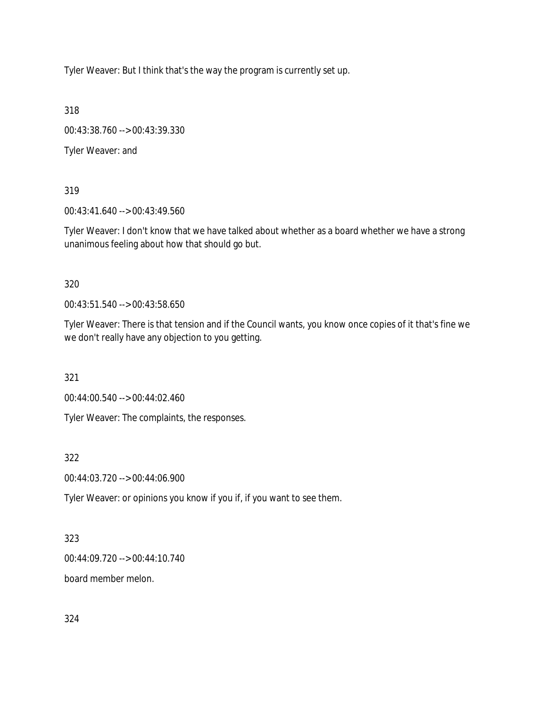Tyler Weaver: But I think that's the way the program is currently set up.

318

00:43:38.760 --> 00:43:39.330

Tyler Weaver: and

319

00:43:41.640 --> 00:43:49.560

Tyler Weaver: I don't know that we have talked about whether as a board whether we have a strong unanimous feeling about how that should go but.

320

00:43:51.540 --> 00:43:58.650

Tyler Weaver: There is that tension and if the Council wants, you know once copies of it that's fine we we don't really have any objection to you getting.

321

00:44:00.540 --> 00:44:02.460

Tyler Weaver: The complaints, the responses.

322

00:44:03.720 --> 00:44:06.900

Tyler Weaver: or opinions you know if you if, if you want to see them.

323

00:44:09.720 --> 00:44:10.740

board member melon.

324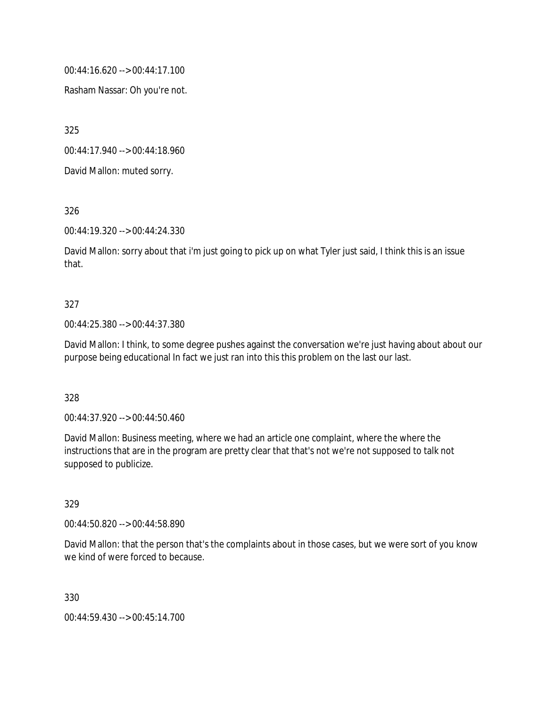00:44:16.620 --> 00:44:17.100

Rasham Nassar: Oh you're not.

325

00:44:17.940 --> 00:44:18.960

David Mallon: muted sorry.

326

00:44:19.320 --> 00:44:24.330

David Mallon: sorry about that i'm just going to pick up on what Tyler just said, I think this is an issue that.

### 327

00:44:25.380 --> 00:44:37.380

David Mallon: I think, to some degree pushes against the conversation we're just having about about our purpose being educational In fact we just ran into this this problem on the last our last.

#### 328

00:44:37.920 --> 00:44:50.460

David Mallon: Business meeting, where we had an article one complaint, where the where the instructions that are in the program are pretty clear that that's not we're not supposed to talk not supposed to publicize.

### 329

00:44:50.820 --> 00:44:58.890

David Mallon: that the person that's the complaints about in those cases, but we were sort of you know we kind of were forced to because.

330

00:44:59.430 --> 00:45:14.700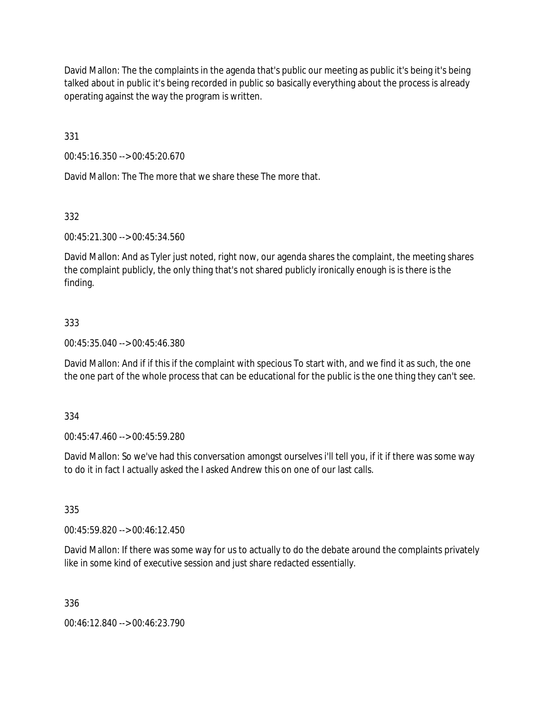David Mallon: The the complaints in the agenda that's public our meeting as public it's being it's being talked about in public it's being recorded in public so basically everything about the process is already operating against the way the program is written.

331

00:45:16.350 --> 00:45:20.670

David Mallon: The The more that we share these The more that.

332

00:45:21.300 --> 00:45:34.560

David Mallon: And as Tyler just noted, right now, our agenda shares the complaint, the meeting shares the complaint publicly, the only thing that's not shared publicly ironically enough is is there is the finding.

# 333

00:45:35.040 --> 00:45:46.380

David Mallon: And if if this if the complaint with specious To start with, and we find it as such, the one the one part of the whole process that can be educational for the public is the one thing they can't see.

334

00:45:47.460 --> 00:45:59.280

David Mallon: So we've had this conversation amongst ourselves i'll tell you, if it if there was some way to do it in fact I actually asked the I asked Andrew this on one of our last calls.

335

00:45:59.820 --> 00:46:12.450

David Mallon: If there was some way for us to actually to do the debate around the complaints privately like in some kind of executive session and just share redacted essentially.

336

00:46:12.840 --> 00:46:23.790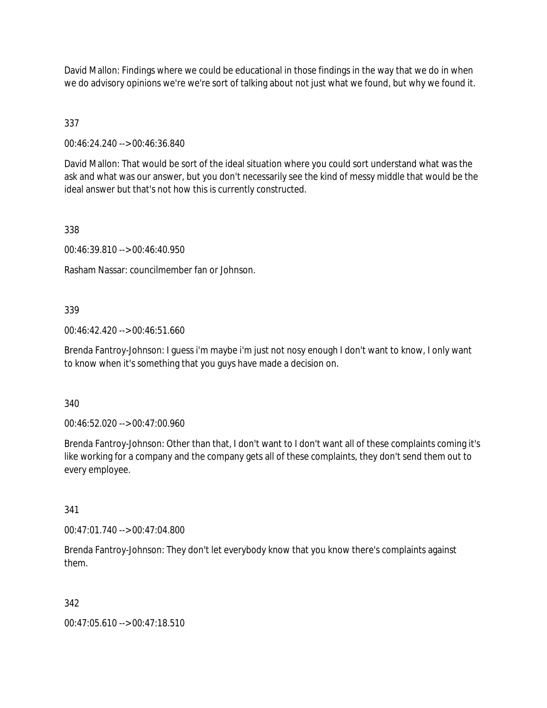David Mallon: Findings where we could be educational in those findings in the way that we do in when we do advisory opinions we're we're sort of talking about not just what we found, but why we found it.

337

00:46:24.240 --> 00:46:36.840

David Mallon: That would be sort of the ideal situation where you could sort understand what was the ask and what was our answer, but you don't necessarily see the kind of messy middle that would be the ideal answer but that's not how this is currently constructed.

338

00:46:39.810 --> 00:46:40.950

Rasham Nassar: councilmember fan or Johnson.

### 339

00:46:42.420 --> 00:46:51.660

Brenda Fantroy-Johnson: I guess i'm maybe i'm just not nosy enough I don't want to know, I only want to know when it's something that you guys have made a decision on.

340

00:46:52.020 --> 00:47:00.960

Brenda Fantroy-Johnson: Other than that, I don't want to I don't want all of these complaints coming it's like working for a company and the company gets all of these complaints, they don't send them out to every employee.

341

00:47:01.740 --> 00:47:04.800

Brenda Fantroy-Johnson: They don't let everybody know that you know there's complaints against them.

### 342

00:47:05.610 --> 00:47:18.510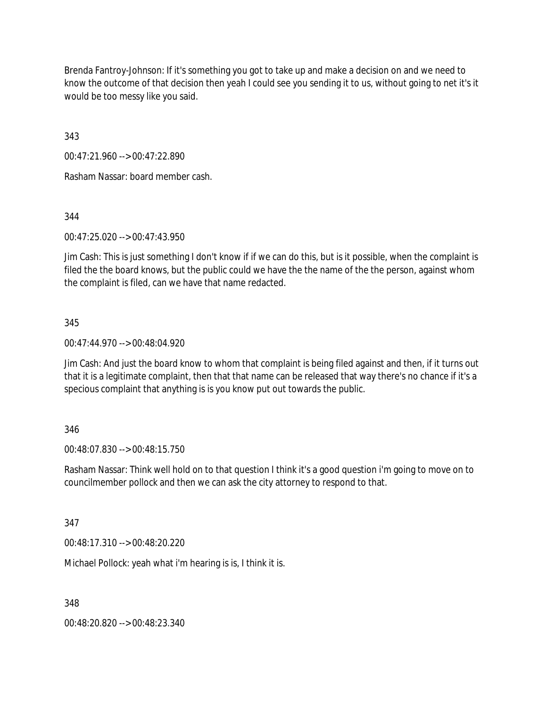Brenda Fantroy-Johnson: If it's something you got to take up and make a decision on and we need to know the outcome of that decision then yeah I could see you sending it to us, without going to net it's it would be too messy like you said.

343

00:47:21.960 --> 00:47:22.890

Rasham Nassar: board member cash.

344

00:47:25.020 --> 00:47:43.950

Jim Cash: This is just something I don't know if if we can do this, but is it possible, when the complaint is filed the the board knows, but the public could we have the the name of the the person, against whom the complaint is filed, can we have that name redacted.

#### 345

00:47:44.970 --> 00:48:04.920

Jim Cash: And just the board know to whom that complaint is being filed against and then, if it turns out that it is a legitimate complaint, then that that name can be released that way there's no chance if it's a specious complaint that anything is is you know put out towards the public.

### 346

00:48:07.830 --> 00:48:15.750

Rasham Nassar: Think well hold on to that question I think it's a good question i'm going to move on to councilmember pollock and then we can ask the city attorney to respond to that.

347

00:48:17.310 --> 00:48:20.220

Michael Pollock: yeah what i'm hearing is is, I think it is.

348

00:48:20.820 --> 00:48:23.340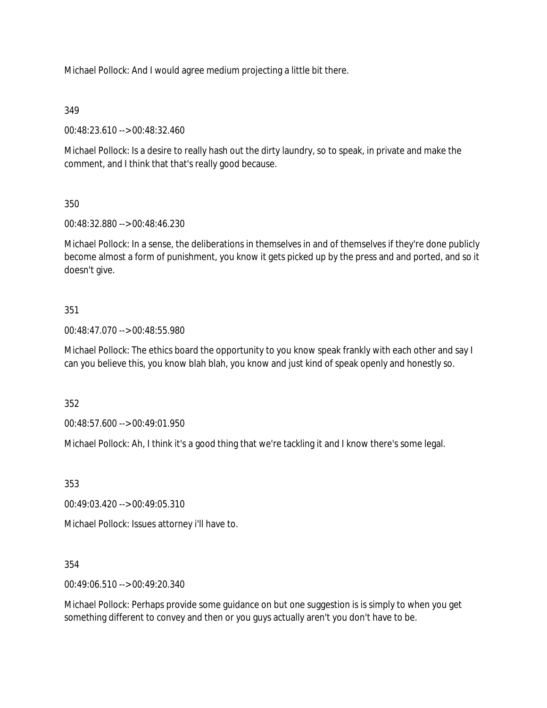Michael Pollock: And I would agree medium projecting a little bit there.

# 349

00:48:23.610 --> 00:48:32.460

Michael Pollock: Is a desire to really hash out the dirty laundry, so to speak, in private and make the comment, and I think that that's really good because.

# 350

00:48:32.880 --> 00:48:46.230

Michael Pollock: In a sense, the deliberations in themselves in and of themselves if they're done publicly become almost a form of punishment, you know it gets picked up by the press and and ported, and so it doesn't give.

# 351

00:48:47.070 --> 00:48:55.980

Michael Pollock: The ethics board the opportunity to you know speak frankly with each other and say I can you believe this, you know blah blah, you know and just kind of speak openly and honestly so.

352

00:48:57.600 --> 00:49:01.950

Michael Pollock: Ah, I think it's a good thing that we're tackling it and I know there's some legal.

353

00:49:03.420 --> 00:49:05.310

Michael Pollock: Issues attorney i'll have to.

354

00:49:06.510 --> 00:49:20.340

Michael Pollock: Perhaps provide some guidance on but one suggestion is is simply to when you get something different to convey and then or you guys actually aren't you don't have to be.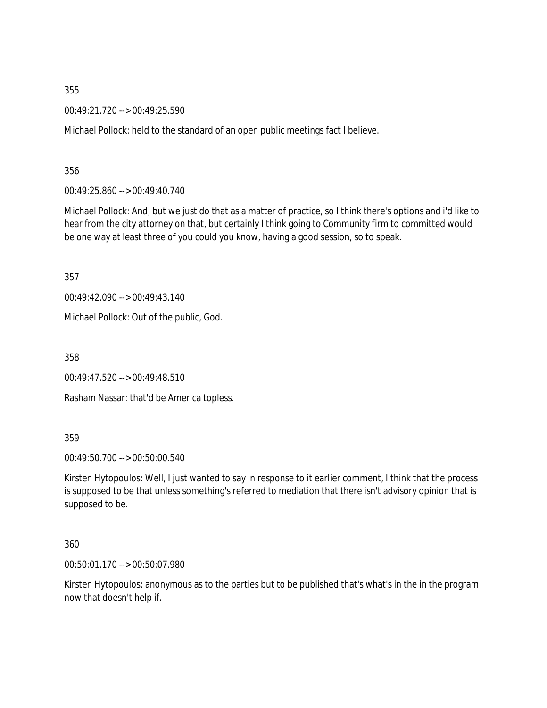00:49:21.720 --> 00:49:25.590

Michael Pollock: held to the standard of an open public meetings fact I believe.

356

00:49:25.860 --> 00:49:40.740

Michael Pollock: And, but we just do that as a matter of practice, so I think there's options and i'd like to hear from the city attorney on that, but certainly I think going to Community firm to committed would be one way at least three of you could you know, having a good session, so to speak.

357

00:49:42.090 --> 00:49:43.140

Michael Pollock: Out of the public, God.

358

00:49:47.520 --> 00:49:48.510

Rasham Nassar: that'd be America topless.

359

00:49:50.700 --> 00:50:00.540

Kirsten Hytopoulos: Well, I just wanted to say in response to it earlier comment, I think that the process is supposed to be that unless something's referred to mediation that there isn't advisory opinion that is supposed to be.

360

00:50:01.170 --> 00:50:07.980

Kirsten Hytopoulos: anonymous as to the parties but to be published that's what's in the in the program now that doesn't help if.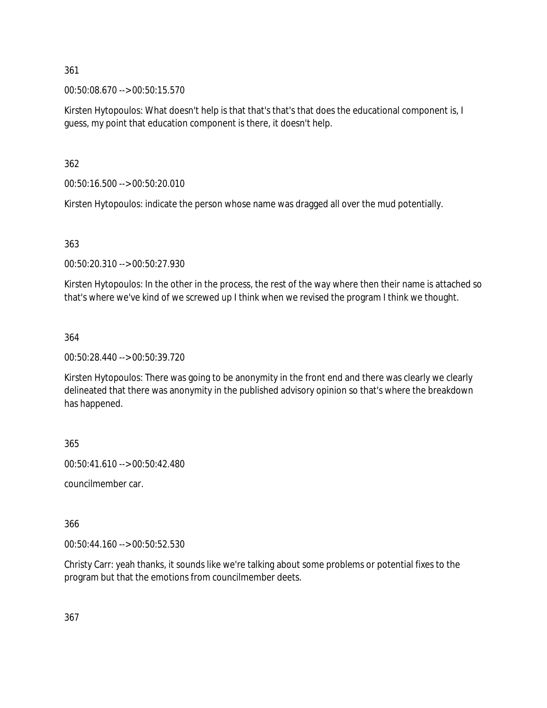00:50:08.670 --> 00:50:15.570

Kirsten Hytopoulos: What doesn't help is that that's that's that does the educational component is, I guess, my point that education component is there, it doesn't help.

362

00:50:16.500 --> 00:50:20.010

Kirsten Hytopoulos: indicate the person whose name was dragged all over the mud potentially.

363

00:50:20.310 --> 00:50:27.930

Kirsten Hytopoulos: In the other in the process, the rest of the way where then their name is attached so that's where we've kind of we screwed up I think when we revised the program I think we thought.

#### 364

00:50:28.440 --> 00:50:39.720

Kirsten Hytopoulos: There was going to be anonymity in the front end and there was clearly we clearly delineated that there was anonymity in the published advisory opinion so that's where the breakdown has happened.

365

00:50:41.610 --> 00:50:42.480

councilmember car.

366

00:50:44.160 --> 00:50:52.530

Christy Carr: yeah thanks, it sounds like we're talking about some problems or potential fixes to the program but that the emotions from councilmember deets.

367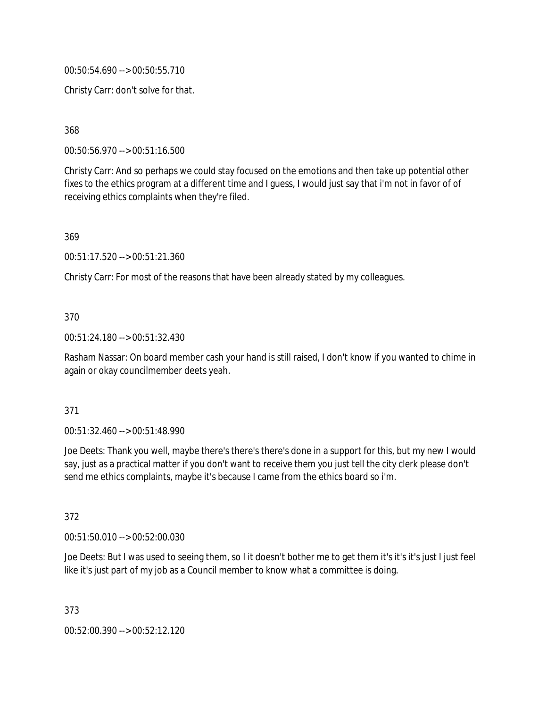00:50:54.690 --> 00:50:55.710

Christy Carr: don't solve for that.

368

00:50:56.970 --> 00:51:16.500

Christy Carr: And so perhaps we could stay focused on the emotions and then take up potential other fixes to the ethics program at a different time and I guess, I would just say that i'm not in favor of of receiving ethics complaints when they're filed.

369

00:51:17.520 --> 00:51:21.360

Christy Carr: For most of the reasons that have been already stated by my colleagues.

### 370

00:51:24.180 --> 00:51:32.430

Rasham Nassar: On board member cash your hand is still raised, I don't know if you wanted to chime in again or okay councilmember deets yeah.

### 371

00:51:32.460 --> 00:51:48.990

Joe Deets: Thank you well, maybe there's there's there's done in a support for this, but my new I would say, just as a practical matter if you don't want to receive them you just tell the city clerk please don't send me ethics complaints, maybe it's because I came from the ethics board so i'm.

372

00:51:50.010 --> 00:52:00.030

Joe Deets: But I was used to seeing them, so I it doesn't bother me to get them it's it's it's just I just feel like it's just part of my job as a Council member to know what a committee is doing.

373 00:52:00.390 --> 00:52:12.120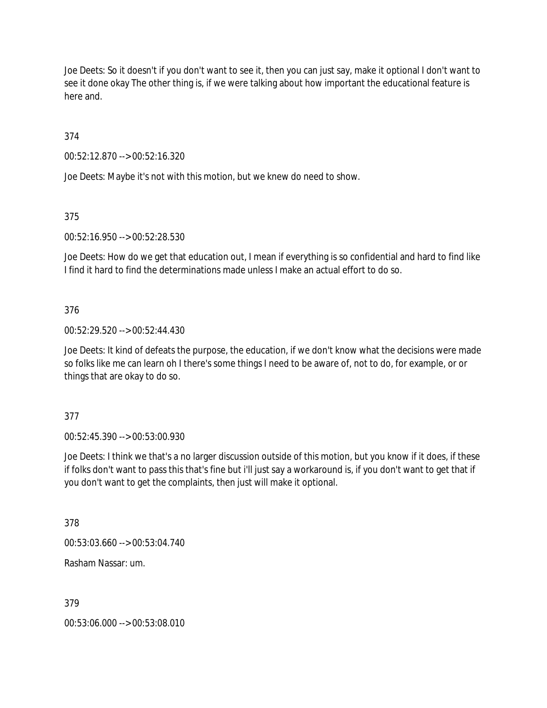Joe Deets: So it doesn't if you don't want to see it, then you can just say, make it optional I don't want to see it done okay The other thing is, if we were talking about how important the educational feature is here and.

374

00:52:12.870 --> 00:52:16.320

Joe Deets: Maybe it's not with this motion, but we knew do need to show.

375

00:52:16.950 --> 00:52:28.530

Joe Deets: How do we get that education out, I mean if everything is so confidential and hard to find like I find it hard to find the determinations made unless I make an actual effort to do so.

# 376

00:52:29.520 --> 00:52:44.430

Joe Deets: It kind of defeats the purpose, the education, if we don't know what the decisions were made so folks like me can learn oh I there's some things I need to be aware of, not to do, for example, or or things that are okay to do so.

377

00:52:45.390 --> 00:53:00.930

Joe Deets: I think we that's a no larger discussion outside of this motion, but you know if it does, if these if folks don't want to pass this that's fine but i'll just say a workaround is, if you don't want to get that if you don't want to get the complaints, then just will make it optional.

378

00:53:03.660 --> 00:53:04.740

Rasham Nassar: um.

379

00:53:06.000 --> 00:53:08.010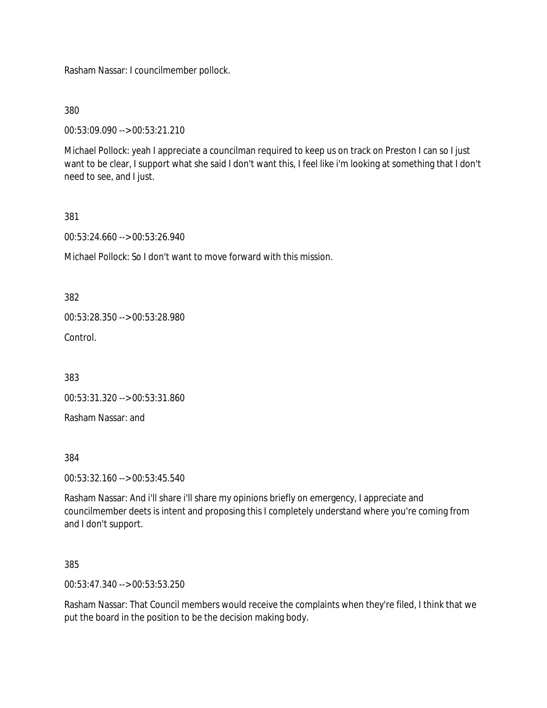Rasham Nassar: I councilmember pollock.

380

00:53:09.090 --> 00:53:21.210

Michael Pollock: yeah I appreciate a councilman required to keep us on track on Preston I can so I just want to be clear, I support what she said I don't want this, I feel like i'm looking at something that I don't need to see, and I just.

381

00:53:24.660 --> 00:53:26.940

Michael Pollock: So I don't want to move forward with this mission.

382

00:53:28.350 --> 00:53:28.980

**Control** 

383

00:53:31.320 --> 00:53:31.860

Rasham Nassar: and

384

00:53:32.160 --> 00:53:45.540

Rasham Nassar: And i'll share i'll share my opinions briefly on emergency, I appreciate and councilmember deets is intent and proposing this I completely understand where you're coming from and I don't support.

385

00:53:47.340 --> 00:53:53.250

Rasham Nassar: That Council members would receive the complaints when they're filed, I think that we put the board in the position to be the decision making body.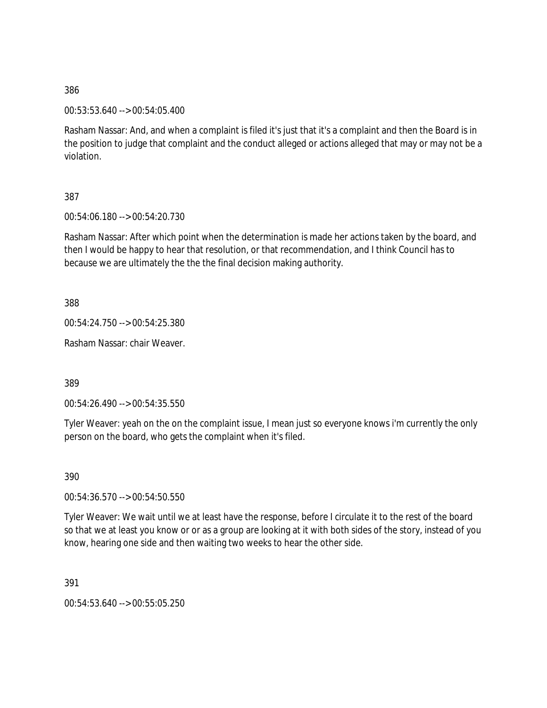00:53:53.640 --> 00:54:05.400

Rasham Nassar: And, and when a complaint is filed it's just that it's a complaint and then the Board is in the position to judge that complaint and the conduct alleged or actions alleged that may or may not be a violation.

387

00:54:06.180 --> 00:54:20.730

Rasham Nassar: After which point when the determination is made her actions taken by the board, and then I would be happy to hear that resolution, or that recommendation, and I think Council has to because we are ultimately the the the final decision making authority.

388

00:54:24.750 --> 00:54:25.380

Rasham Nassar: chair Weaver.

389

00:54:26.490 --> 00:54:35.550

Tyler Weaver: yeah on the on the complaint issue, I mean just so everyone knows i'm currently the only person on the board, who gets the complaint when it's filed.

390

00:54:36.570 --> 00:54:50.550

Tyler Weaver: We wait until we at least have the response, before I circulate it to the rest of the board so that we at least you know or or as a group are looking at it with both sides of the story, instead of you know, hearing one side and then waiting two weeks to hear the other side.

391

00:54:53.640 --> 00:55:05.250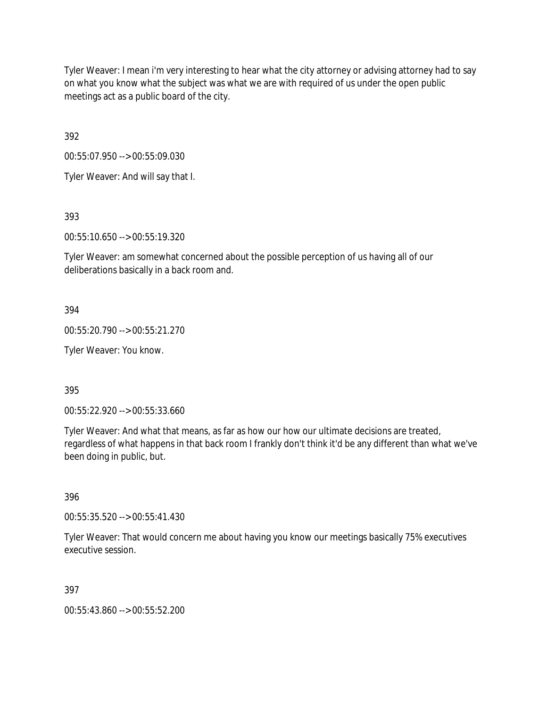Tyler Weaver: I mean i'm very interesting to hear what the city attorney or advising attorney had to say on what you know what the subject was what we are with required of us under the open public meetings act as a public board of the city.

392

00:55:07.950 --> 00:55:09.030

Tyler Weaver: And will say that I.

393

00:55:10.650 --> 00:55:19.320

Tyler Weaver: am somewhat concerned about the possible perception of us having all of our deliberations basically in a back room and.

394

00:55:20.790 --> 00:55:21.270

Tyler Weaver: You know.

395

00:55:22.920 --> 00:55:33.660

Tyler Weaver: And what that means, as far as how our how our ultimate decisions are treated, regardless of what happens in that back room I frankly don't think it'd be any different than what we've been doing in public, but.

396

00:55:35.520 --> 00:55:41.430

Tyler Weaver: That would concern me about having you know our meetings basically 75% executives executive session.

397

00:55:43.860 --> 00:55:52.200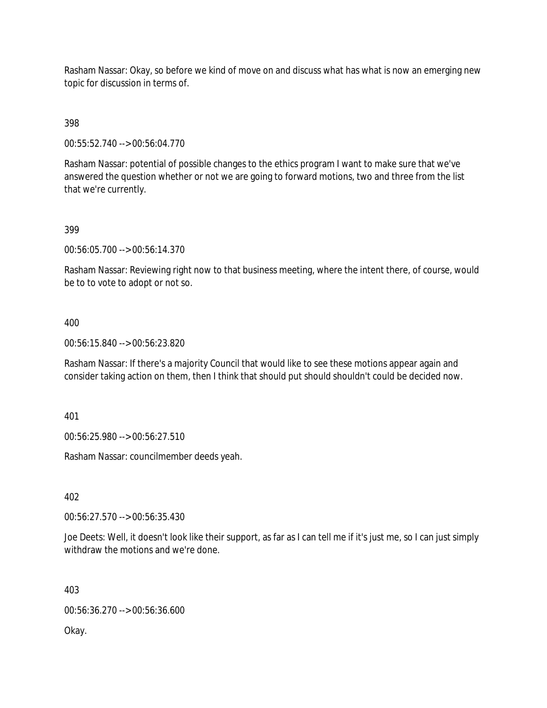Rasham Nassar: Okay, so before we kind of move on and discuss what has what is now an emerging new topic for discussion in terms of.

398

00:55:52.740 --> 00:56:04.770

Rasham Nassar: potential of possible changes to the ethics program I want to make sure that we've answered the question whether or not we are going to forward motions, two and three from the list that we're currently.

#### 399

00:56:05.700 --> 00:56:14.370

Rasham Nassar: Reviewing right now to that business meeting, where the intent there, of course, would be to to vote to adopt or not so.

#### 400

00:56:15.840 --> 00:56:23.820

Rasham Nassar: If there's a majority Council that would like to see these motions appear again and consider taking action on them, then I think that should put should shouldn't could be decided now.

401

00:56:25.980 --> 00:56:27.510

Rasham Nassar: councilmember deeds yeah.

402

00:56:27.570 --> 00:56:35.430

Joe Deets: Well, it doesn't look like their support, as far as I can tell me if it's just me, so I can just simply withdraw the motions and we're done.

403

00:56:36.270 --> 00:56:36.600

Okay.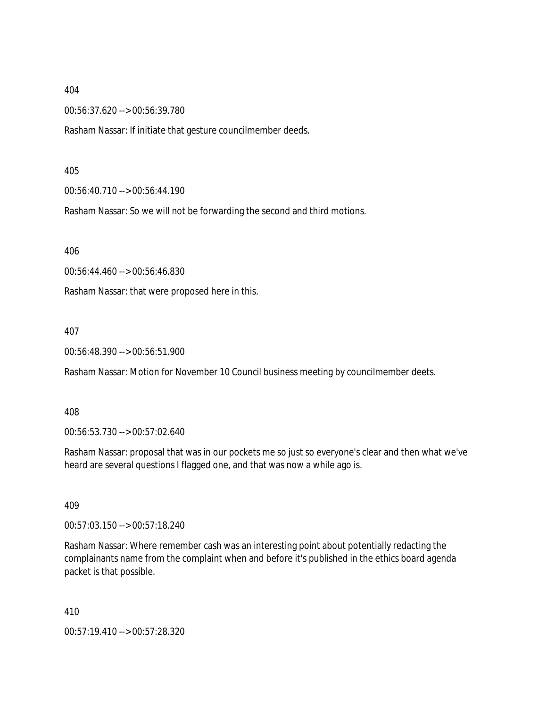00:56:37.620 --> 00:56:39.780

Rasham Nassar: If initiate that gesture councilmember deeds.

405

00:56:40.710 --> 00:56:44.190

Rasham Nassar: So we will not be forwarding the second and third motions.

406

00:56:44.460 --> 00:56:46.830

Rasham Nassar: that were proposed here in this.

407

00:56:48.390 --> 00:56:51.900

Rasham Nassar: Motion for November 10 Council business meeting by councilmember deets.

408

00:56:53.730 --> 00:57:02.640

Rasham Nassar: proposal that was in our pockets me so just so everyone's clear and then what we've heard are several questions I flagged one, and that was now a while ago is.

409

00:57:03.150 --> 00:57:18.240

Rasham Nassar: Where remember cash was an interesting point about potentially redacting the complainants name from the complaint when and before it's published in the ethics board agenda packet is that possible.

410

00:57:19.410 --> 00:57:28.320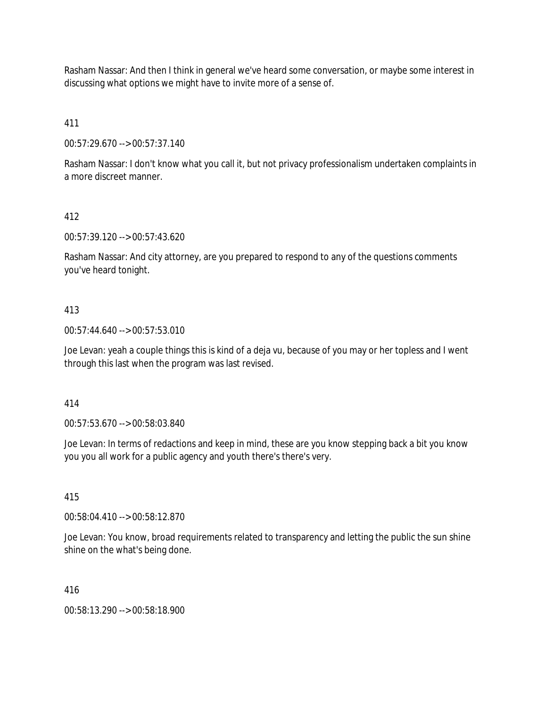Rasham Nassar: And then I think in general we've heard some conversation, or maybe some interest in discussing what options we might have to invite more of a sense of.

411

00:57:29.670 --> 00:57:37.140

Rasham Nassar: I don't know what you call it, but not privacy professionalism undertaken complaints in a more discreet manner.

# 412

00:57:39.120 --> 00:57:43.620

Rasham Nassar: And city attorney, are you prepared to respond to any of the questions comments you've heard tonight.

### 413

00:57:44.640 --> 00:57:53.010

Joe Levan: yeah a couple things this is kind of a deja vu, because of you may or her topless and I went through this last when the program was last revised.

414

00:57:53.670 --> 00:58:03.840

Joe Levan: In terms of redactions and keep in mind, these are you know stepping back a bit you know you you all work for a public agency and youth there's there's very.

### 415

00:58:04.410 --> 00:58:12.870

Joe Levan: You know, broad requirements related to transparency and letting the public the sun shine shine on the what's being done.

416

00:58:13.290 --> 00:58:18.900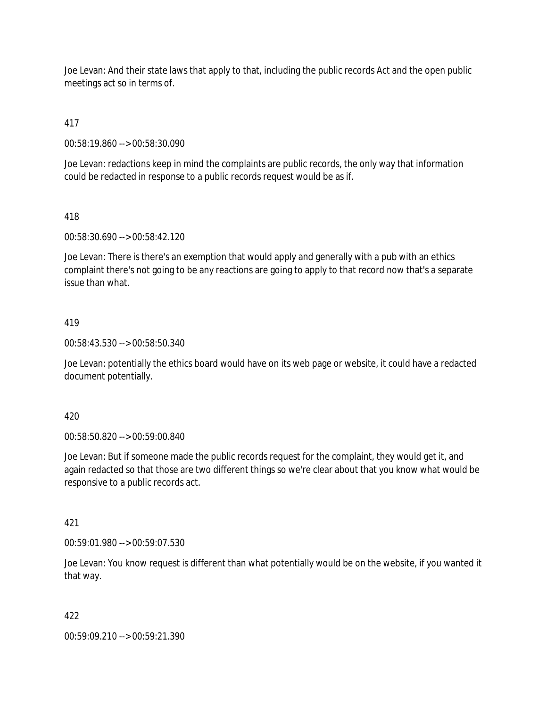Joe Levan: And their state laws that apply to that, including the public records Act and the open public meetings act so in terms of.

# 417

00:58:19.860 --> 00:58:30.090

Joe Levan: redactions keep in mind the complaints are public records, the only way that information could be redacted in response to a public records request would be as if.

# 418

00:58:30.690 --> 00:58:42.120

Joe Levan: There is there's an exemption that would apply and generally with a pub with an ethics complaint there's not going to be any reactions are going to apply to that record now that's a separate issue than what.

# 419

00:58:43.530 --> 00:58:50.340

Joe Levan: potentially the ethics board would have on its web page or website, it could have a redacted document potentially.

### 420

00:58:50.820 --> 00:59:00.840

Joe Levan: But if someone made the public records request for the complaint, they would get it, and again redacted so that those are two different things so we're clear about that you know what would be responsive to a public records act.

### 421

00:59:01.980 --> 00:59:07.530

Joe Levan: You know request is different than what potentially would be on the website, if you wanted it that way.

### 422

00:59:09.210 --> 00:59:21.390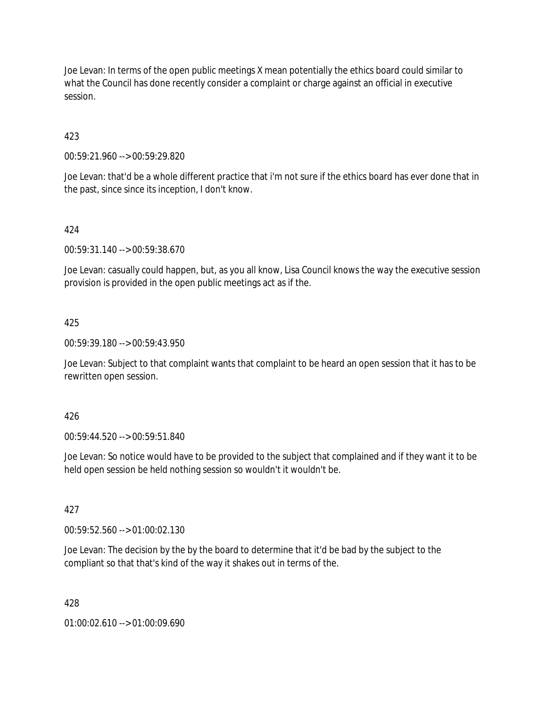Joe Levan: In terms of the open public meetings X mean potentially the ethics board could similar to what the Council has done recently consider a complaint or charge against an official in executive session.

423

00:59:21.960 --> 00:59:29.820

Joe Levan: that'd be a whole different practice that i'm not sure if the ethics board has ever done that in the past, since since its inception, I don't know.

### 424

00:59:31.140 --> 00:59:38.670

Joe Levan: casually could happen, but, as you all know, Lisa Council knows the way the executive session provision is provided in the open public meetings act as if the.

#### 425

00:59:39.180 --> 00:59:43.950

Joe Levan: Subject to that complaint wants that complaint to be heard an open session that it has to be rewritten open session.

#### 426

00:59:44.520 --> 00:59:51.840

Joe Levan: So notice would have to be provided to the subject that complained and if they want it to be held open session be held nothing session so wouldn't it wouldn't be.

#### 427

00:59:52.560 --> 01:00:02.130

Joe Levan: The decision by the by the board to determine that it'd be bad by the subject to the compliant so that that's kind of the way it shakes out in terms of the.

#### 428

01:00:02.610 --> 01:00:09.690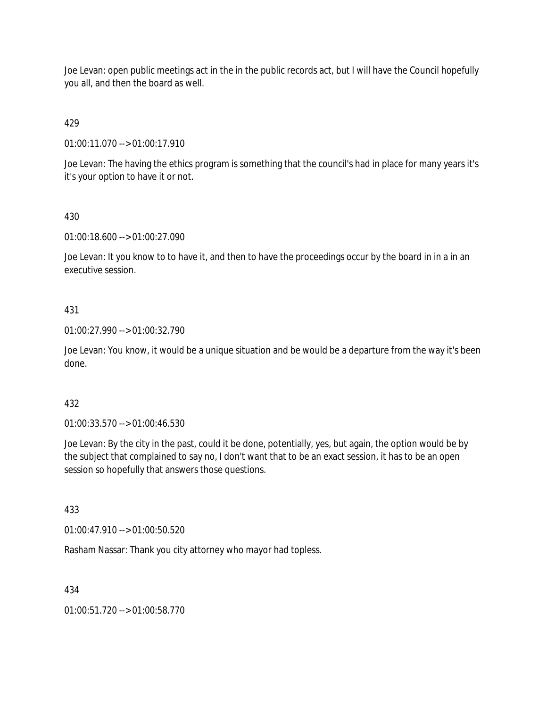Joe Levan: open public meetings act in the in the public records act, but I will have the Council hopefully you all, and then the board as well.

# 429

01:00:11.070 --> 01:00:17.910

Joe Levan: The having the ethics program is something that the council's had in place for many years it's it's your option to have it or not.

# 430

01:00:18.600 --> 01:00:27.090

Joe Levan: It you know to to have it, and then to have the proceedings occur by the board in in a in an executive session.

# 431

01:00:27.990 --> 01:00:32.790

Joe Levan: You know, it would be a unique situation and be would be a departure from the way it's been done.

### 432

01:00:33.570 --> 01:00:46.530

Joe Levan: By the city in the past, could it be done, potentially, yes, but again, the option would be by the subject that complained to say no, I don't want that to be an exact session, it has to be an open session so hopefully that answers those questions.

### 433

01:00:47.910 --> 01:00:50.520

Rasham Nassar: Thank you city attorney who mayor had topless.

### 434

01:00:51.720 --> 01:00:58.770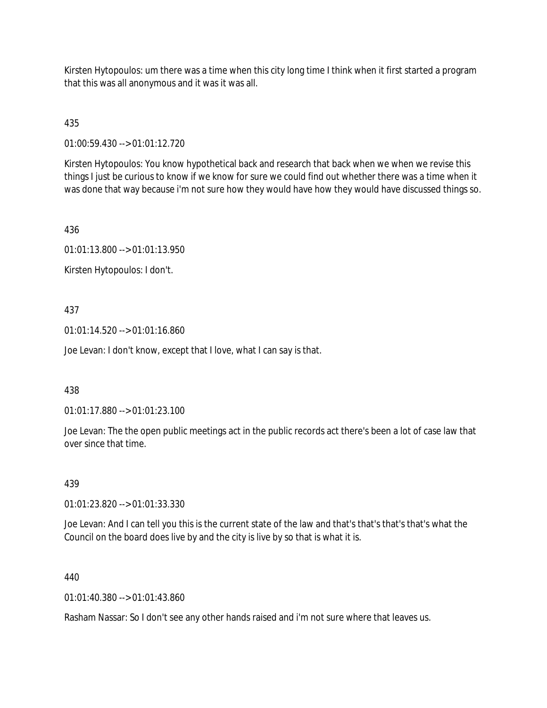Kirsten Hytopoulos: um there was a time when this city long time I think when it first started a program that this was all anonymous and it was it was all.

435

01:00:59.430 --> 01:01:12.720

Kirsten Hytopoulos: You know hypothetical back and research that back when we when we revise this things I just be curious to know if we know for sure we could find out whether there was a time when it was done that way because i'm not sure how they would have how they would have discussed things so.

436

01:01:13.800 --> 01:01:13.950

Kirsten Hytopoulos: I don't.

### 437

01:01:14.520 --> 01:01:16.860

Joe Levan: I don't know, except that I love, what I can say is that.

### 438

01:01:17.880 --> 01:01:23.100

Joe Levan: The the open public meetings act in the public records act there's been a lot of case law that over since that time.

### 439

01:01:23.820 --> 01:01:33.330

Joe Levan: And I can tell you this is the current state of the law and that's that's that's that's what the Council on the board does live by and the city is live by so that is what it is.

#### 440

01:01:40.380 --> 01:01:43.860

Rasham Nassar: So I don't see any other hands raised and i'm not sure where that leaves us.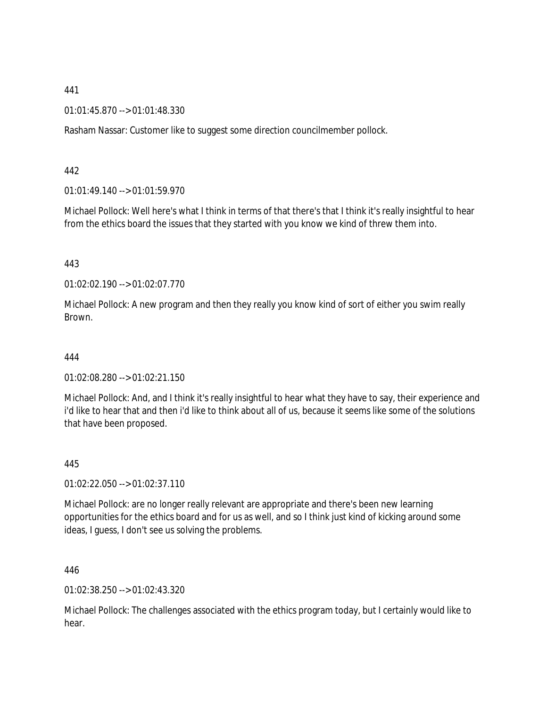01:01:45.870 --> 01:01:48.330

Rasham Nassar: Customer like to suggest some direction councilmember pollock.

442

01:01:49.140 --> 01:01:59.970

Michael Pollock: Well here's what I think in terms of that there's that I think it's really insightful to hear from the ethics board the issues that they started with you know we kind of threw them into.

443

01:02:02.190 --> 01:02:07.770

Michael Pollock: A new program and then they really you know kind of sort of either you swim really Brown.

444

01:02:08.280 --> 01:02:21.150

Michael Pollock: And, and I think it's really insightful to hear what they have to say, their experience and i'd like to hear that and then i'd like to think about all of us, because it seems like some of the solutions that have been proposed.

445

01:02:22.050 --> 01:02:37.110

Michael Pollock: are no longer really relevant are appropriate and there's been new learning opportunities for the ethics board and for us as well, and so I think just kind of kicking around some ideas, I guess, I don't see us solving the problems.

446

01:02:38.250 --> 01:02:43.320

Michael Pollock: The challenges associated with the ethics program today, but I certainly would like to hear.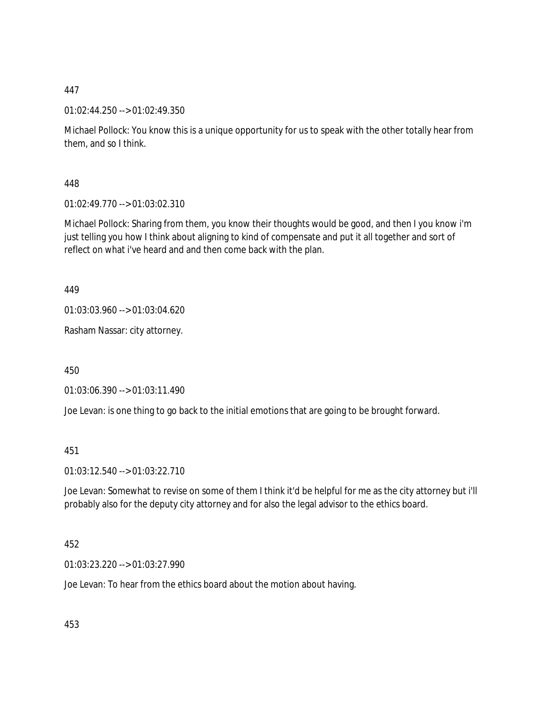01:02:44.250 --> 01:02:49.350

Michael Pollock: You know this is a unique opportunity for us to speak with the other totally hear from them, and so I think.

448

01:02:49.770 --> 01:03:02.310

Michael Pollock: Sharing from them, you know their thoughts would be good, and then I you know i'm just telling you how I think about aligning to kind of compensate and put it all together and sort of reflect on what i've heard and and then come back with the plan.

449

01:03:03.960 --> 01:03:04.620

Rasham Nassar: city attorney.

450

01:03:06.390 --> 01:03:11.490

Joe Levan: is one thing to go back to the initial emotions that are going to be brought forward.

451

01:03:12.540 --> 01:03:22.710

Joe Levan: Somewhat to revise on some of them I think it'd be helpful for me as the city attorney but i'll probably also for the deputy city attorney and for also the legal advisor to the ethics board.

452

01:03:23.220 --> 01:03:27.990

Joe Levan: To hear from the ethics board about the motion about having.

453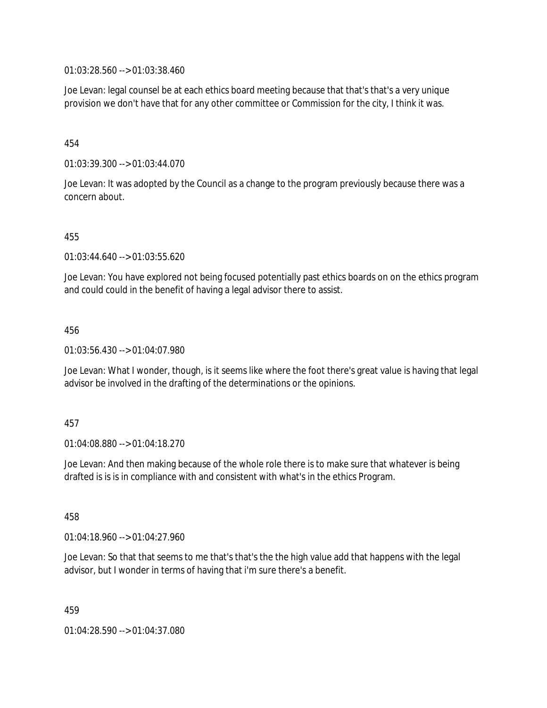01:03:28.560 --> 01:03:38.460

Joe Levan: legal counsel be at each ethics board meeting because that that's that's a very unique provision we don't have that for any other committee or Commission for the city, I think it was.

#### 454

01:03:39.300 --> 01:03:44.070

Joe Levan: It was adopted by the Council as a change to the program previously because there was a concern about.

#### 455

01:03:44.640 --> 01:03:55.620

Joe Levan: You have explored not being focused potentially past ethics boards on on the ethics program and could could in the benefit of having a legal advisor there to assist.

#### 456

01:03:56.430 --> 01:04:07.980

Joe Levan: What I wonder, though, is it seems like where the foot there's great value is having that legal advisor be involved in the drafting of the determinations or the opinions.

#### 457

01:04:08.880 --> 01:04:18.270

Joe Levan: And then making because of the whole role there is to make sure that whatever is being drafted is is is in compliance with and consistent with what's in the ethics Program.

458

01:04:18.960 --> 01:04:27.960

Joe Levan: So that that seems to me that's that's the the high value add that happens with the legal advisor, but I wonder in terms of having that i'm sure there's a benefit.

459

01:04:28.590 --> 01:04:37.080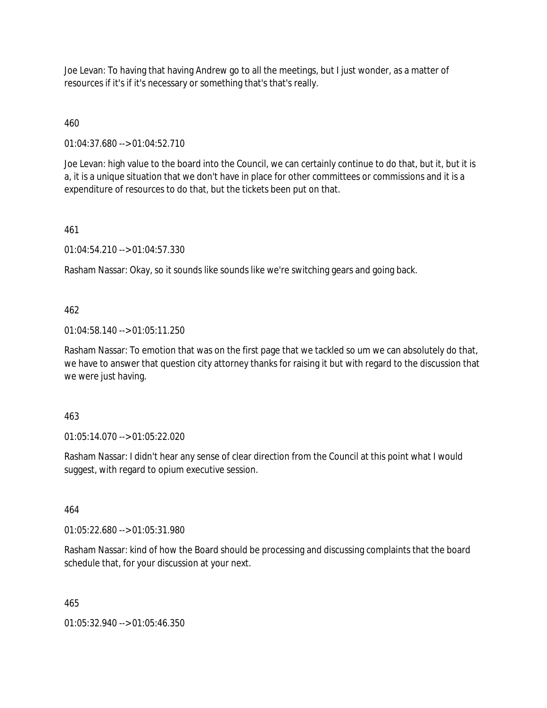Joe Levan: To having that having Andrew go to all the meetings, but I just wonder, as a matter of resources if it's if it's necessary or something that's that's really.

460

01:04:37.680 --> 01:04:52.710

Joe Levan: high value to the board into the Council, we can certainly continue to do that, but it, but it is a, it is a unique situation that we don't have in place for other committees or commissions and it is a expenditure of resources to do that, but the tickets been put on that.

461

01:04:54.210 --> 01:04:57.330

Rasham Nassar: Okay, so it sounds like sounds like we're switching gears and going back.

# 462

01:04:58.140 --> 01:05:11.250

Rasham Nassar: To emotion that was on the first page that we tackled so um we can absolutely do that, we have to answer that question city attorney thanks for raising it but with regard to the discussion that we were just having.

#### 463

01:05:14.070 --> 01:05:22.020

Rasham Nassar: I didn't hear any sense of clear direction from the Council at this point what I would suggest, with regard to opium executive session.

464

01:05:22.680 --> 01:05:31.980

Rasham Nassar: kind of how the Board should be processing and discussing complaints that the board schedule that, for your discussion at your next.

465

01:05:32.940 --> 01:05:46.350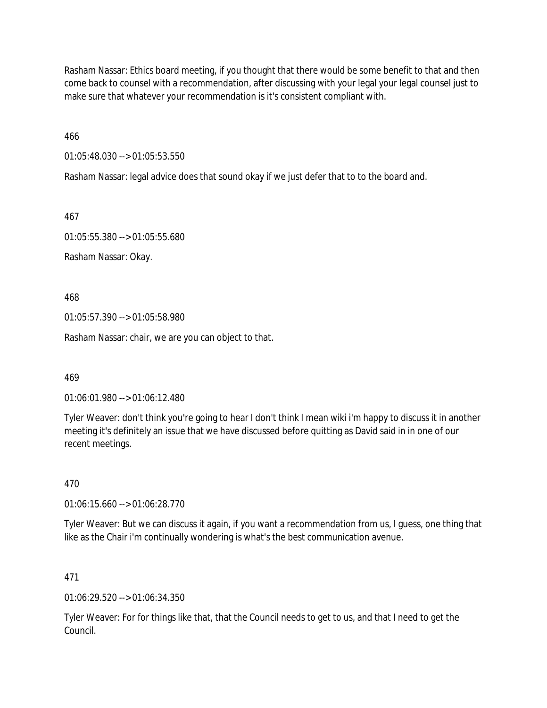Rasham Nassar: Ethics board meeting, if you thought that there would be some benefit to that and then come back to counsel with a recommendation, after discussing with your legal your legal counsel just to make sure that whatever your recommendation is it's consistent compliant with.

466

01:05:48.030 --> 01:05:53.550

Rasham Nassar: legal advice does that sound okay if we just defer that to to the board and.

467

01:05:55.380 --> 01:05:55.680

Rasham Nassar: Okay.

468

01:05:57.390 --> 01:05:58.980

Rasham Nassar: chair, we are you can object to that.

469

01:06:01.980 --> 01:06:12.480

Tyler Weaver: don't think you're going to hear I don't think I mean wiki i'm happy to discuss it in another meeting it's definitely an issue that we have discussed before quitting as David said in in one of our recent meetings.

470

01:06:15.660 --> 01:06:28.770

Tyler Weaver: But we can discuss it again, if you want a recommendation from us, I guess, one thing that like as the Chair i'm continually wondering is what's the best communication avenue.

#### 471

01:06:29.520 --> 01:06:34.350

Tyler Weaver: For for things like that, that the Council needs to get to us, and that I need to get the Council.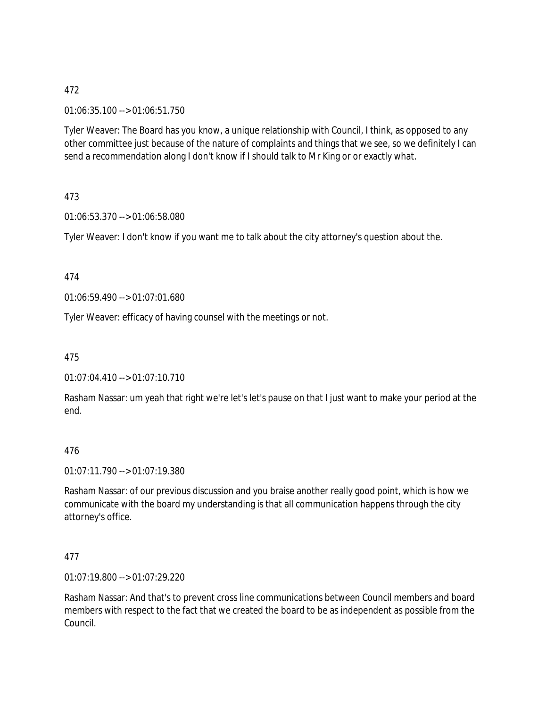01:06:35.100 --> 01:06:51.750

Tyler Weaver: The Board has you know, a unique relationship with Council, I think, as opposed to any other committee just because of the nature of complaints and things that we see, so we definitely I can send a recommendation along I don't know if I should talk to Mr King or or exactly what.

473

01:06:53.370 --> 01:06:58.080

Tyler Weaver: I don't know if you want me to talk about the city attorney's question about the.

474

01:06:59.490 --> 01:07:01.680

Tyler Weaver: efficacy of having counsel with the meetings or not.

475

01:07:04.410 --> 01:07:10.710

Rasham Nassar: um yeah that right we're let's let's pause on that I just want to make your period at the end.

#### 476

01:07:11.790 --> 01:07:19.380

Rasham Nassar: of our previous discussion and you braise another really good point, which is how we communicate with the board my understanding is that all communication happens through the city attorney's office.

#### 477

01:07:19.800 --> 01:07:29.220

Rasham Nassar: And that's to prevent cross line communications between Council members and board members with respect to the fact that we created the board to be as independent as possible from the Council.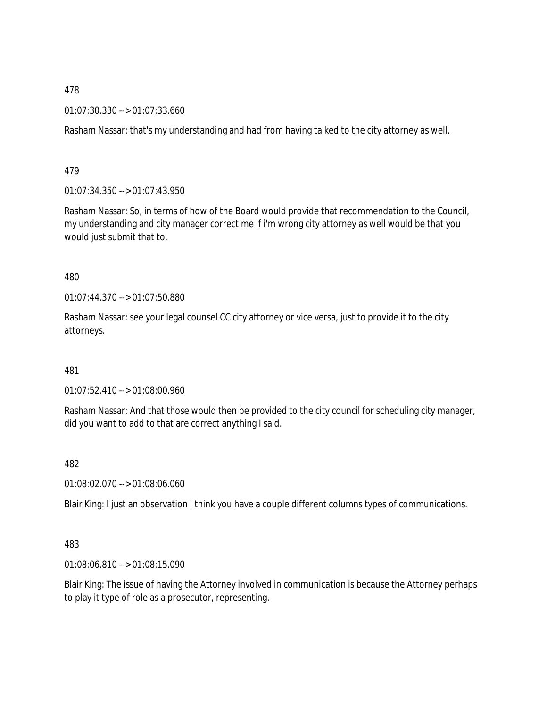01:07:30.330 --> 01:07:33.660

Rasham Nassar: that's my understanding and had from having talked to the city attorney as well.

479

01:07:34.350 --> 01:07:43.950

Rasham Nassar: So, in terms of how of the Board would provide that recommendation to the Council, my understanding and city manager correct me if i'm wrong city attorney as well would be that you would just submit that to.

480

01:07:44.370 --> 01:07:50.880

Rasham Nassar: see your legal counsel CC city attorney or vice versa, just to provide it to the city attorneys.

481

01:07:52.410 --> 01:08:00.960

Rasham Nassar: And that those would then be provided to the city council for scheduling city manager, did you want to add to that are correct anything I said.

482

01:08:02.070 --> 01:08:06.060

Blair King: I just an observation I think you have a couple different columns types of communications.

483

01:08:06.810 --> 01:08:15.090

Blair King: The issue of having the Attorney involved in communication is because the Attorney perhaps to play it type of role as a prosecutor, representing.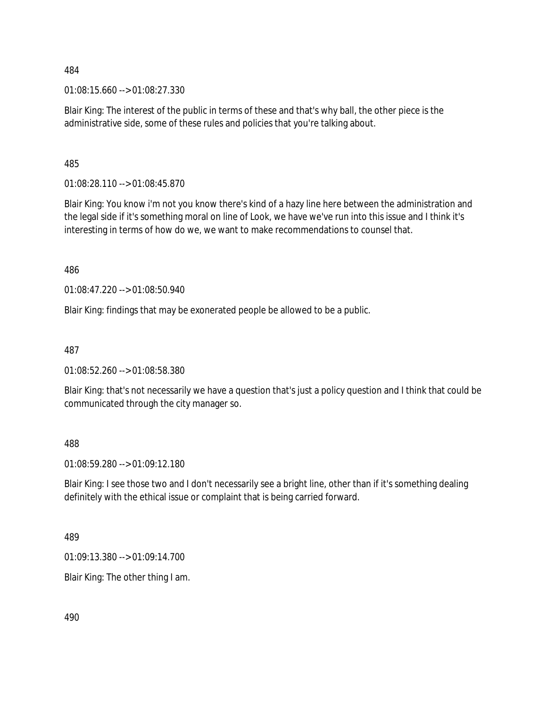01:08:15.660 --> 01:08:27.330

Blair King: The interest of the public in terms of these and that's why ball, the other piece is the administrative side, some of these rules and policies that you're talking about.

485

01:08:28.110 --> 01:08:45.870

Blair King: You know i'm not you know there's kind of a hazy line here between the administration and the legal side if it's something moral on line of Look, we have we've run into this issue and I think it's interesting in terms of how do we, we want to make recommendations to counsel that.

486

01:08:47.220 --> 01:08:50.940

Blair King: findings that may be exonerated people be allowed to be a public.

487

01:08:52.260 --> 01:08:58.380

Blair King: that's not necessarily we have a question that's just a policy question and I think that could be communicated through the city manager so.

488

01:08:59.280 --> 01:09:12.180

Blair King: I see those two and I don't necessarily see a bright line, other than if it's something dealing definitely with the ethical issue or complaint that is being carried forward.

489

01:09:13.380 --> 01:09:14.700

Blair King: The other thing I am.

490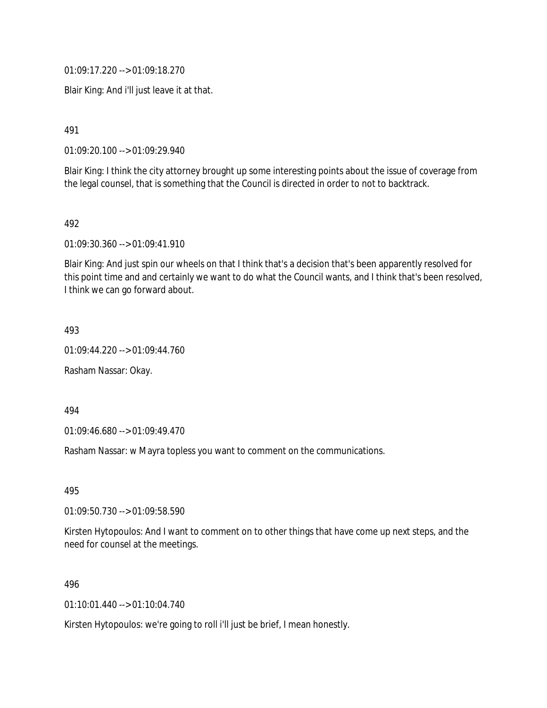01:09:17.220 --> 01:09:18.270

Blair King: And i'll just leave it at that.

491

01:09:20.100 --> 01:09:29.940

Blair King: I think the city attorney brought up some interesting points about the issue of coverage from the legal counsel, that is something that the Council is directed in order to not to backtrack.

492

01:09:30.360 --> 01:09:41.910

Blair King: And just spin our wheels on that I think that's a decision that's been apparently resolved for this point time and and certainly we want to do what the Council wants, and I think that's been resolved, I think we can go forward about.

493

01:09:44.220 --> 01:09:44.760

Rasham Nassar: Okay.

494

01:09:46.680 --> 01:09:49.470

Rasham Nassar: w Mayra topless you want to comment on the communications.

495

01:09:50.730 --> 01:09:58.590

Kirsten Hytopoulos: And I want to comment on to other things that have come up next steps, and the need for counsel at the meetings.

496

01:10:01.440 --> 01:10:04.740

Kirsten Hytopoulos: we're going to roll i'll just be brief, I mean honestly.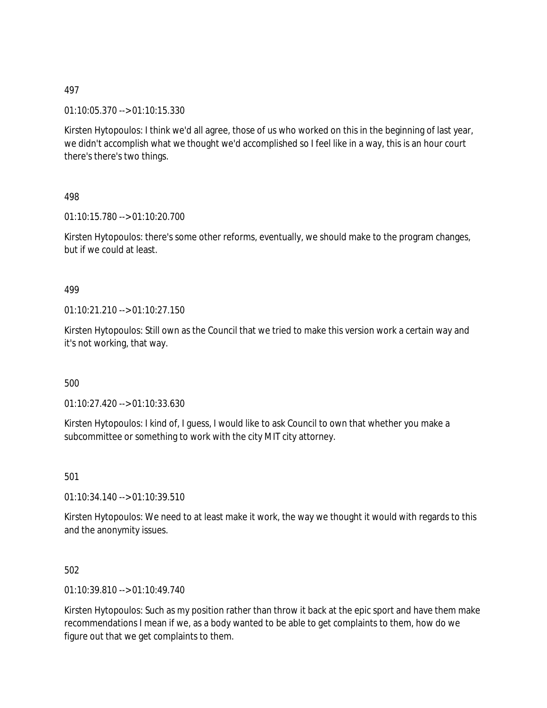### 01:10:05.370 --> 01:10:15.330

Kirsten Hytopoulos: I think we'd all agree, those of us who worked on this in the beginning of last year, we didn't accomplish what we thought we'd accomplished so I feel like in a way, this is an hour court there's there's two things.

# 498

01:10:15.780 --> 01:10:20.700

Kirsten Hytopoulos: there's some other reforms, eventually, we should make to the program changes, but if we could at least.

#### 499

01:10:21.210 --> 01:10:27.150

Kirsten Hytopoulos: Still own as the Council that we tried to make this version work a certain way and it's not working, that way.

#### 500

01:10:27.420 --> 01:10:33.630

Kirsten Hytopoulos: I kind of, I guess, I would like to ask Council to own that whether you make a subcommittee or something to work with the city MIT city attorney.

501

01:10:34.140 --> 01:10:39.510

Kirsten Hytopoulos: We need to at least make it work, the way we thought it would with regards to this and the anonymity issues.

#### 502

01:10:39.810 --> 01:10:49.740

Kirsten Hytopoulos: Such as my position rather than throw it back at the epic sport and have them make recommendations I mean if we, as a body wanted to be able to get complaints to them, how do we figure out that we get complaints to them.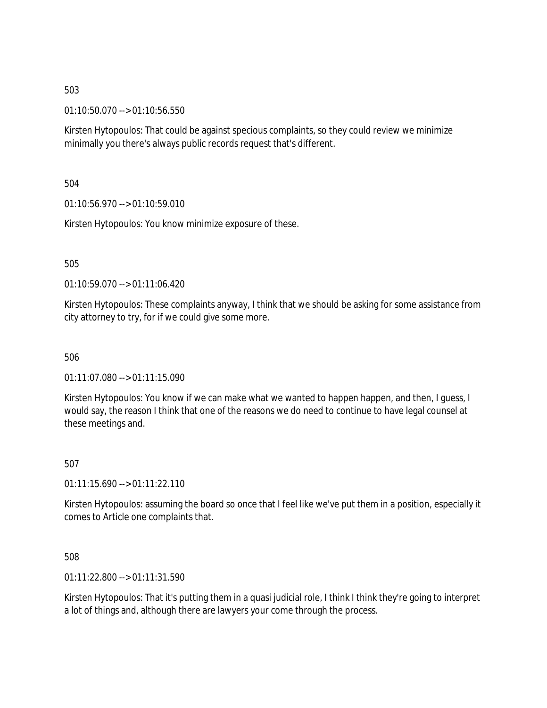01:10:50.070 --> 01:10:56.550

Kirsten Hytopoulos: That could be against specious complaints, so they could review we minimize minimally you there's always public records request that's different.

504

01:10:56.970 --> 01:10:59.010

Kirsten Hytopoulos: You know minimize exposure of these.

505

01:10:59.070 --> 01:11:06.420

Kirsten Hytopoulos: These complaints anyway, I think that we should be asking for some assistance from city attorney to try, for if we could give some more.

506

01:11:07.080 --> 01:11:15.090

Kirsten Hytopoulos: You know if we can make what we wanted to happen happen, and then, I guess, I would say, the reason I think that one of the reasons we do need to continue to have legal counsel at these meetings and.

507

 $01:11:15.690 \rightarrow 01:11:22.110$ 

Kirsten Hytopoulos: assuming the board so once that I feel like we've put them in a position, especially it comes to Article one complaints that.

508

01:11:22.800 --> 01:11:31.590

Kirsten Hytopoulos: That it's putting them in a quasi judicial role, I think I think they're going to interpret a lot of things and, although there are lawyers your come through the process.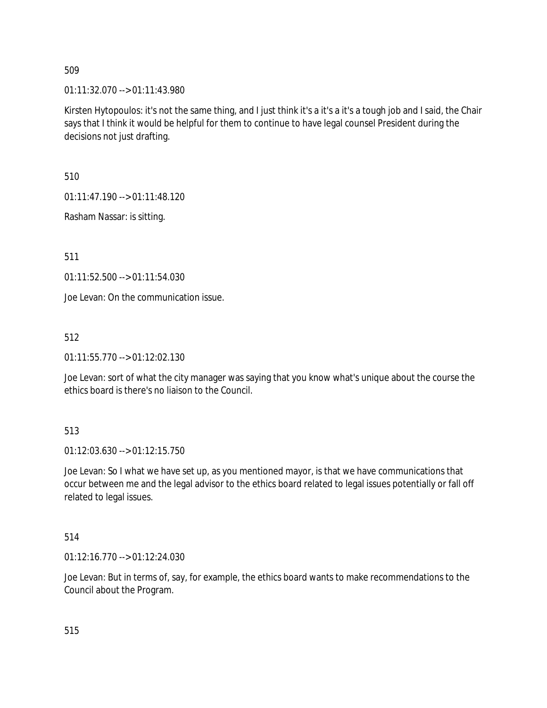01:11:32.070 --> 01:11:43.980

Kirsten Hytopoulos: it's not the same thing, and I just think it's a it's a it's a tough job and I said, the Chair says that I think it would be helpful for them to continue to have legal counsel President during the decisions not just drafting.

510

01:11:47.190 --> 01:11:48.120

Rasham Nassar: is sitting.

511

01:11:52.500 --> 01:11:54.030

Joe Levan: On the communication issue.

512

01:11:55.770 --> 01:12:02.130

Joe Levan: sort of what the city manager was saying that you know what's unique about the course the ethics board is there's no liaison to the Council.

#### 513

01:12:03.630 --> 01:12:15.750

Joe Levan: So I what we have set up, as you mentioned mayor, is that we have communications that occur between me and the legal advisor to the ethics board related to legal issues potentially or fall off related to legal issues.

# 514

01:12:16.770 --> 01:12:24.030

Joe Levan: But in terms of, say, for example, the ethics board wants to make recommendations to the Council about the Program.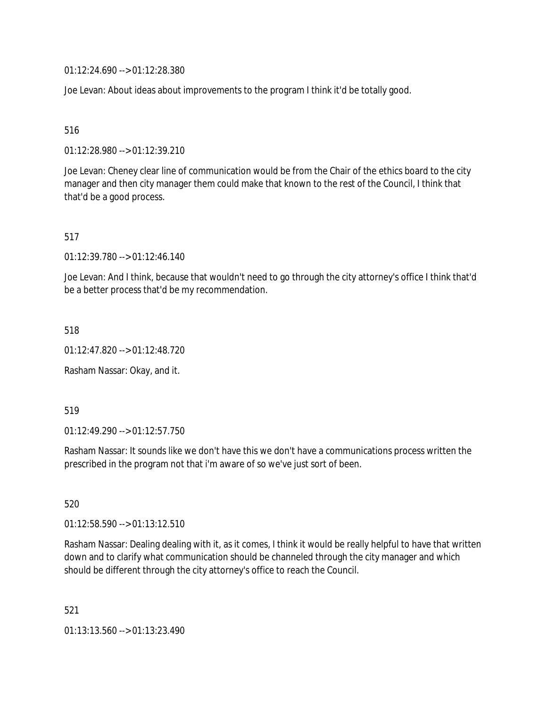01:12:24.690 --> 01:12:28.380

Joe Levan: About ideas about improvements to the program I think it'd be totally good.

516

01:12:28.980 --> 01:12:39.210

Joe Levan: Cheney clear line of communication would be from the Chair of the ethics board to the city manager and then city manager them could make that known to the rest of the Council, I think that that'd be a good process.

517

01:12:39.780 --> 01:12:46.140

Joe Levan: And I think, because that wouldn't need to go through the city attorney's office I think that'd be a better process that'd be my recommendation.

518

01:12:47.820 --> 01:12:48.720

Rasham Nassar: Okay, and it.

519

01:12:49.290 --> 01:12:57.750

Rasham Nassar: It sounds like we don't have this we don't have a communications process written the prescribed in the program not that i'm aware of so we've just sort of been.

520

01:12:58.590 --> 01:13:12.510

Rasham Nassar: Dealing dealing with it, as it comes, I think it would be really helpful to have that written down and to clarify what communication should be channeled through the city manager and which should be different through the city attorney's office to reach the Council.

521

01:13:13.560 --> 01:13:23.490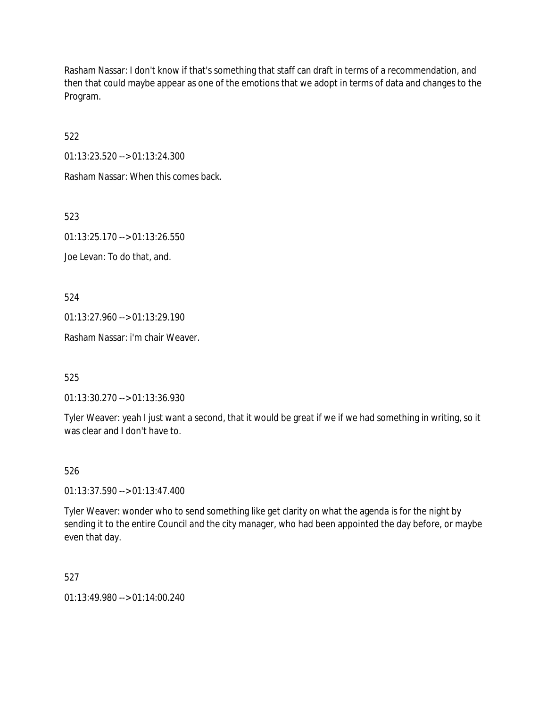Rasham Nassar: I don't know if that's something that staff can draft in terms of a recommendation, and then that could maybe appear as one of the emotions that we adopt in terms of data and changes to the Program.

522

01:13:23.520 --> 01:13:24.300

Rasham Nassar: When this comes back.

523

01:13:25.170 --> 01:13:26.550

Joe Levan: To do that, and.

524

01:13:27.960 --> 01:13:29.190

Rasham Nassar: i'm chair Weaver.

525

01:13:30.270 --> 01:13:36.930

Tyler Weaver: yeah I just want a second, that it would be great if we if we had something in writing, so it was clear and I don't have to.

526

01:13:37.590 --> 01:13:47.400

Tyler Weaver: wonder who to send something like get clarity on what the agenda is for the night by sending it to the entire Council and the city manager, who had been appointed the day before, or maybe even that day.

527

01:13:49.980 --> 01:14:00.240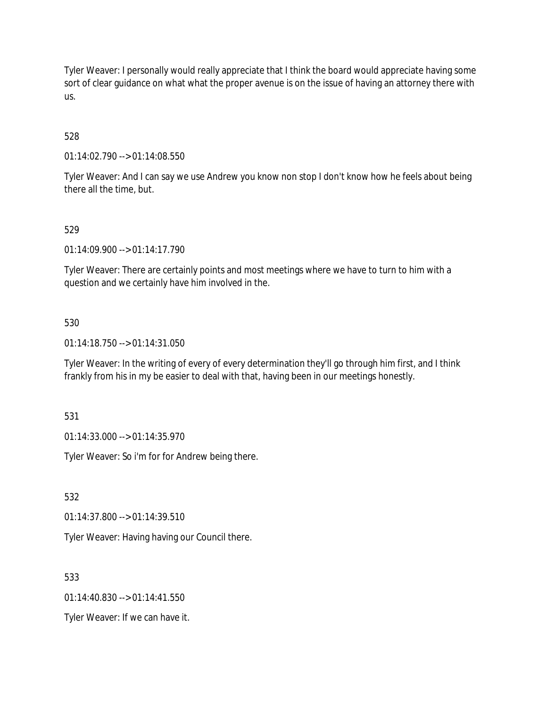Tyler Weaver: I personally would really appreciate that I think the board would appreciate having some sort of clear guidance on what what the proper avenue is on the issue of having an attorney there with us.

# 528

01:14:02.790 --> 01:14:08.550

Tyler Weaver: And I can say we use Andrew you know non stop I don't know how he feels about being there all the time, but.

#### 529

01:14:09.900 --> 01:14:17.790

Tyler Weaver: There are certainly points and most meetings where we have to turn to him with a question and we certainly have him involved in the.

#### 530

01:14:18.750 --> 01:14:31.050

Tyler Weaver: In the writing of every of every determination they'll go through him first, and I think frankly from his in my be easier to deal with that, having been in our meetings honestly.

531

01:14:33.000 --> 01:14:35.970

Tyler Weaver: So i'm for for Andrew being there.

532

01:14:37.800 --> 01:14:39.510

Tyler Weaver: Having having our Council there.

533

 $01.14.40.830 - 01.14.41.550$ 

Tyler Weaver: If we can have it.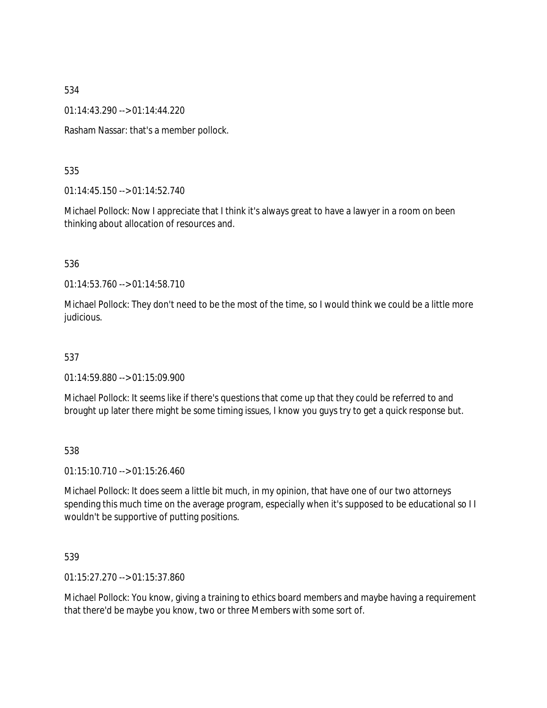01:14:43.290 --> 01:14:44.220

Rasham Nassar: that's a member pollock.

### 535

01:14:45.150 --> 01:14:52.740

Michael Pollock: Now I appreciate that I think it's always great to have a lawyer in a room on been thinking about allocation of resources and.

#### 536

01:14:53.760 --> 01:14:58.710

Michael Pollock: They don't need to be the most of the time, so I would think we could be a little more judicious.

### 537

01:14:59.880 --> 01:15:09.900

Michael Pollock: It seems like if there's questions that come up that they could be referred to and brought up later there might be some timing issues, I know you guys try to get a quick response but.

#### 538

01:15:10.710 --> 01:15:26.460

Michael Pollock: It does seem a little bit much, in my opinion, that have one of our two attorneys spending this much time on the average program, especially when it's supposed to be educational so I I wouldn't be supportive of putting positions.

#### 539

01:15:27.270 --> 01:15:37.860

Michael Pollock: You know, giving a training to ethics board members and maybe having a requirement that there'd be maybe you know, two or three Members with some sort of.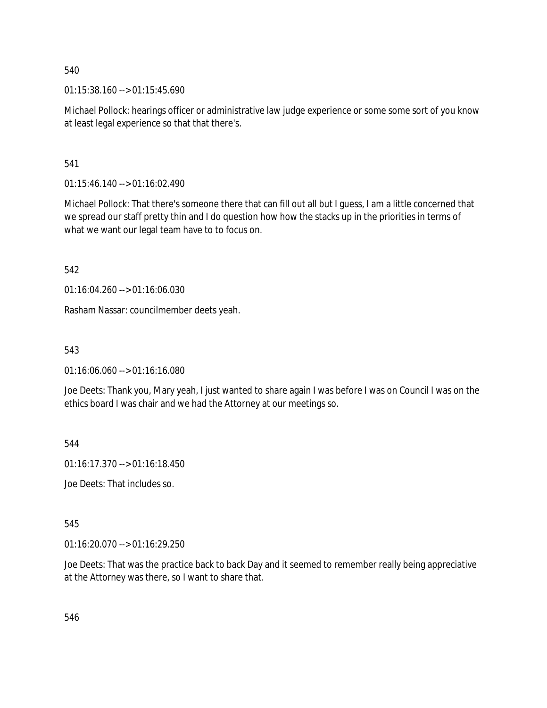01:15:38.160 --> 01:15:45.690

Michael Pollock: hearings officer or administrative law judge experience or some some sort of you know at least legal experience so that that there's.

541

01:15:46.140 --> 01:16:02.490

Michael Pollock: That there's someone there that can fill out all but I guess, I am a little concerned that we spread our staff pretty thin and I do question how how the stacks up in the priorities in terms of what we want our legal team have to to focus on.

542

01:16:04.260 --> 01:16:06.030

Rasham Nassar: councilmember deets yeah.

543

01:16:06.060 --> 01:16:16.080

Joe Deets: Thank you, Mary yeah, I just wanted to share again I was before I was on Council I was on the ethics board I was chair and we had the Attorney at our meetings so.

544

01:16:17.370 --> 01:16:18.450

Joe Deets: That includes so.

545

01:16:20.070 --> 01:16:29.250

Joe Deets: That was the practice back to back Day and it seemed to remember really being appreciative at the Attorney was there, so I want to share that.

546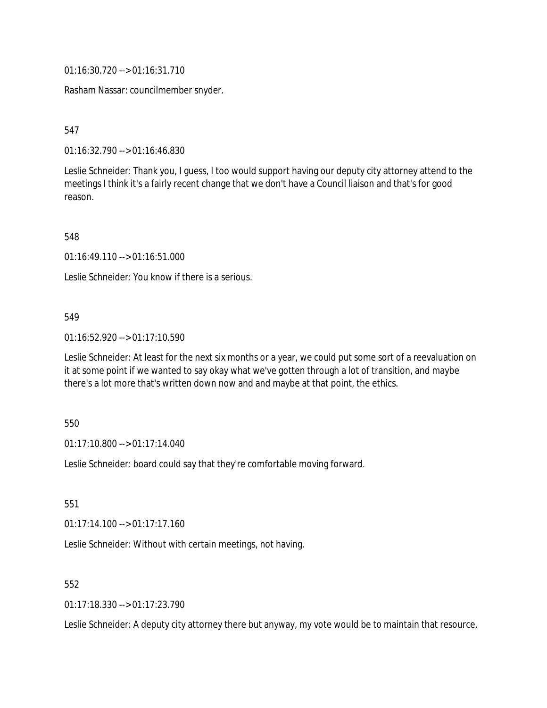01:16:30.720 --> 01:16:31.710

Rasham Nassar: councilmember snyder.

547

01:16:32.790 --> 01:16:46.830

Leslie Schneider: Thank you, I guess, I too would support having our deputy city attorney attend to the meetings I think it's a fairly recent change that we don't have a Council liaison and that's for good reason.

548

01:16:49.110 --> 01:16:51.000

Leslie Schneider: You know if there is a serious.

#### 549

01:16:52.920 --> 01:17:10.590

Leslie Schneider: At least for the next six months or a year, we could put some sort of a reevaluation on it at some point if we wanted to say okay what we've gotten through a lot of transition, and maybe there's a lot more that's written down now and and maybe at that point, the ethics.

#### 550

01:17:10.800 --> 01:17:14.040

Leslie Schneider: board could say that they're comfortable moving forward.

551

01:17:14.100 --> 01:17:17.160

Leslie Schneider: Without with certain meetings, not having.

#### 552

01:17:18.330 --> 01:17:23.790

Leslie Schneider: A deputy city attorney there but anyway, my vote would be to maintain that resource.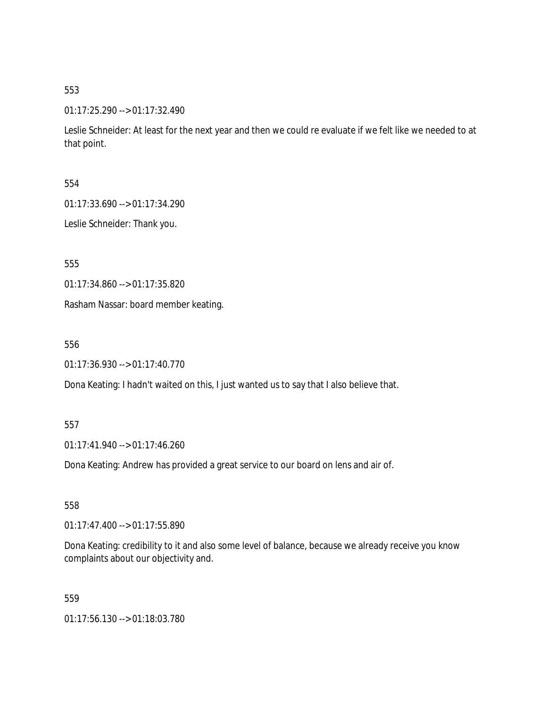#### 01:17:25.290 --> 01:17:32.490

Leslie Schneider: At least for the next year and then we could re evaluate if we felt like we needed to at that point.

#### 554

01:17:33.690 --> 01:17:34.290

Leslie Schneider: Thank you.

555

01:17:34.860 --> 01:17:35.820

Rasham Nassar: board member keating.

556

01:17:36.930 --> 01:17:40.770

Dona Keating: I hadn't waited on this, I just wanted us to say that I also believe that.

#### 557

01:17:41.940 --> 01:17:46.260

Dona Keating: Andrew has provided a great service to our board on lens and air of.

558

01:17:47.400 --> 01:17:55.890

Dona Keating: credibility to it and also some level of balance, because we already receive you know complaints about our objectivity and.

559

01:17:56.130 --> 01:18:03.780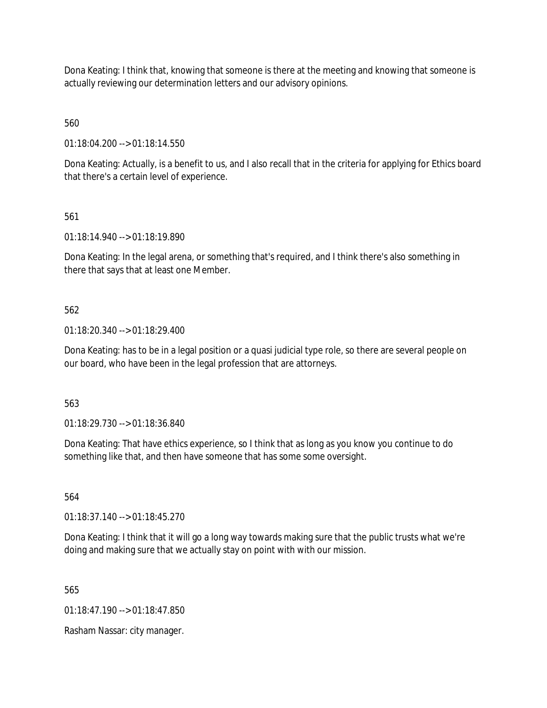Dona Keating: I think that, knowing that someone is there at the meeting and knowing that someone is actually reviewing our determination letters and our advisory opinions.

560

01:18:04.200 --> 01:18:14.550

Dona Keating: Actually, is a benefit to us, and I also recall that in the criteria for applying for Ethics board that there's a certain level of experience.

561

01:18:14.940 --> 01:18:19.890

Dona Keating: In the legal arena, or something that's required, and I think there's also something in there that says that at least one Member.

562

01:18:20.340 --> 01:18:29.400

Dona Keating: has to be in a legal position or a quasi judicial type role, so there are several people on our board, who have been in the legal profession that are attorneys.

563

01:18:29.730 --> 01:18:36.840

Dona Keating: That have ethics experience, so I think that as long as you know you continue to do something like that, and then have someone that has some some oversight.

564

01:18:37.140 --> 01:18:45.270

Dona Keating: I think that it will go a long way towards making sure that the public trusts what we're doing and making sure that we actually stay on point with with our mission.

565

01:18:47.190 --> 01:18:47.850

Rasham Nassar: city manager.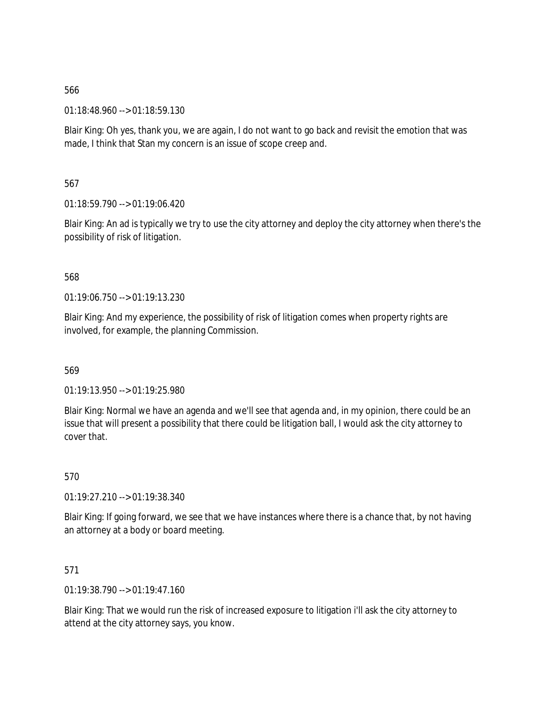01:18:48.960 --> 01:18:59.130

Blair King: Oh yes, thank you, we are again, I do not want to go back and revisit the emotion that was made, I think that Stan my concern is an issue of scope creep and.

567

01:18:59.790 --> 01:19:06.420

Blair King: An ad is typically we try to use the city attorney and deploy the city attorney when there's the possibility of risk of litigation.

568

01:19:06.750 --> 01:19:13.230

Blair King: And my experience, the possibility of risk of litigation comes when property rights are involved, for example, the planning Commission.

569

01:19:13.950 --> 01:19:25.980

Blair King: Normal we have an agenda and we'll see that agenda and, in my opinion, there could be an issue that will present a possibility that there could be litigation ball, I would ask the city attorney to cover that.

570

01:19:27.210 --> 01:19:38.340

Blair King: If going forward, we see that we have instances where there is a chance that, by not having an attorney at a body or board meeting.

571

01:19:38.790 --> 01:19:47.160

Blair King: That we would run the risk of increased exposure to litigation i'll ask the city attorney to attend at the city attorney says, you know.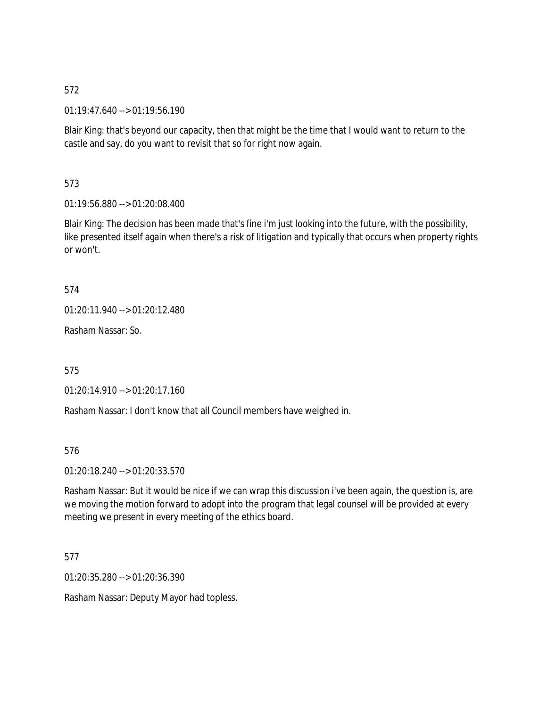01:19:47.640 --> 01:19:56.190

Blair King: that's beyond our capacity, then that might be the time that I would want to return to the castle and say, do you want to revisit that so for right now again.

573

01:19:56.880 --> 01:20:08.400

Blair King: The decision has been made that's fine i'm just looking into the future, with the possibility, like presented itself again when there's a risk of litigation and typically that occurs when property rights or won't.

574

01:20:11.940 --> 01:20:12.480

Rasham Nassar: So.

575

01:20:14.910 --> 01:20:17.160

Rasham Nassar: I don't know that all Council members have weighed in.

576

01:20:18.240 --> 01:20:33.570

Rasham Nassar: But it would be nice if we can wrap this discussion i've been again, the question is, are we moving the motion forward to adopt into the program that legal counsel will be provided at every meeting we present in every meeting of the ethics board.

577

01:20:35.280 --> 01:20:36.390

Rasham Nassar: Deputy Mayor had topless.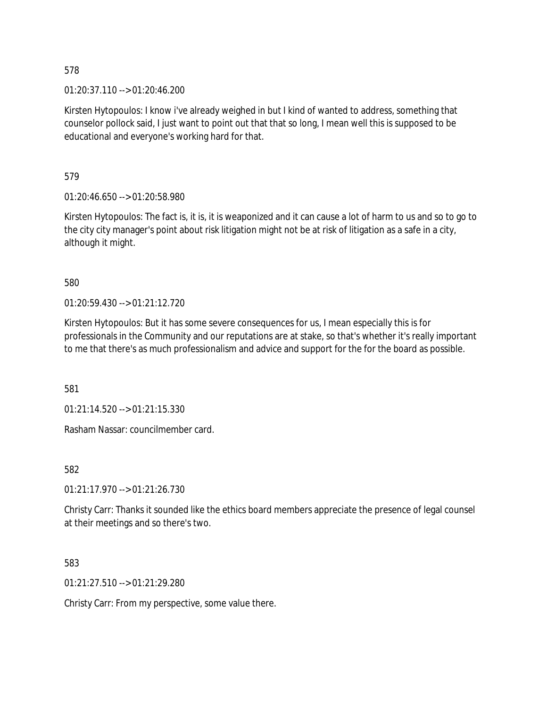01:20:37.110 --> 01:20:46.200

Kirsten Hytopoulos: I know i've already weighed in but I kind of wanted to address, something that counselor pollock said, I just want to point out that that so long, I mean well this is supposed to be educational and everyone's working hard for that.

579

01:20:46.650 --> 01:20:58.980

Kirsten Hytopoulos: The fact is, it is, it is weaponized and it can cause a lot of harm to us and so to go to the city city manager's point about risk litigation might not be at risk of litigation as a safe in a city, although it might.

580

01:20:59.430 --> 01:21:12.720

Kirsten Hytopoulos: But it has some severe consequences for us, I mean especially this is for professionals in the Community and our reputations are at stake, so that's whether it's really important to me that there's as much professionalism and advice and support for the for the board as possible.

581

01:21:14.520 --> 01:21:15.330

Rasham Nassar: councilmember card.

582

01:21:17.970 --> 01:21:26.730

Christy Carr: Thanks it sounded like the ethics board members appreciate the presence of legal counsel at their meetings and so there's two.

583

01:21:27.510 --> 01:21:29.280

Christy Carr: From my perspective, some value there.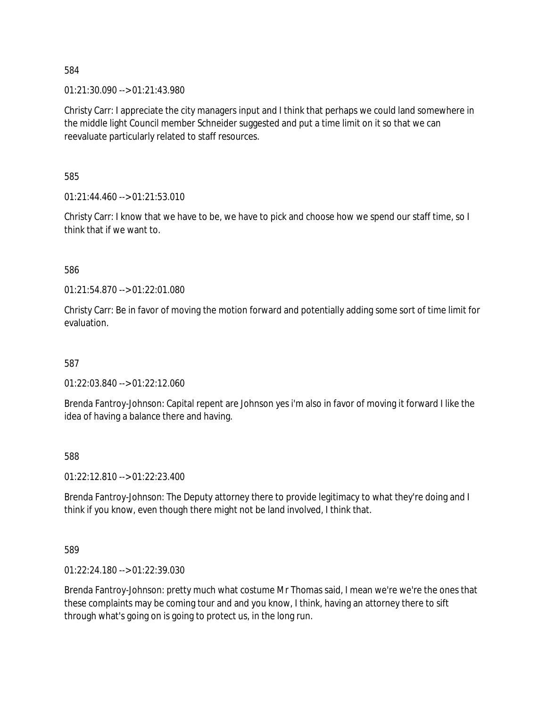01:21:30.090 --> 01:21:43.980

Christy Carr: I appreciate the city managers input and I think that perhaps we could land somewhere in the middle light Council member Schneider suggested and put a time limit on it so that we can reevaluate particularly related to staff resources.

585

01:21:44.460 --> 01:21:53.010

Christy Carr: I know that we have to be, we have to pick and choose how we spend our staff time, so I think that if we want to.

586

01:21:54.870 --> 01:22:01.080

Christy Carr: Be in favor of moving the motion forward and potentially adding some sort of time limit for evaluation.

587

01:22:03.840 --> 01:22:12.060

Brenda Fantroy-Johnson: Capital repent are Johnson yes i'm also in favor of moving it forward I like the idea of having a balance there and having.

588

01:22:12.810 --> 01:22:23.400

Brenda Fantroy-Johnson: The Deputy attorney there to provide legitimacy to what they're doing and I think if you know, even though there might not be land involved, I think that.

589

01:22:24.180 --> 01:22:39.030

Brenda Fantroy-Johnson: pretty much what costume Mr Thomas said, I mean we're we're the ones that these complaints may be coming tour and and you know, I think, having an attorney there to sift through what's going on is going to protect us, in the long run.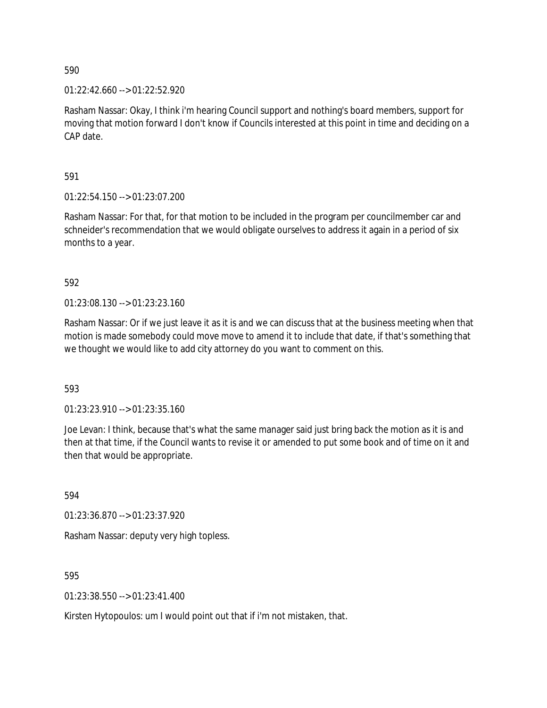$01:22:42.660 \rightarrow 01:22:52.920$ 

Rasham Nassar: Okay, I think i'm hearing Council support and nothing's board members, support for moving that motion forward I don't know if Councils interested at this point in time and deciding on a CAP date.

591

01:22:54.150 --> 01:23:07.200

Rasham Nassar: For that, for that motion to be included in the program per councilmember car and schneider's recommendation that we would obligate ourselves to address it again in a period of six months to a year.

592

01:23:08.130 --> 01:23:23.160

Rasham Nassar: Or if we just leave it as it is and we can discuss that at the business meeting when that motion is made somebody could move move to amend it to include that date, if that's something that we thought we would like to add city attorney do you want to comment on this.

593

01:23:23.910 --> 01:23:35.160

Joe Levan: I think, because that's what the same manager said just bring back the motion as it is and then at that time, if the Council wants to revise it or amended to put some book and of time on it and then that would be appropriate.

594

01:23:36.870 --> 01:23:37.920

Rasham Nassar: deputy very high topless.

595

01:23:38.550 --> 01:23:41.400

Kirsten Hytopoulos: um I would point out that if i'm not mistaken, that.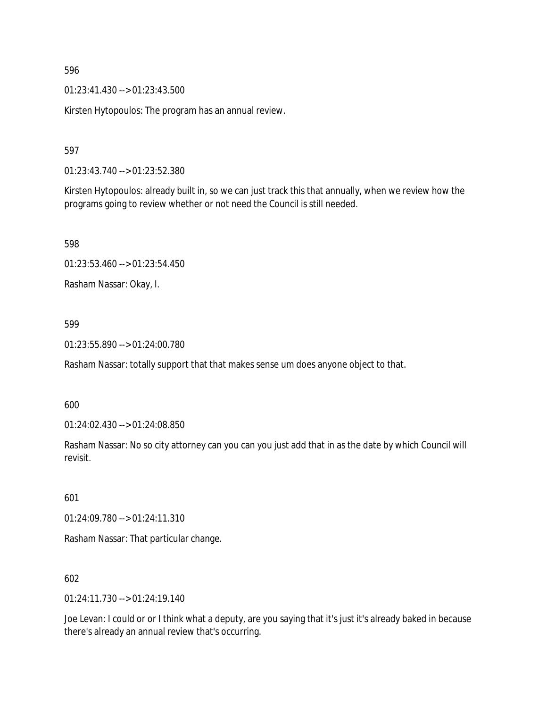01:23:41.430 --> 01:23:43.500

Kirsten Hytopoulos: The program has an annual review.

597

01:23:43.740 --> 01:23:52.380

Kirsten Hytopoulos: already built in, so we can just track this that annually, when we review how the programs going to review whether or not need the Council is still needed.

598

01:23:53.460 --> 01:23:54.450

Rasham Nassar: Okay, I.

#### 599

01:23:55.890 --> 01:24:00.780

Rasham Nassar: totally support that that makes sense um does anyone object to that.

600

01:24:02.430 --> 01:24:08.850

Rasham Nassar: No so city attorney can you can you just add that in as the date by which Council will revisit.

601

01:24:09.780 --> 01:24:11.310

Rasham Nassar: That particular change.

602

01:24:11.730 --> 01:24:19.140

Joe Levan: I could or or I think what a deputy, are you saying that it's just it's already baked in because there's already an annual review that's occurring.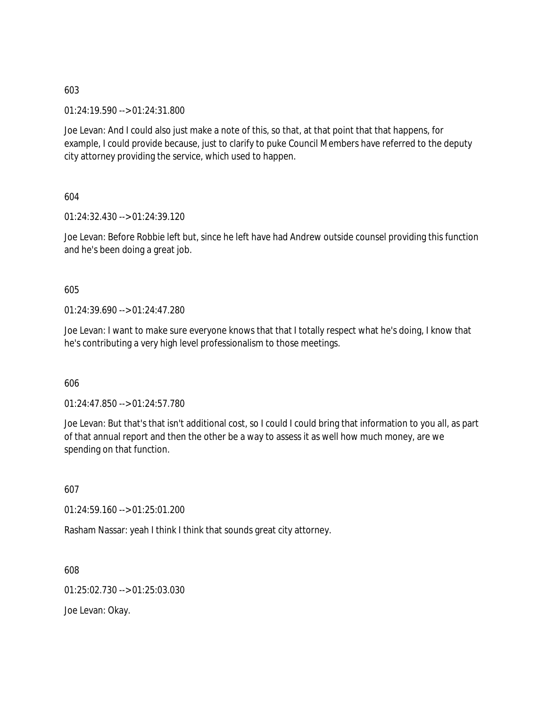01:24:19.590 --> 01:24:31.800

Joe Levan: And I could also just make a note of this, so that, at that point that that happens, for example, I could provide because, just to clarify to puke Council Members have referred to the deputy city attorney providing the service, which used to happen.

604

01:24:32.430 --> 01:24:39.120

Joe Levan: Before Robbie left but, since he left have had Andrew outside counsel providing this function and he's been doing a great job.

# 605

01:24:39.690 --> 01:24:47.280

Joe Levan: I want to make sure everyone knows that that I totally respect what he's doing, I know that he's contributing a very high level professionalism to those meetings.

606

01:24:47.850 --> 01:24:57.780

Joe Levan: But that's that isn't additional cost, so I could I could bring that information to you all, as part of that annual report and then the other be a way to assess it as well how much money, are we spending on that function.

607

01:24:59.160 --> 01:25:01.200

Rasham Nassar: yeah I think I think that sounds great city attorney.

608

01:25:02.730 --> 01:25:03.030

Joe Levan: Okay.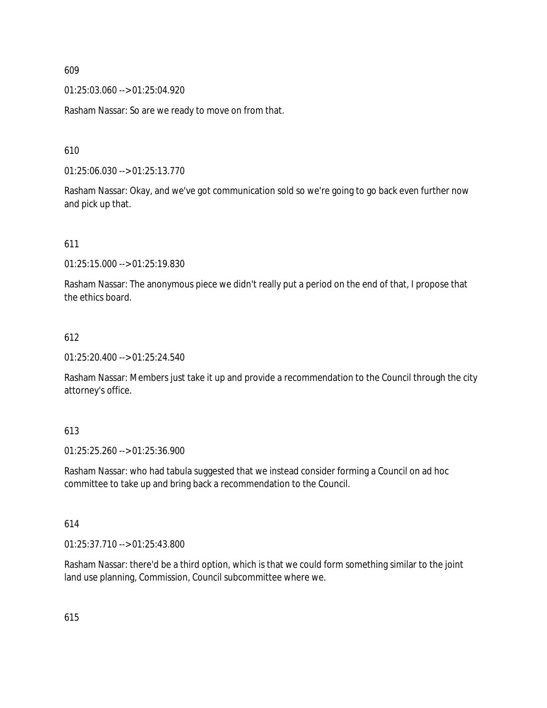01:25:03.060 --> 01:25:04.920

Rasham Nassar: So are we ready to move on from that.

610

01:25:06.030 --> 01:25:13.770

Rasham Nassar: Okay, and we've got communication sold so we're going to go back even further now and pick up that.

611

01:25:15.000 --> 01:25:19.830

Rasham Nassar: The anonymous piece we didn't really put a period on the end of that, I propose that the ethics board.

#### 612

01:25:20.400 --> 01:25:24.540

Rasham Nassar: Members just take it up and provide a recommendation to the Council through the city attorney's office.

#### 613

01:25:25.260 --> 01:25:36.900

Rasham Nassar: who had tabula suggested that we instead consider forming a Council on ad hoc committee to take up and bring back a recommendation to the Council.

#### 614

01:25:37.710 --> 01:25:43.800

Rasham Nassar: there'd be a third option, which is that we could form something similar to the joint land use planning, Commission, Council subcommittee where we.

615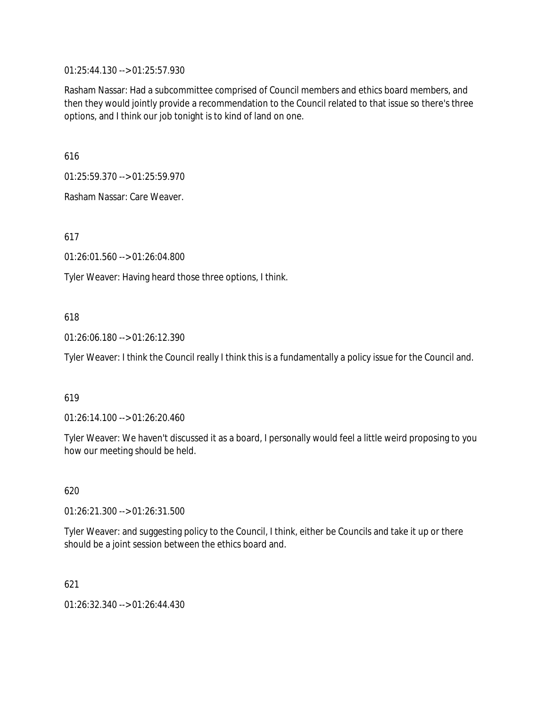01:25:44.130 --> 01:25:57.930

Rasham Nassar: Had a subcommittee comprised of Council members and ethics board members, and then they would jointly provide a recommendation to the Council related to that issue so there's three options, and I think our job tonight is to kind of land on one.

616

01:25:59.370 --> 01:25:59.970

Rasham Nassar: Care Weaver.

617

01:26:01.560 --> 01:26:04.800

Tyler Weaver: Having heard those three options, I think.

# 618

01:26:06.180 --> 01:26:12.390

Tyler Weaver: I think the Council really I think this is a fundamentally a policy issue for the Council and.

#### 619

01:26:14.100 --> 01:26:20.460

Tyler Weaver: We haven't discussed it as a board, I personally would feel a little weird proposing to you how our meeting should be held.

# 620

01:26:21.300 --> 01:26:31.500

Tyler Weaver: and suggesting policy to the Council, I think, either be Councils and take it up or there should be a joint session between the ethics board and.

#### 621

01:26:32.340 --> 01:26:44.430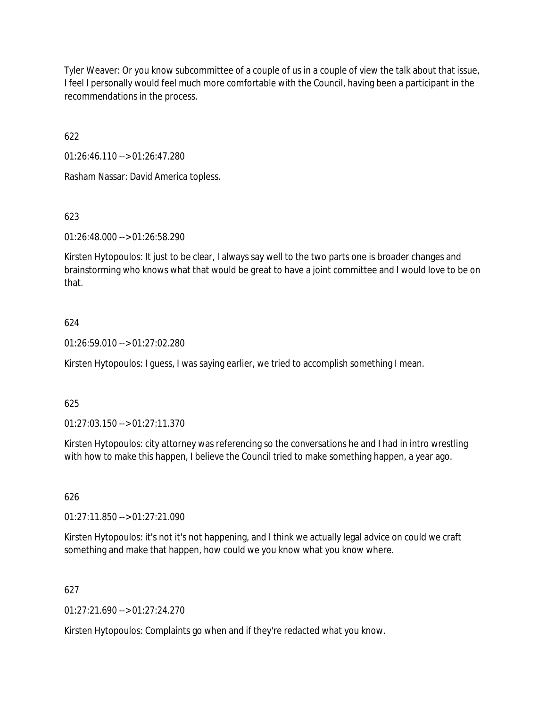Tyler Weaver: Or you know subcommittee of a couple of us in a couple of view the talk about that issue, I feel I personally would feel much more comfortable with the Council, having been a participant in the recommendations in the process.

622

01:26:46.110 --> 01:26:47.280

Rasham Nassar: David America topless.

# 623

01:26:48.000 --> 01:26:58.290

Kirsten Hytopoulos: It just to be clear, I always say well to the two parts one is broader changes and brainstorming who knows what that would be great to have a joint committee and I would love to be on that.

# 624

01:26:59.010 --> 01:27:02.280

Kirsten Hytopoulos: I guess, I was saying earlier, we tried to accomplish something I mean.

# 625

01:27:03.150 --> 01:27:11.370

Kirsten Hytopoulos: city attorney was referencing so the conversations he and I had in intro wrestling with how to make this happen, I believe the Council tried to make something happen, a year ago.

### 626

01:27:11.850 --> 01:27:21.090

Kirsten Hytopoulos: it's not it's not happening, and I think we actually legal advice on could we craft something and make that happen, how could we you know what you know where.

# 627

01:27:21.690 --> 01:27:24.270

Kirsten Hytopoulos: Complaints go when and if they're redacted what you know.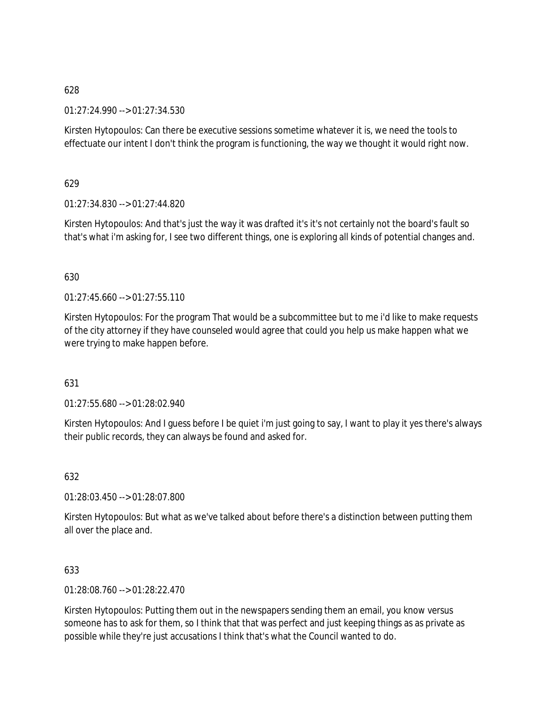### 01:27:24.990 --> 01:27:34.530

Kirsten Hytopoulos: Can there be executive sessions sometime whatever it is, we need the tools to effectuate our intent I don't think the program is functioning, the way we thought it would right now.

# 629

01:27:34.830 --> 01:27:44.820

Kirsten Hytopoulos: And that's just the way it was drafted it's it's not certainly not the board's fault so that's what i'm asking for, I see two different things, one is exploring all kinds of potential changes and.

# 630

 $01:27:45.660 \rightarrow 01:27:55.110$ 

Kirsten Hytopoulos: For the program That would be a subcommittee but to me i'd like to make requests of the city attorney if they have counseled would agree that could you help us make happen what we were trying to make happen before.

#### 631

01:27:55.680 --> 01:28:02.940

Kirsten Hytopoulos: And I guess before I be quiet i'm just going to say, I want to play it yes there's always their public records, they can always be found and asked for.

#### 632

01:28:03.450 --> 01:28:07.800

Kirsten Hytopoulos: But what as we've talked about before there's a distinction between putting them all over the place and.

# 633

01:28:08.760 --> 01:28:22.470

Kirsten Hytopoulos: Putting them out in the newspapers sending them an email, you know versus someone has to ask for them, so I think that that was perfect and just keeping things as as private as possible while they're just accusations I think that's what the Council wanted to do.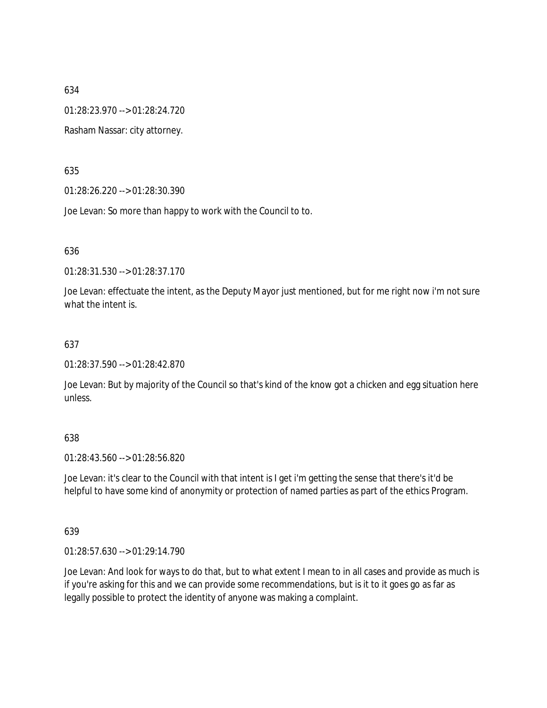01:28:23.970 --> 01:28:24.720

Rasham Nassar: city attorney.

635

01:28:26.220 --> 01:28:30.390

Joe Levan: So more than happy to work with the Council to to.

636

01:28:31.530 --> 01:28:37.170

Joe Levan: effectuate the intent, as the Deputy Mayor just mentioned, but for me right now i'm not sure what the intent is.

# 637

01:28:37.590 --> 01:28:42.870

Joe Levan: But by majority of the Council so that's kind of the know got a chicken and egg situation here unless.

# 638

01:28:43.560 --> 01:28:56.820

Joe Levan: it's clear to the Council with that intent is I get i'm getting the sense that there's it'd be helpful to have some kind of anonymity or protection of named parties as part of the ethics Program.

#### 639

01:28:57.630 --> 01:29:14.790

Joe Levan: And look for ways to do that, but to what extent I mean to in all cases and provide as much is if you're asking for this and we can provide some recommendations, but is it to it goes go as far as legally possible to protect the identity of anyone was making a complaint.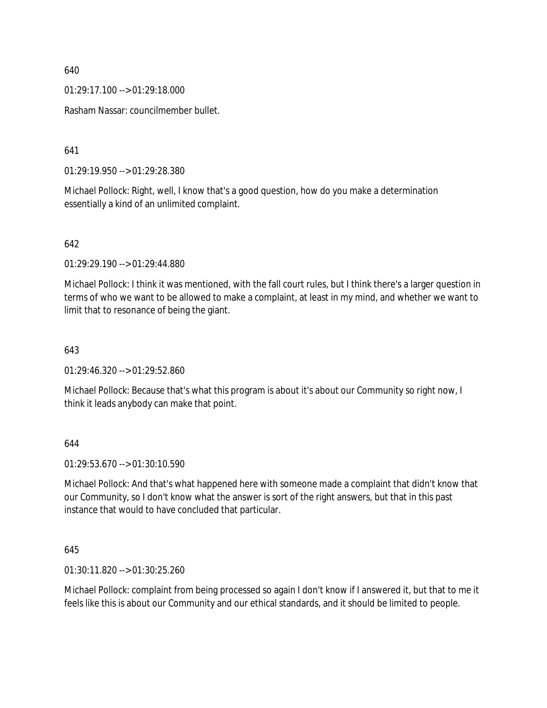01:29:17.100 --> 01:29:18.000

Rasham Nassar: councilmember bullet.

641

01:29:19.950 --> 01:29:28.380

Michael Pollock: Right, well, I know that's a good question, how do you make a determination essentially a kind of an unlimited complaint.

642

01:29:29.190 --> 01:29:44.880

Michael Pollock: I think it was mentioned, with the fall court rules, but I think there's a larger question in terms of who we want to be allowed to make a complaint, at least in my mind, and whether we want to limit that to resonance of being the giant.

643

01:29:46.320 --> 01:29:52.860

Michael Pollock: Because that's what this program is about it's about our Community so right now, I think it leads anybody can make that point.

644

01:29:53.670 --> 01:30:10.590

Michael Pollock: And that's what happened here with someone made a complaint that didn't know that our Community, so I don't know what the answer is sort of the right answers, but that in this past instance that would to have concluded that particular.

645

01:30:11.820 --> 01:30:25.260

Michael Pollock: complaint from being processed so again I don't know if I answered it, but that to me it feels like this is about our Community and our ethical standards, and it should be limited to people.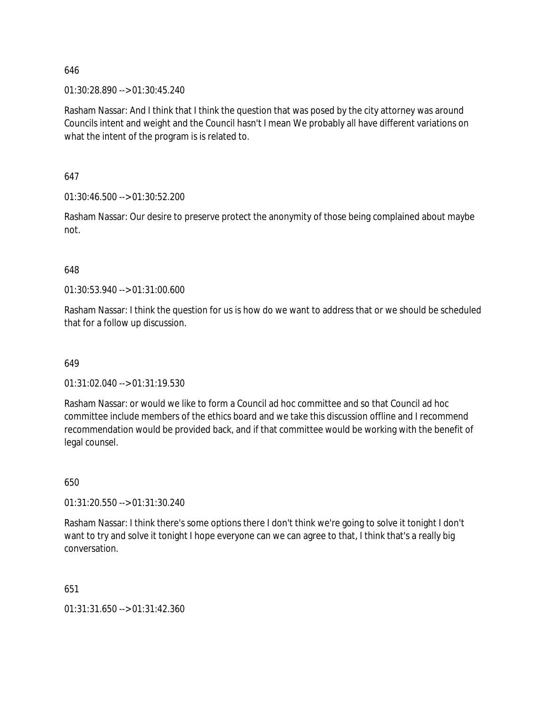01:30:28.890 --> 01:30:45.240

Rasham Nassar: And I think that I think the question that was posed by the city attorney was around Councils intent and weight and the Council hasn't I mean We probably all have different variations on what the intent of the program is is related to.

647

01:30:46.500 --> 01:30:52.200

Rasham Nassar: Our desire to preserve protect the anonymity of those being complained about maybe not.

#### 648

01:30:53.940 --> 01:31:00.600

Rasham Nassar: I think the question for us is how do we want to address that or we should be scheduled that for a follow up discussion.

649

01:31:02.040 --> 01:31:19.530

Rasham Nassar: or would we like to form a Council ad hoc committee and so that Council ad hoc committee include members of the ethics board and we take this discussion offline and I recommend recommendation would be provided back, and if that committee would be working with the benefit of legal counsel.

650

01:31:20.550 --> 01:31:30.240

Rasham Nassar: I think there's some options there I don't think we're going to solve it tonight I don't want to try and solve it tonight I hope everyone can we can agree to that, I think that's a really big conversation.

651

01:31:31.650 --> 01:31:42.360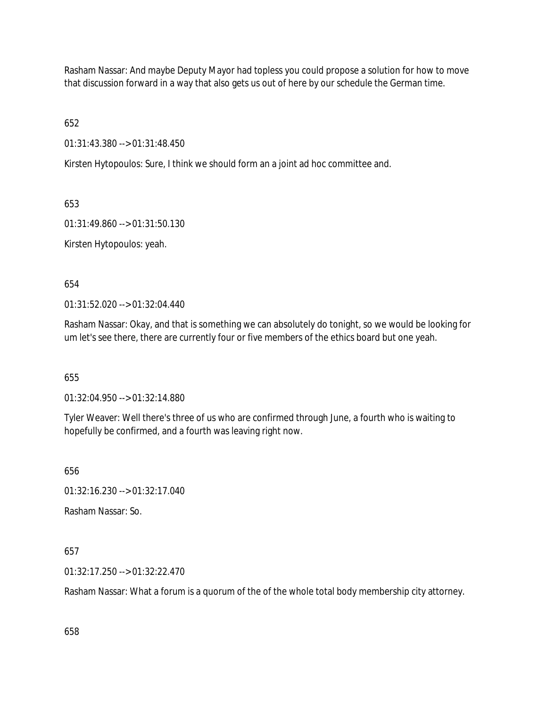Rasham Nassar: And maybe Deputy Mayor had topless you could propose a solution for how to move that discussion forward in a way that also gets us out of here by our schedule the German time.

652

01:31:43.380 --> 01:31:48.450

Kirsten Hytopoulos: Sure, I think we should form an a joint ad hoc committee and.

653

01:31:49.860 --> 01:31:50.130

Kirsten Hytopoulos: yeah.

654

01:31:52.020 --> 01:32:04.440

Rasham Nassar: Okay, and that is something we can absolutely do tonight, so we would be looking for um let's see there, there are currently four or five members of the ethics board but one yeah.

655

01:32:04.950 --> 01:32:14.880

Tyler Weaver: Well there's three of us who are confirmed through June, a fourth who is waiting to hopefully be confirmed, and a fourth was leaving right now.

656

01:32:16.230 --> 01:32:17.040

Rasham Nassar: So.

657

01:32:17.250 --> 01:32:22.470

Rasham Nassar: What a forum is a quorum of the of the whole total body membership city attorney.

658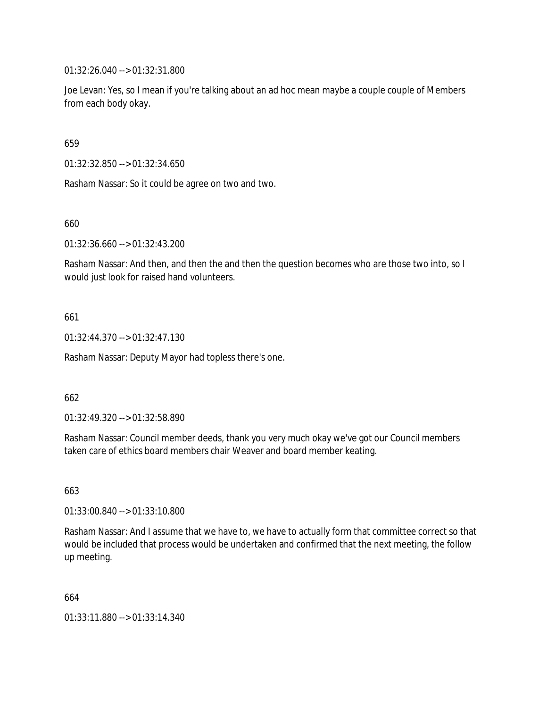01:32:26.040 --> 01:32:31.800

Joe Levan: Yes, so I mean if you're talking about an ad hoc mean maybe a couple couple of Members from each body okay.

659

01:32:32.850 --> 01:32:34.650

Rasham Nassar: So it could be agree on two and two.

660

01:32:36.660 --> 01:32:43.200

Rasham Nassar: And then, and then the and then the question becomes who are those two into, so I would just look for raised hand volunteers.

661

01:32:44.370 --> 01:32:47.130

Rasham Nassar: Deputy Mayor had topless there's one.

662

01:32:49.320 --> 01:32:58.890

Rasham Nassar: Council member deeds, thank you very much okay we've got our Council members taken care of ethics board members chair Weaver and board member keating.

663

01:33:00.840 --> 01:33:10.800

Rasham Nassar: And I assume that we have to, we have to actually form that committee correct so that would be included that process would be undertaken and confirmed that the next meeting, the follow up meeting.

664

01:33:11.880 --> 01:33:14.340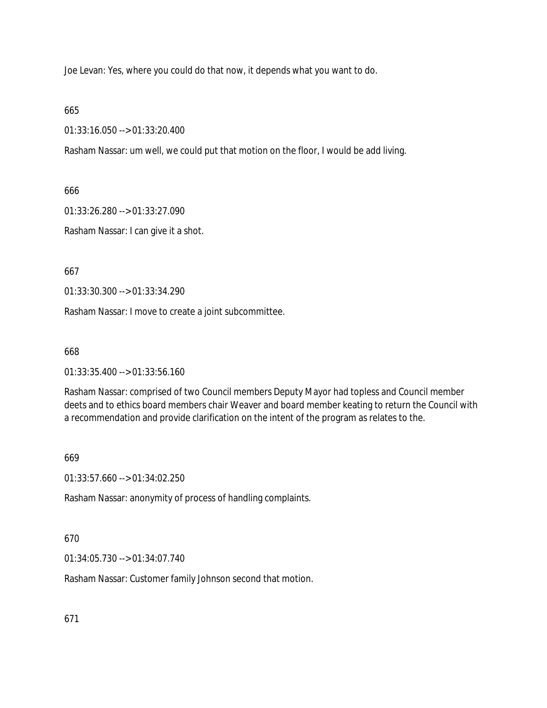Joe Levan: Yes, where you could do that now, it depends what you want to do.

### 665

01:33:16.050 --> 01:33:20.400

Rasham Nassar: um well, we could put that motion on the floor, I would be add living.

666

01:33:26.280 --> 01:33:27.090

Rasham Nassar: I can give it a shot.

667

01:33:30.300 --> 01:33:34.290

Rasham Nassar: I move to create a joint subcommittee.

668

01:33:35.400 --> 01:33:56.160

Rasham Nassar: comprised of two Council members Deputy Mayor had topless and Council member deets and to ethics board members chair Weaver and board member keating to return the Council with a recommendation and provide clarification on the intent of the program as relates to the.

669

01:33:57.660 --> 01:34:02.250

Rasham Nassar: anonymity of process of handling complaints.

# 670

01:34:05.730 --> 01:34:07.740

Rasham Nassar: Customer family Johnson second that motion.

671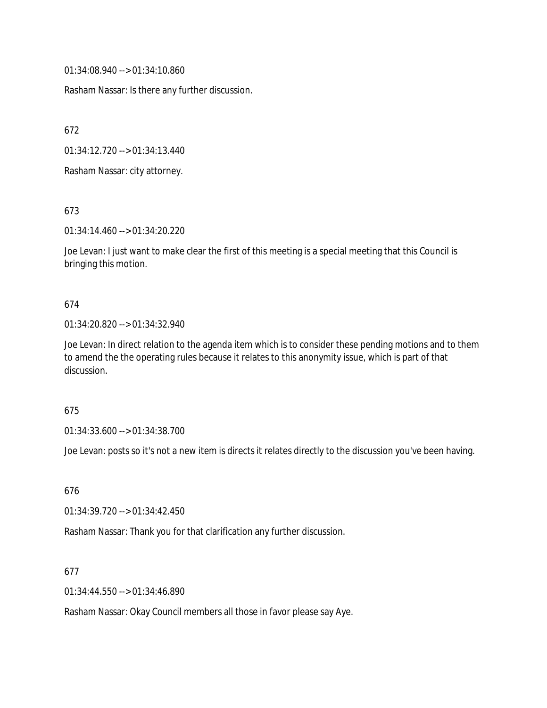01:34:08.940 --> 01:34:10.860

Rasham Nassar: Is there any further discussion.

672

01:34:12.720 --> 01:34:13.440

Rasham Nassar: city attorney.

673

01:34:14.460 --> 01:34:20.220

Joe Levan: I just want to make clear the first of this meeting is a special meeting that this Council is bringing this motion.

#### 674

#### 01:34:20.820 --> 01:34:32.940

Joe Levan: In direct relation to the agenda item which is to consider these pending motions and to them to amend the the operating rules because it relates to this anonymity issue, which is part of that discussion.

#### 675

01:34:33.600 --> 01:34:38.700

Joe Levan: posts so it's not a new item is directs it relates directly to the discussion you've been having.

676

01:34:39.720 --> 01:34:42.450

Rasham Nassar: Thank you for that clarification any further discussion.

#### 677

01:34:44.550 --> 01:34:46.890

Rasham Nassar: Okay Council members all those in favor please say Aye.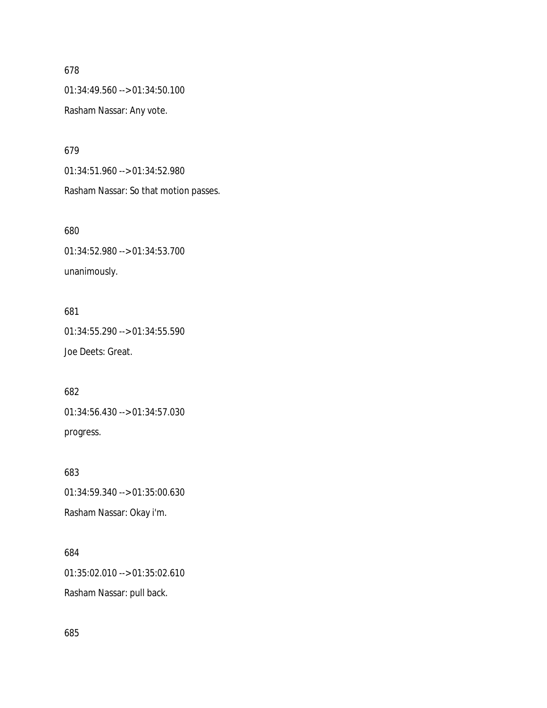## 678

01:34:49.560 --> 01:34:50.100

Rasham Nassar: Any vote.

679

01:34:51.960 --> 01:34:52.980 Rasham Nassar: So that motion passes.

680

01:34:52.980 --> 01:34:53.700 unanimously.

681

01:34:55.290 --> 01:34:55.590 Joe Deets: Great.

682 01:34:56.430 --> 01:34:57.030 progress.

683 01:34:59.340 --> 01:35:00.630 Rasham Nassar: Okay i'm.

684

01:35:02.010 --> 01:35:02.610

Rasham Nassar: pull back.

685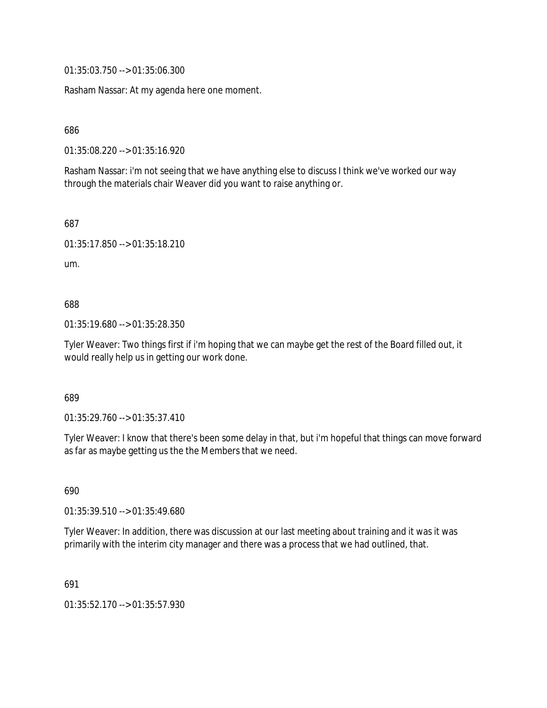01:35:03.750 --> 01:35:06.300

Rasham Nassar: At my agenda here one moment.

686

01:35:08.220 --> 01:35:16.920

Rasham Nassar: i'm not seeing that we have anything else to discuss I think we've worked our way through the materials chair Weaver did you want to raise anything or.

687

01:35:17.850 --> 01:35:18.210

um.

688

01:35:19.680 --> 01:35:28.350

Tyler Weaver: Two things first if i'm hoping that we can maybe get the rest of the Board filled out, it would really help us in getting our work done.

689

01:35:29.760 --> 01:35:37.410

Tyler Weaver: I know that there's been some delay in that, but i'm hopeful that things can move forward as far as maybe getting us the the Members that we need.

690

01:35:39.510 --> 01:35:49.680

Tyler Weaver: In addition, there was discussion at our last meeting about training and it was it was primarily with the interim city manager and there was a process that we had outlined, that.

691

01:35:52.170 --> 01:35:57.930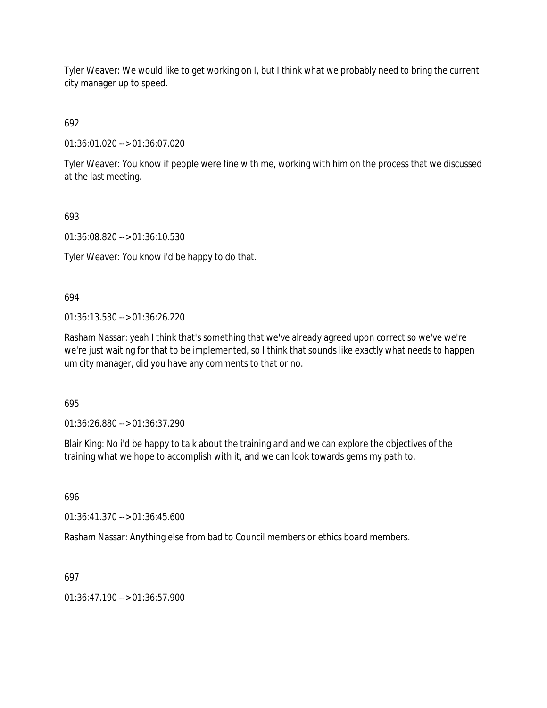Tyler Weaver: We would like to get working on I, but I think what we probably need to bring the current city manager up to speed.

692

01:36:01.020 --> 01:36:07.020

Tyler Weaver: You know if people were fine with me, working with him on the process that we discussed at the last meeting.

693

01:36:08.820 --> 01:36:10.530

Tyler Weaver: You know i'd be happy to do that.

694

01:36:13.530 --> 01:36:26.220

Rasham Nassar: yeah I think that's something that we've already agreed upon correct so we've we're we're just waiting for that to be implemented, so I think that sounds like exactly what needs to happen um city manager, did you have any comments to that or no.

695

01:36:26.880 --> 01:36:37.290

Blair King: No i'd be happy to talk about the training and and we can explore the objectives of the training what we hope to accomplish with it, and we can look towards gems my path to.

696

01:36:41.370 --> 01:36:45.600

Rasham Nassar: Anything else from bad to Council members or ethics board members.

697

 $01:36:47.190 \rightarrow 01:36:57.900$